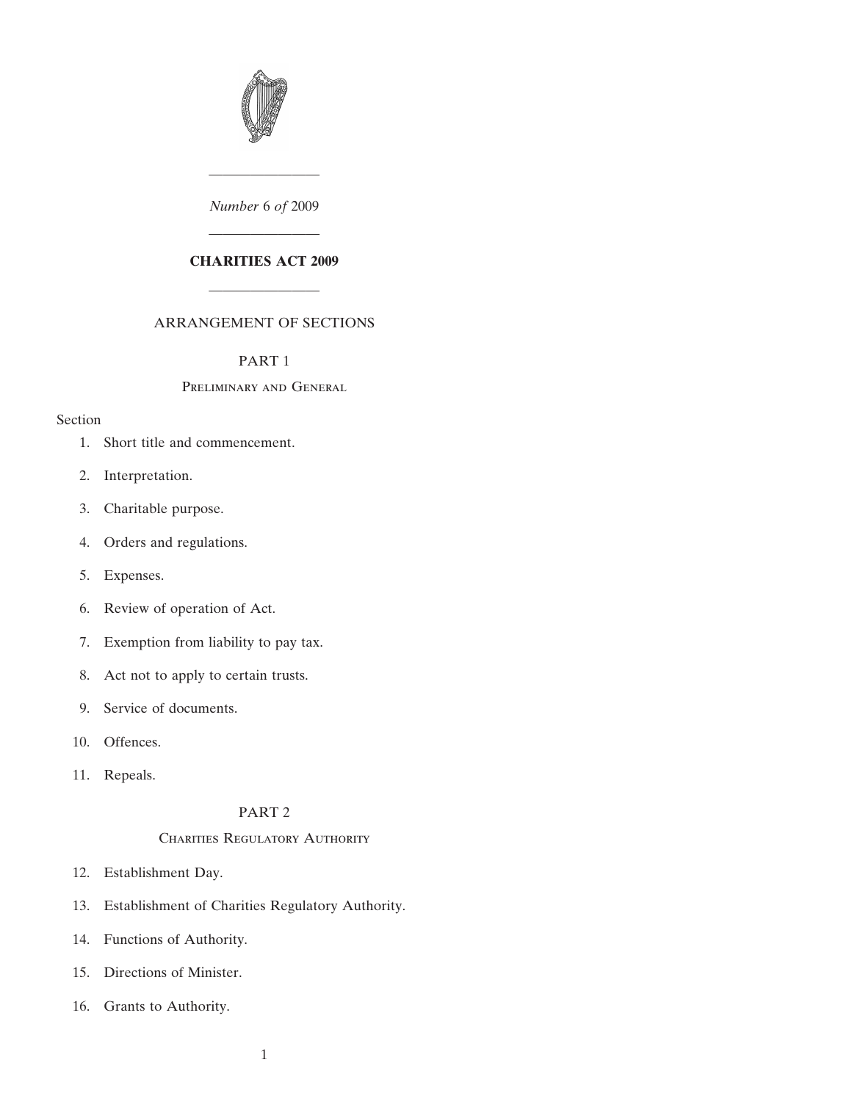

*Number* 6 *of* 2009

————————

# ———————— **CHARITIES ACT 2009**

## ARRANGEMENT OF SECTIONS

————————

#### [PART 1](#page-6-0)

## [P](#page-6-0)reliminary and General

## [Se](#page-6-0)ction

- [1. Short title and commencement.](#page-6-0)
- [2. Interpretation.](#page-7-0)
- [3. Charitable purpose.](#page-11-0)
- [4. Orders and regulations.](#page-12-0)
- [5. Expenses.](#page-13-0)
- [6. Review of operation of Act.](#page-13-0)
- [7. Exemption from liability to pay tax.](#page-13-0)
- [8. Act not to apply to certain trusts.](#page-13-0)
- [9. Service of documents.](#page-13-0)
- [10. Offences.](#page-14-0)
- [11. Repeals.](#page-14-0)

## [PART 2](#page-14-0)

## CHARITIES REGULATORY AUTHORITY

- [12. Establishment Day.](#page-14-0)
- [13. Establishment of Charities Regulatory Authority.](#page-15-0)
- [14. Functions of Authority.](#page-15-0)
- [15. Directions of Minister.](#page-16-0)
- [16. Grants to Authority.](#page-16-0)
- 1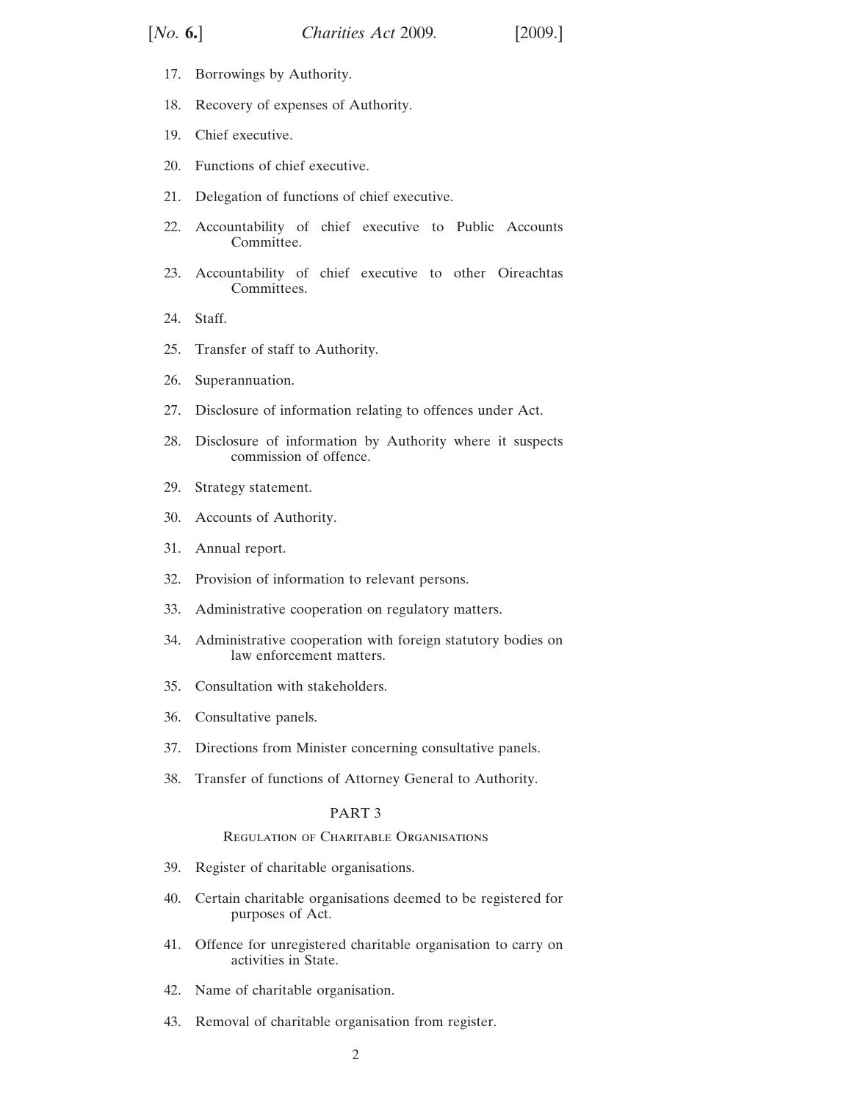- [17. Borrowings by Authority.](#page-16-0)
- [18. Recovery of expenses of Authority.](#page-16-0)
- [19. Chief executive.](#page-16-0)
- [20. Functions of chief executive.](#page-17-0)
- [21. Delegation of functions of chief executive.](#page-17-0)
- [22. Accountability of chief executive to Public Accounts](#page-17-0) [Committee.](#page-17-0)
- [23. Accountability of chief executive to other Oireachtas](#page-18-0) [Committees.](#page-18-0)
- [24. Staff.](#page-19-0)
- [25. Transfer of staff to Authority.](#page-19-0)
- [26. Superannuation.](#page-19-0)
- [27. Disclosure of information relating to offences under Act.](#page-21-0)
- 28. Disclosure of information by Authority where it suspects [commission of offence.](#page-21-0)
- [29. Strategy statement.](#page-22-0)
- [30. Accounts of Authority.](#page-22-0)
- [31. Annual report.](#page-22-0)
- [32. Provision of information to relevant persons.](#page-22-0)
- [33. Administrative cooperation on regulatory matters.](#page-23-0)
- [34. Administrative cooperation with foreign statutory bodies on](#page-24-0) [law enforcement matters.](#page-24-0)
- [35. Consultation with stakeholders.](#page-25-0)
- [36. Consultative panels.](#page-25-0)
- [37. Directions from Minister concerning consultative panels.](#page-26-0)
- [38. Transfer of functions of Attorney General to Authority.](#page-27-0)

#### PA[R](#page-27-0)T 3

#### Regulation of [Charitabl](#page-27-0)e Organisations

- [39. Register of charitable organisations.](#page-27-0)
- [40. Certain charitable organisations deemed to be registered for](#page-31-0) [purposes of Act.](#page-31-0)
- [41. Offence for unregistered charitable organisation to carry on](#page-32-0) [activities in State.](#page-32-0)
- [42. Name of charitable organisation.](#page-33-0)
- [43. Removal of charitable organisation from register.](#page-34-0)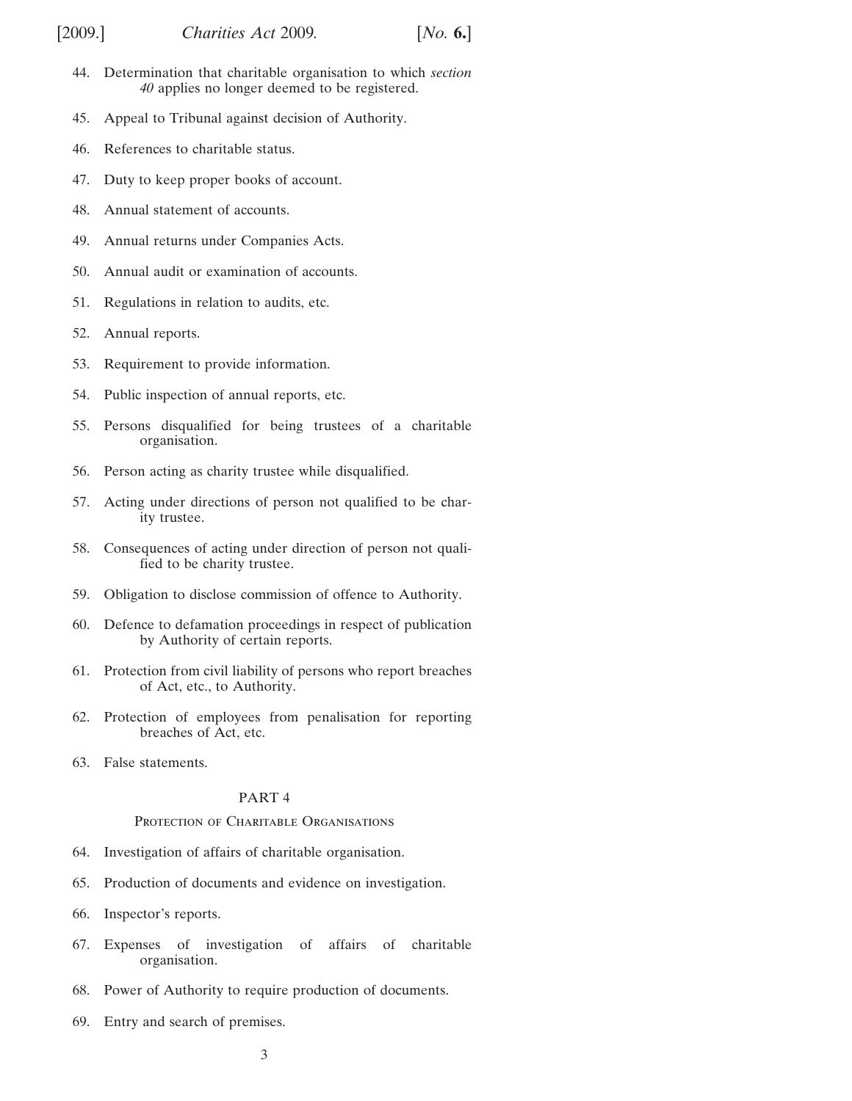- [44. Determination that charitable organisation to which](#page-35-0) *section 40* [applies no longer deemed to be registered.](#page-31-0)
- [45. Appeal to Tribunal against decision of Authority.](#page-37-0)
- [46. References to charitable status.](#page-38-0)
- [47. Duty to keep proper books of account.](#page-39-0)
- [48. Annual statement of accounts.](#page-41-0)
- [49. Annual returns under Companies Acts.](#page-42-0)
- [50. Annual audit or examination of accounts.](#page-42-0)
- [51. Regulations in relation to audits, etc.](#page-44-0)
- [52. Annual reports.](#page-45-0)
- [53. Requirement to provide information.](#page-46-0)
- [54. Public inspection of annual reports, etc.](#page-46-0)
- [55. Persons disqualified for being trustees of a charitable](#page-46-0) [organisation.](#page-46-0)
- [56. Person acting as charity trustee while disqualified.](#page-47-0)
- [57. Acting under directions of person not qualified to be char](#page-47-0)[ity trustee.](#page-47-0)
- [58. Consequences of acting under direction of person not quali](#page-48-0)[fied to be charity trustee.](#page-48-0)
- [59. Obligation to disclose commission of offence to Authority.](#page-48-0)
- [60. Defence to defamation proceedings in respect of publication](#page-49-0) [by Authority of certain reports.](#page-49-0)
- [61. Protection from civil liability of persons who report breaches](#page-49-0) [of Act, etc., to Authority.](#page-49-0)
- [62. Protection of employees from penalisation for reporting](#page-49-0) [breaches of Act, etc.](#page-49-0)
- [63. False statements.](#page-51-0)

## [PART 4](#page-51-0)

#### PROTECTION OF CHARITABLE ORGANISATIONS

- [64. Investigation of affairs of charitable organisation.](#page-51-0)
- [65. Production of documents and evidence on investigation.](#page-51-0)
- [66. Inspector's reports.](#page-52-0)
- [67. Expenses of investigation of affairs of charitable](#page-53-0) [organisation.](#page-53-0)
- [68. Power of Authority to require production of documents.](#page-54-0)
- [69. Entry and search of premises.](#page-55-0)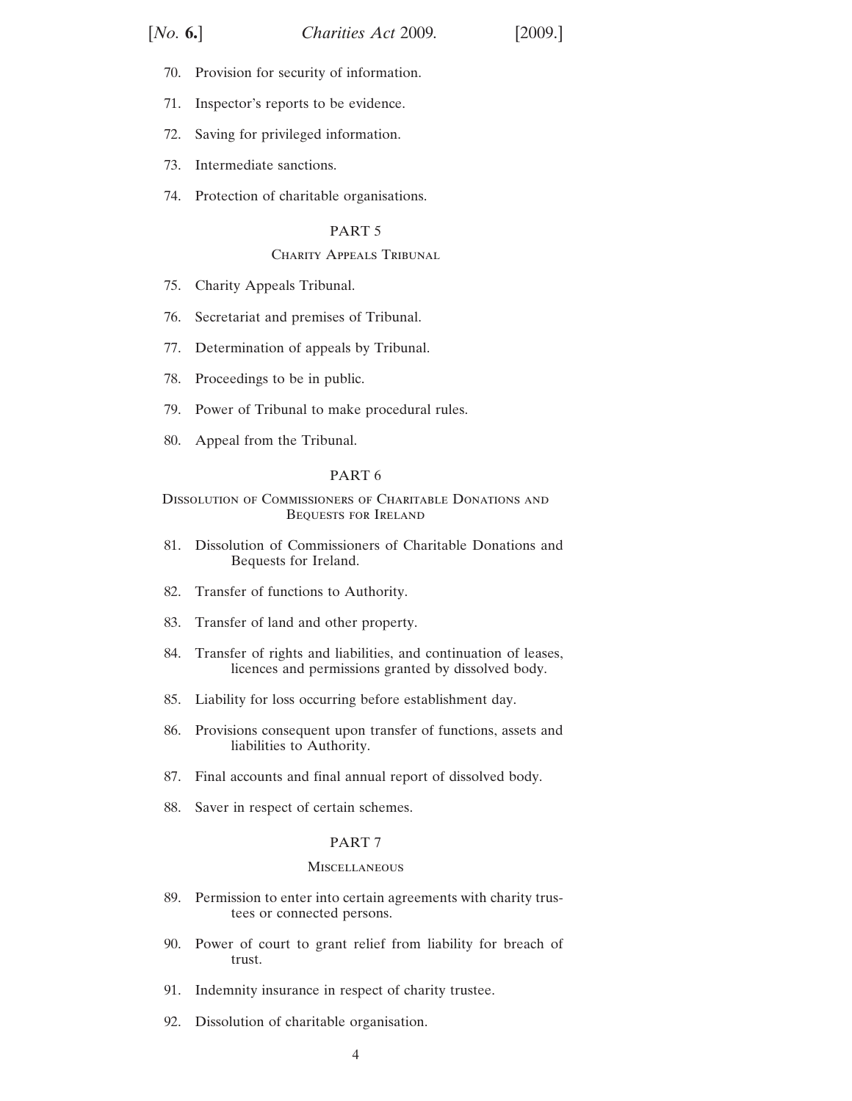- [70. Provision for security of information.](#page-56-0)
- [71. Inspector's reports to be evidence.](#page-56-0)
- [72. Saving for privileged information.](#page-56-0)
- [73. Intermediate sanctions.](#page-57-0)
- [74. Protection of charitable organisations.](#page-57-0)

## [PART 5](#page-59-0)

## [C](#page-59-0)HARITY APPEALS TRIBUNAL

- [75. Charity Appeals Tribunal.](#page-59-0)
- [76. Secretariat and premises of Tribunal.](#page-60-0)
- [77. Determination of appeals by Tribunal.](#page-60-0)
- [78. Proceedings to be in public.](#page-61-0)
- [79. Power of Tribunal to make procedural rules.](#page-61-0)
- [80. Appeal from the Tribunal.](#page-62-0)

#### [PART 6](#page-62-0)

### [D](#page-62-0)issolution of Commissioners of Charitable Donations and Bequests for Ireland

- [81. Dissolution of Commissioners of Charitable Donations and](#page-62-0) [Bequests for Ireland.](#page-62-0)
- [82. Transfer of functions to Authority.](#page-63-0)
- [83. Transfer of land and other property.](#page-63-0)
- [84. Transfer of rights and liabilities, and continuation of leases,](#page-63-0) [licences and permissions granted by dissolved body.](#page-63-0)
- [85. Liability for loss occurring before establishment day.](#page-63-0)
- [86. Provisions consequent upon transfer of functions, assets and](#page-64-0) [liabilities to Authority.](#page-64-0)
- [87. Final accounts and final annual report of dissolved body.](#page-64-0)
- [88. Saver in respect of certain schemes.](#page-65-0)

#### [PART 7](#page-65-0)

#### **[M](#page-65-0)ISCELLANEOUS**

- [89. Permission to enter into certain agreements with charity trus](#page-65-0)[tees or connected persons.](#page-65-0)
- [90. Power of court to grant relief from liability for breach of](#page-67-0) [trust.](#page-67-0)
- [91. Indemnity insurance in respect of charity trustee.](#page-67-0)
- [92. Dissolution of charitable organisation.](#page-67-0)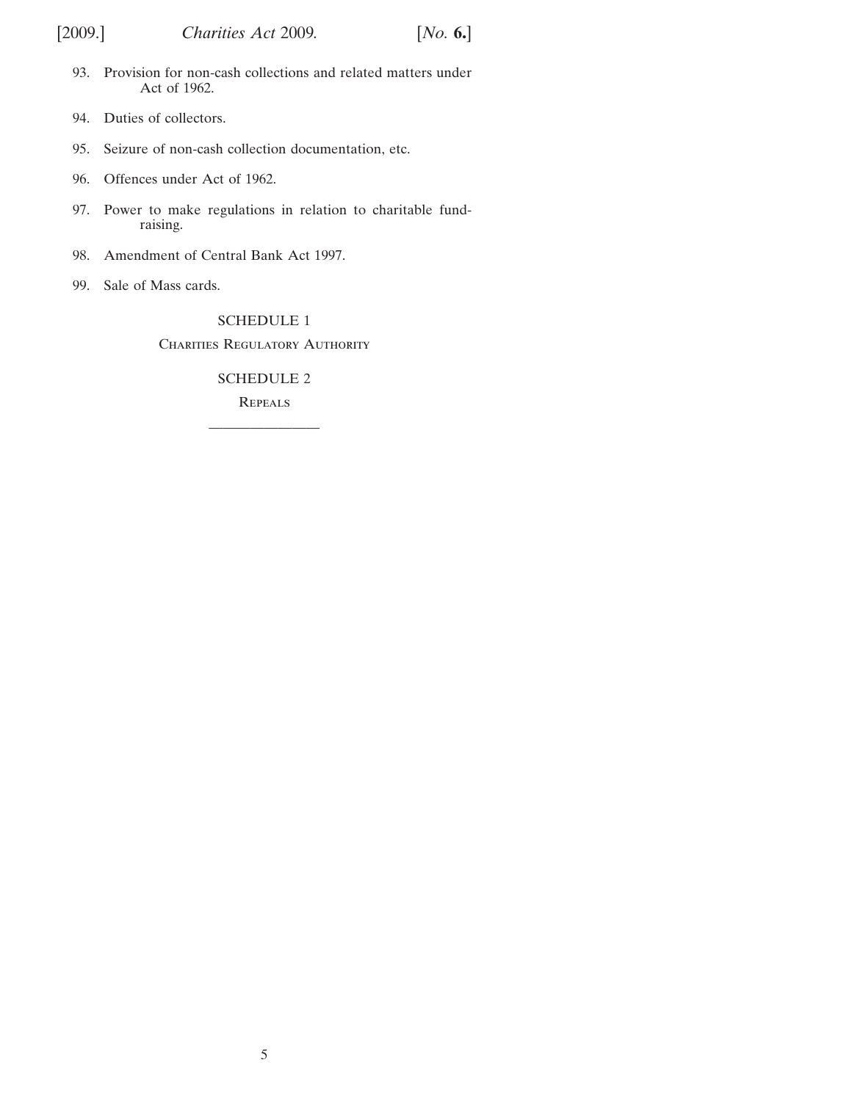- [93. Provision for non-cash collections and related matters under](#page-67-0) [Act of 1962.](#page-67-0)
- [94. Duties of collectors.](#page-71-0)
- [95. Seizure of non-cash collection documentation, etc.](#page-73-0)
- [96. Offences under Act of 1962.](#page-73-0)
- [97. Power to make regulations in relation to charitable fund](#page-74-0)[raising.](#page-74-0)
- [98. Amendment of Central Bank Act 1997.](#page-74-0)
- [99. Sale of Mass cards.](#page-74-0)

## [SCHEDULE 1](#page-75-0)

CHARITIES REGULATORY AUTHORITY

## [SCHEDULE 2](#page-81-0)

**[R](#page-81-0)EPEALS** ————————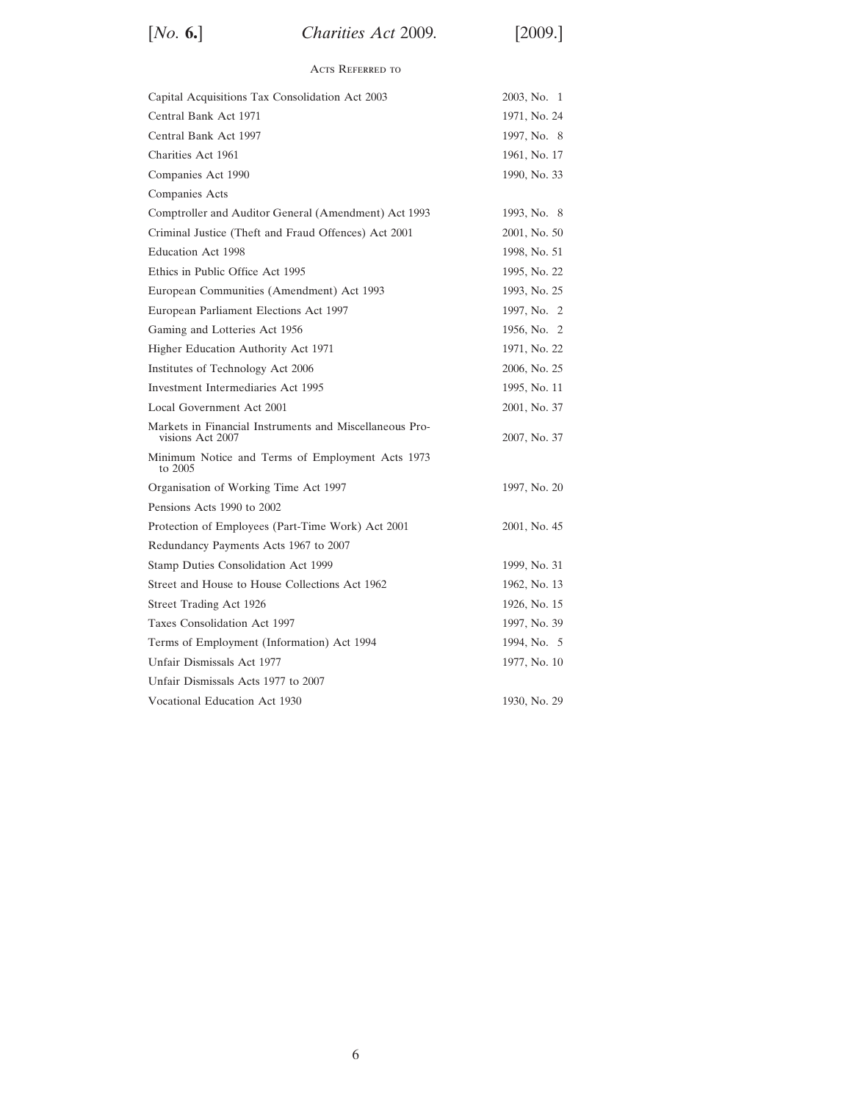[*No.* **6.**] [2009.] *Charities Act* 2009*.*

## Acts Referred to

| Capital Acquisitions Tax Consolidation Act 2003                             | 2003, No. 1  |
|-----------------------------------------------------------------------------|--------------|
| Central Bank Act 1971                                                       | 1971, No. 24 |
| Central Bank Act 1997                                                       | 1997, No. 8  |
| Charities Act 1961                                                          | 1961, No. 17 |
| Companies Act 1990                                                          | 1990, No. 33 |
| Companies Acts                                                              |              |
| Comptroller and Auditor General (Amendment) Act 1993                        | 1993, No. 8  |
| Criminal Justice (Theft and Fraud Offences) Act 2001                        | 2001, No. 50 |
| <b>Education Act 1998</b>                                                   | 1998, No. 51 |
| Ethics in Public Office Act 1995                                            | 1995, No. 22 |
| European Communities (Amendment) Act 1993                                   | 1993, No. 25 |
| European Parliament Elections Act 1997                                      | 1997, No. 2  |
| Gaming and Lotteries Act 1956                                               | 1956, No. 2  |
| Higher Education Authority Act 1971                                         | 1971, No. 22 |
| Institutes of Technology Act 2006                                           | 2006, No. 25 |
| Investment Intermediaries Act 1995                                          | 1995, No. 11 |
| Local Government Act 2001                                                   | 2001, No. 37 |
| Markets in Financial Instruments and Miscellaneous Pro-<br>visions Act 2007 | 2007, No. 37 |
| Minimum Notice and Terms of Employment Acts 1973<br>to 2005                 |              |
| Organisation of Working Time Act 1997                                       | 1997, No. 20 |
| Pensions Acts 1990 to 2002                                                  |              |
| Protection of Employees (Part-Time Work) Act 2001                           | 2001, No. 45 |
| Redundancy Payments Acts 1967 to 2007                                       |              |
| Stamp Duties Consolidation Act 1999                                         | 1999, No. 31 |
| Street and House to House Collections Act 1962                              | 1962, No. 13 |
| Street Trading Act 1926                                                     | 1926, No. 15 |
| Taxes Consolidation Act 1997                                                | 1997, No. 39 |
| Terms of Employment (Information) Act 1994                                  | 1994, No. 5  |
| Unfair Dismissals Act 1977                                                  | 1977, No. 10 |
| Unfair Dismissals Acts 1977 to 2007                                         |              |
| Vocational Education Act 1930                                               | 1930, No. 29 |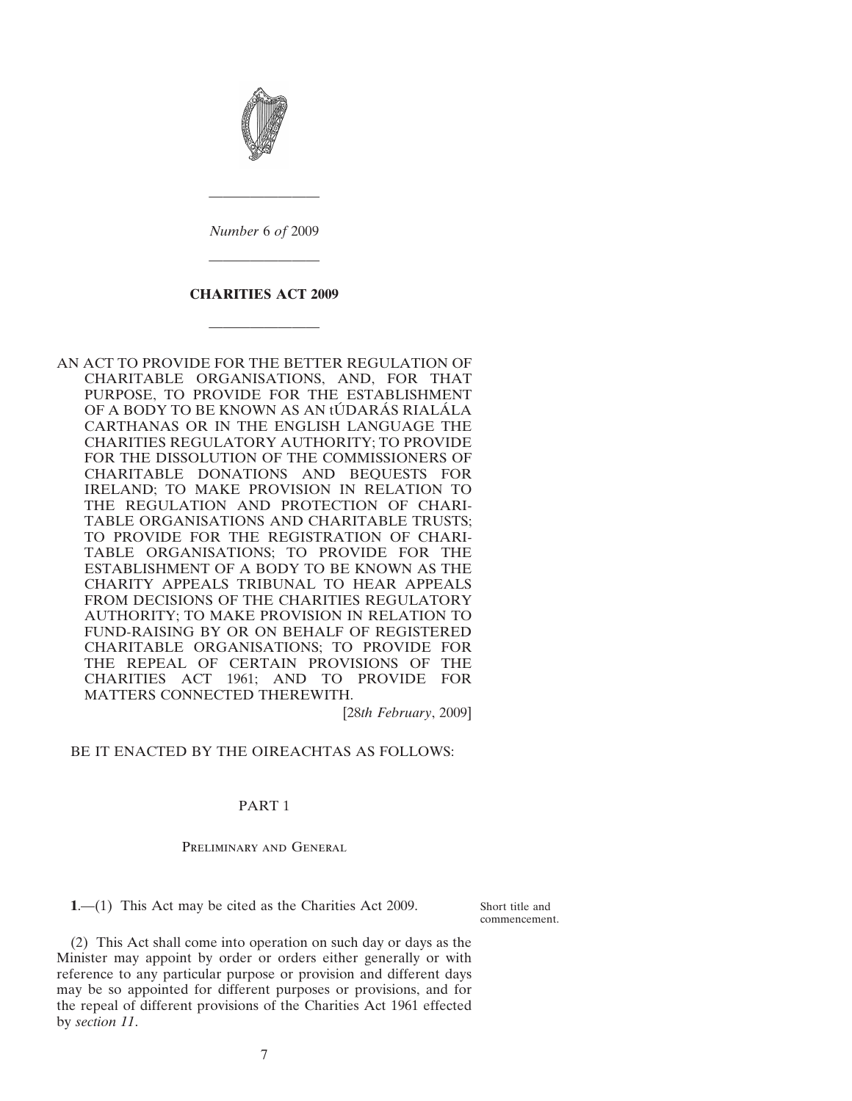<span id="page-6-0"></span>

*Number* 6 *of* 2009

————————

## **CHARITIES ACT 2009**

————————

————————

AN ACT TO PROVIDE FOR THE BETTER REGULATION OF CHARITABLE ORGANISATIONS, AND, FOR THAT PURPOSE, TO PROVIDE FOR THE ESTABLISHMENT OF A BODY TO BE KNOWN AS AN tÚDARÁS RIALÁLA CARTHANAS OR IN THE ENGLISH LANGUAGE THE CHARITIES REGULATORY AUTHORITY; TO PROVIDE FOR THE DISSOLUTION OF THE COMMISSIONERS OF CHARITABLE DONATIONS AND BEQUESTS FOR IRELAND; TO MAKE PROVISION IN RELATION TO THE REGULATION AND PROTECTION OF CHARI-TABLE ORGANISATIONS AND CHARITABLE TRUSTS; TO PROVIDE FOR THE REGISTRATION OF CHARI-TABLE ORGANISATIONS; TO PROVIDE FOR THE ESTABLISHMENT OF A BODY TO BE KNOWN AS THE CHARITY APPEALS TRIBUNAL TO HEAR APPEALS FROM DECISIONS OF THE CHARITIES REGULATORY AUTHORITY; TO MAKE PROVISION IN RELATION TO FUND-RAISING BY OR ON BEHALF OF REGISTERED CHARITABLE ORGANISATIONS; TO PROVIDE FOR THE REPEAL OF CERTAIN PROVISIONS OF THE CHARITIES ACT 1961; AND TO PROVIDE FOR MATTERS CONNECTED THEREWITH.

[28*th February*, 2009]

## BE IT ENACTED BY THE OIREACHTAS AS FOLLOWS:

## PART 1

Preliminary and General

**1**.—(1) This Act may be cited as the Charities Act 2009.

Short title and commencement.

(2) This Act shall come into operation on such day or days as the Minister may appoint by order or orders either generally or with reference to any particular purpose or provision and different days may be so appointed for different purposes or provisions, and for the repeal of different provisions of the Charities Act 1961 effected by *section [11](#page-14-0)*.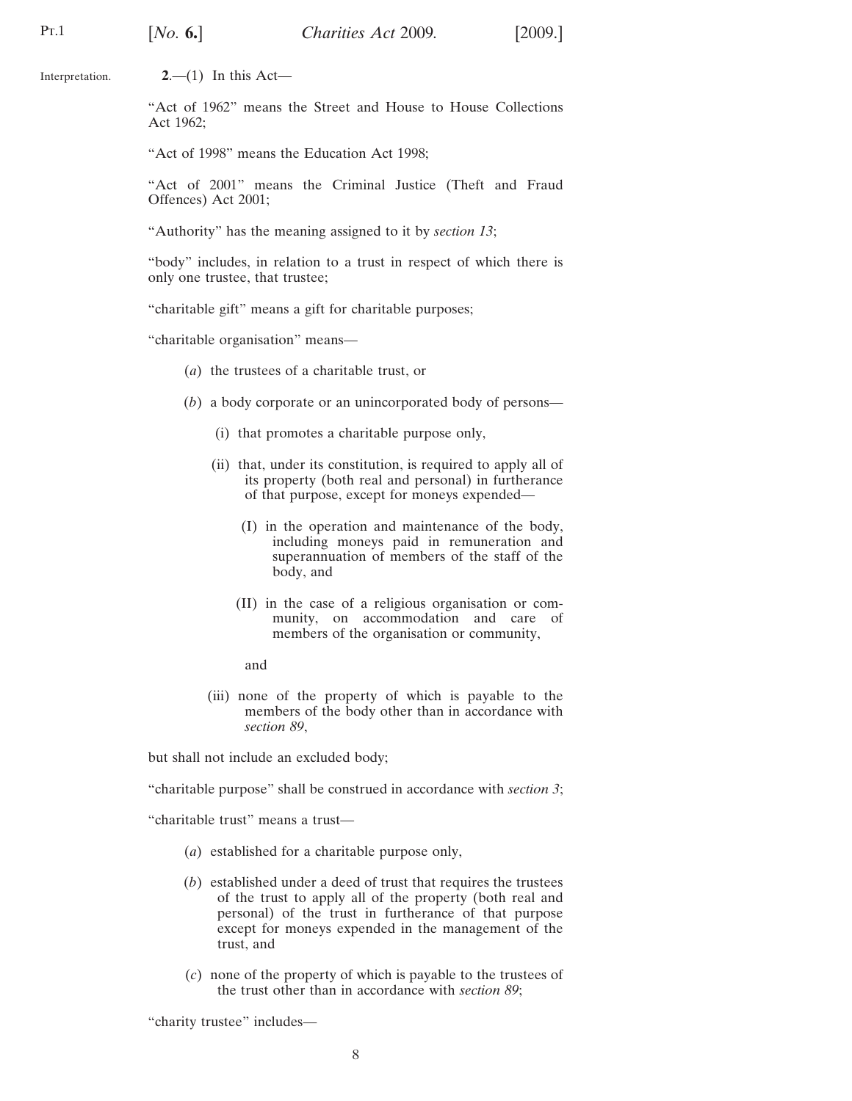<span id="page-7-0"></span>Pt.1

Interpretation. **2**.—(1) In this Act—

> "Act of 1962" means the Street and House to House Collections Act 1962;

"Act of 1998" means the Education Act 1998;

"Act of 2001" means the Criminal Justice (Theft and Fraud Offences) Act 2001;

"Authority" has the meaning assigned to it by *section 13*;

"body" includes, in relation to a trust in respect of [whi](#page-15-0)ch there is only one trustee, that trustee;

"charitable gift" means a gift for charitable purposes;

"charitable organisation" means—

- (*a*) the trustees of a charitable trust, or
- (*b*) a body corporate or an unincorporated body of persons—
	- (i) that promotes a charitable purpose only,
	- (ii) that, under its constitution, is required to apply all of its property (both real and personal) in furtherance of that purpose, except for moneys expended—
		- (I) in the operation and maintenance of the body, including moneys paid in remuneration and superannuation of members of the staff of the body, and
		- (II) in the case of a religious organisation or community, on accommodation and care of members of the organisation or community,
		- and
	- (iii) none of the property of which is payable to the members of the body other than in accordance with *section 89*,

but shall not include a[n ex](#page-65-0)cluded body;

"charitable purpose" shall be construed in accordance with *section 3*;

"charitable trust" means a trust—

- (*a*) established for a charitable purpose only,
- (*b*) established under a deed of trust that requires the trustees of the trust to apply all of the property (both real and personal) of the trust in furtherance of that purpose except for moneys expended in the management of the trust, and
- (*c*) none of the property of which is payable to the trustees of the trust other than in accordance with *section 89*;

"charity trustee" includes—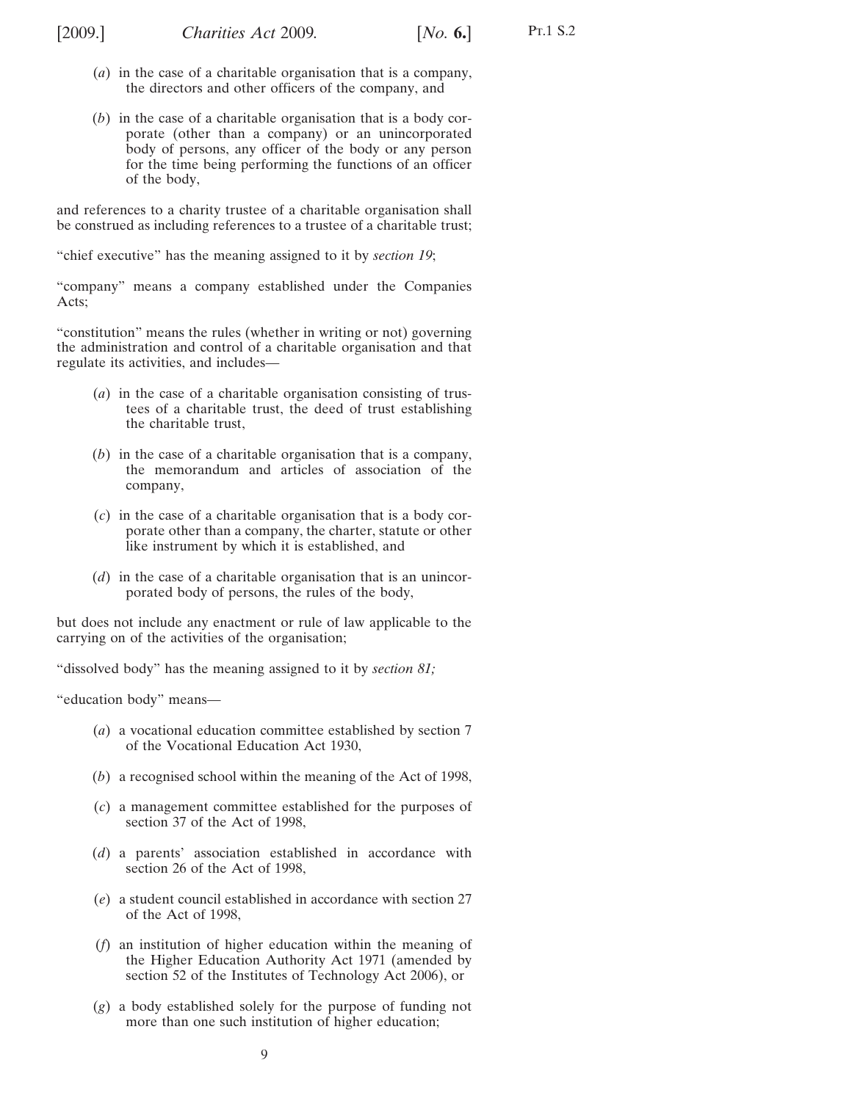- (*a*) in the case of a charitable organisation that is a company, the directors and other officers of the company, and
- (*b*) in the case of a charitable organisation that is a body corporate (other than a company) or an unincorporated body of persons, any officer of the body or any person for the time being performing the functions of an officer of the body,

and references to a charity trustee of a charitable organisation shall be construed as including references to a trustee of a charitable trust;

"chief executive" has the meaning assigned to it by *section [19](#page-16-0)*;

"company" means a company established under the Companies Acts;

"constitution" means the rules (whether in writing or not) governing the administration and control of a charitable organisation and that regulate its activities, and includes—

- (*a*) in the case of a charitable organisation consisting of trustees of a charitable trust, the deed of trust establishing the charitable trust,
- (*b*) in the case of a charitable organisation that is a company, the memorandum and articles of association of the company,
- (*c*) in the case of a charitable organisation that is a body corporate other than a company, the charter, statute or other like instrument by which it is established, and
- (*d*) in the case of a charitable organisation that is an unincorporated body of persons, the rules of the body,

but does not include any enactment or rule of law applicable to the carrying on of the activities of the organisation;

"dissolved body" has the meaning assigned to it by *section [81](#page-62-0);*

"education body" means—

- (*a*) a vocational education committee established by section 7 of the Vocational Education Act 1930,
- (*b*) a recognised school within the meaning of the Act of 1998,
- (*c*) a management committee established for the purposes of section 37 of the Act of 1998,
- (*d*) a parents' association established in accordance with section 26 of the Act of 1998,
- (*e*) a student council established in accordance with section 27 of the Act of 1998,
- (*f*) an institution of higher education within the meaning of the Higher Education Authority Act 1971 (amended by section 52 of the Institutes of Technology Act 2006), or
- (*g*) a body established solely for the purpose of funding not more than one such institution of higher education;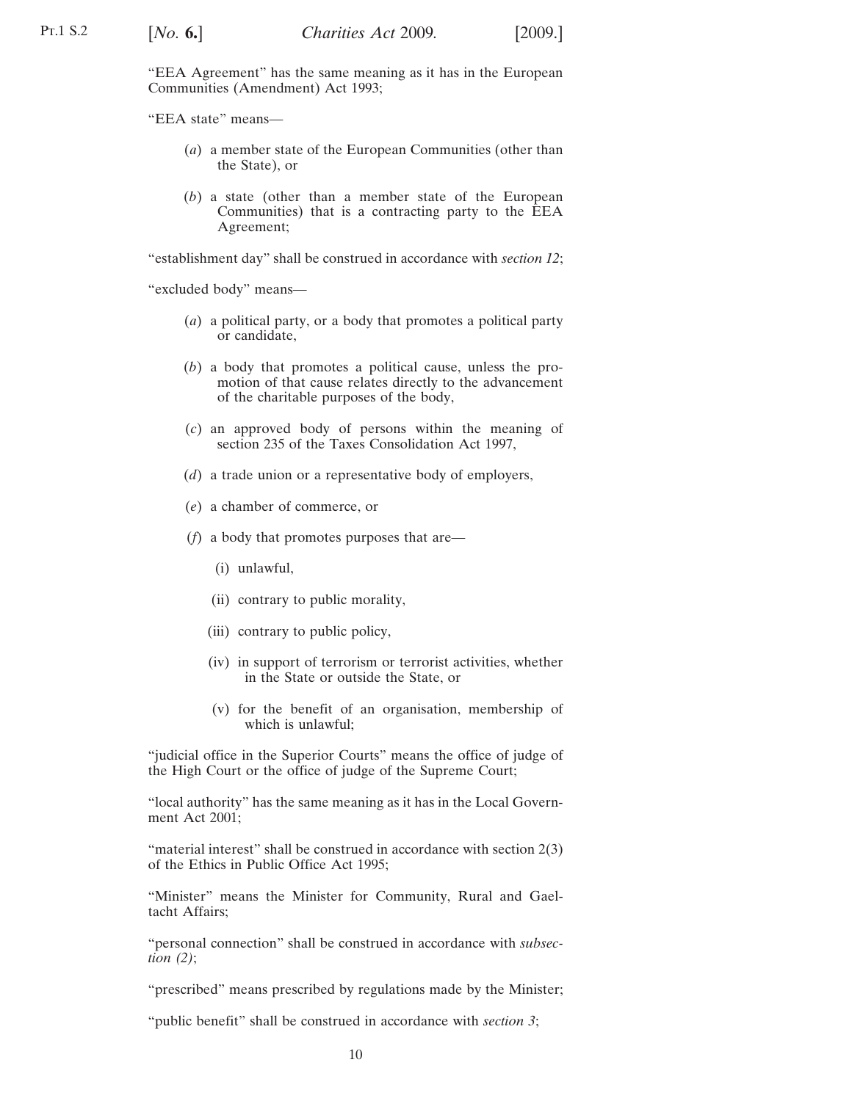"EEA Agreement" has the same meaning as it has in the European Communities (Amendment) Act 1993;

"EEA state" means—

- (*a*) a member state of the European Communities (other than the State), or
- (*b*) a state (other than a member state of the European Communities) that is a contracting party to the EEA Agreement;

"establishment day" shall be construed in accordance with *section [12](#page-14-0)*;

"excluded body" means—

- (*a*) a political party, or a body that promotes a political party or candidate,
- (*b*) a body that promotes a political cause, unless the promotion of that cause relates directly to the advancement of the charitable purposes of the body,
- (*c*) an approved body of persons within the meaning of section 235 of the Taxes Consolidation Act 1997,
- (*d*) a trade union or a representative body of employers,
- (*e*) a chamber of commerce, or
- (*f*) a body that promotes purposes that are—
	- (i) unlawful,
	- (ii) contrary to public morality,
	- (iii) contrary to public policy,
	- (iv) in support of terrorism or terrorist activities, whether in the State or outside the State, or
	- (v) for the benefit of an organisation, membership of which is unlawful;

"judicial office in the Superior Courts" means the office of judge of the High Court or the office of judge of the Supreme Court;

"local authority" has the same meaning as it has in the Local Government Act 2001;

"material interest" shall be construed in accordance with section 2(3) of the Ethics in Public Office Act 1995;

"Minister" means the Minister for Community, Rural and Gaeltacht Affairs;

"personal connection" shall be construed in accordance with *subsectio[n \(2\)](#page-10-0)*;

"prescribed" means prescribed by regulations made by the Minister;

"public benefit" shall be construed in accordance with *section [3](#page-11-0)*;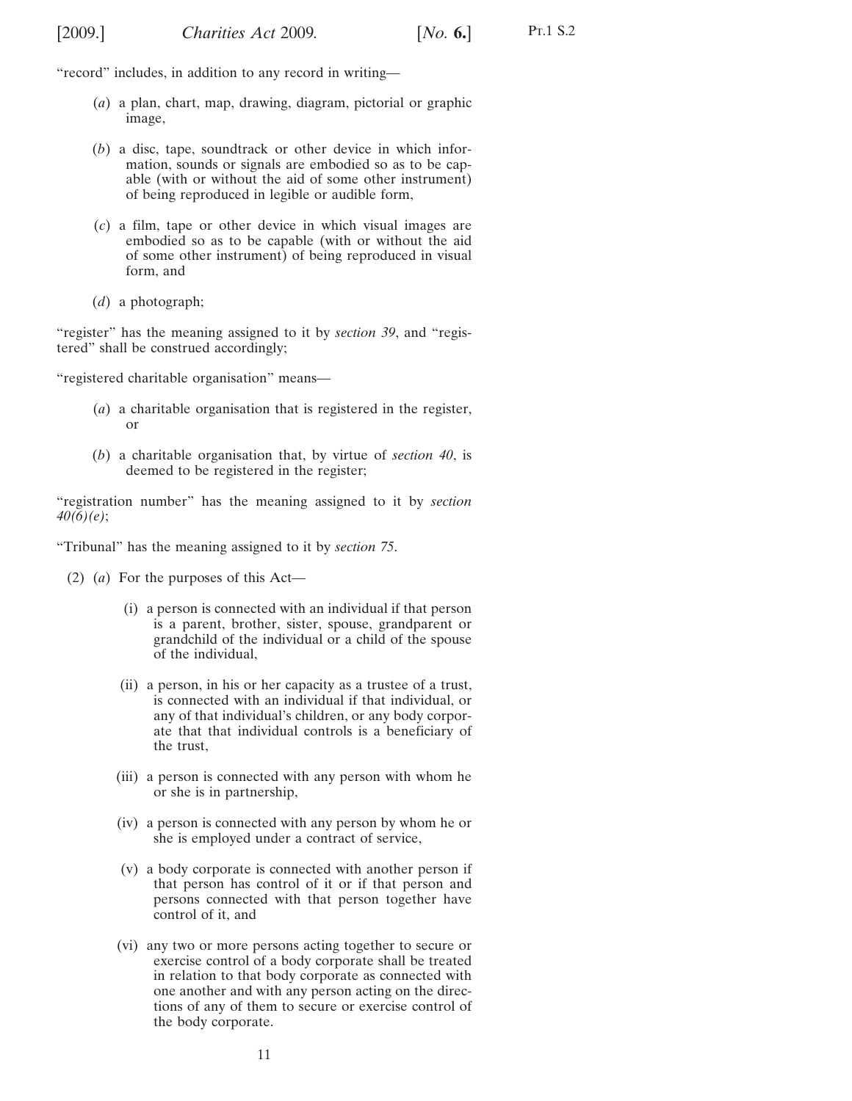<span id="page-10-0"></span>"record" includes, in addition to any record in writing—

- (*a*) a plan, chart, map, drawing, diagram, pictorial or graphic image,
- (*b*) a disc, tape, soundtrack or other device in which information, sounds or signals are embodied so as to be capable (with or without the aid of some other instrument) of being reproduced in legible or audible form,
- (*c*) a film, tape or other device in which visual images are embodied so as to be capable (with or without the aid of some other instrument) of being reproduced in visual form, and
- (*d*) a photograph;

"register" has the meaning assigned to it by *section [39](#page-27-0)*, and "registered" shall be construed accordingly;

"registered charitable organisation" means—

- (*a*) a charitable organisation that is registered in the register, or
- (*b*) a charitable organisation that, by virtue of *section [40](#page-31-0)*, is deemed to be registered in the register;

"registration number" has the meaning assigned to it by *section [40\(6\)](#page-31-0)[\(e\)](#page-32-0)*;

"Tribunal" has the meaning assigned to it by *section [75](#page-59-0)*.

- (2) (*a*) For the purposes of this Act—
	- (i) a person is connected with an individual if that person is a parent, brother, sister, spouse, grandparent or grandchild of the individual or a child of the spouse of the individual,
	- (ii) a person, in his or her capacity as a trustee of a trust, is connected with an individual if that individual, or any of that individual's children, or any body corporate that that individual controls is a beneficiary of the trust,
	- (iii) a person is connected with any person with whom he or she is in partnership,
	- (iv) a person is connected with any person by whom he or she is employed under a contract of service,
	- (v) a body corporate is connected with another person if that person has control of it or if that person and persons connected with that person together have control of it, and
	- (vi) any two or more persons acting together to secure or exercise control of a body corporate shall be treated in relation to that body corporate as connected with one another and with any person acting on the directions of any of them to secure or exercise control of the body corporate.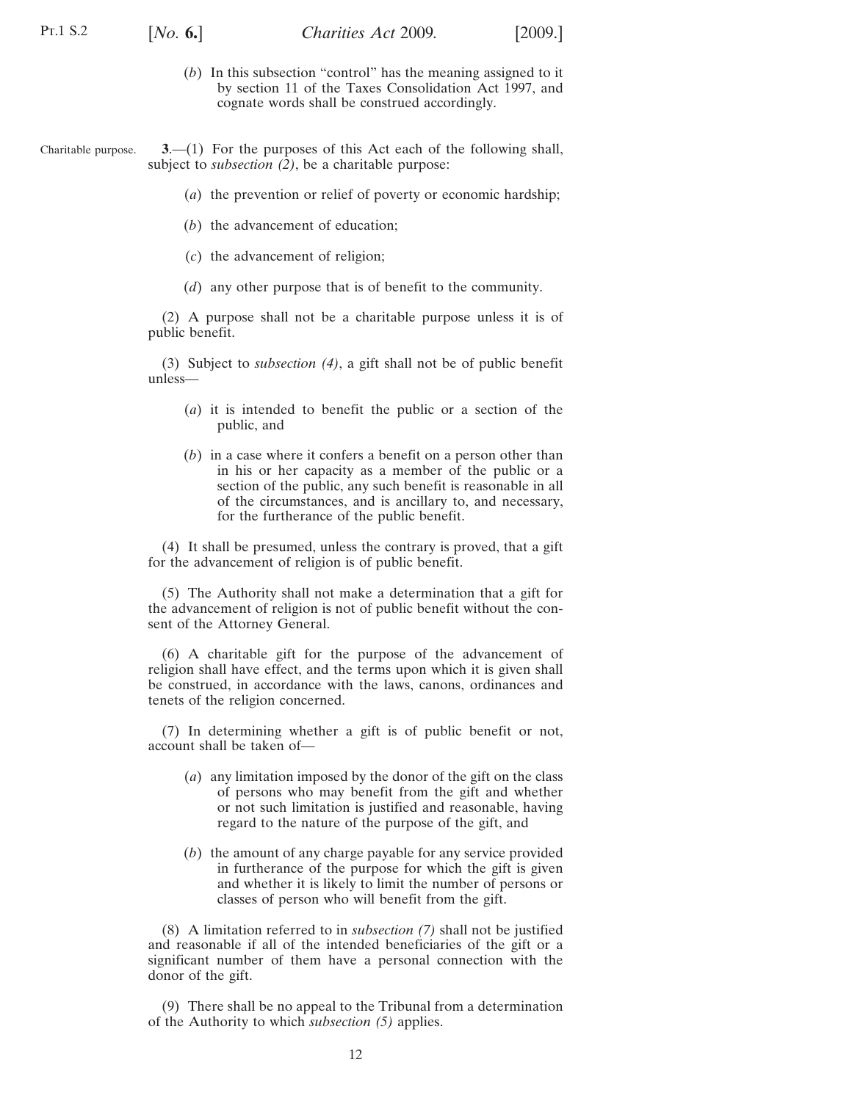<span id="page-11-0"></span>

- (*b*) In this subsection "control" has the meaning assigned to it by section 11 of the Taxes Consolidation Act 1997, and cognate words shall be construed accordingly.
- Charitable purpose. **3**.—(1) For the purposes of this Act each of the following shall, subject to *subsection (2)*, be a charitable purpose:
	- (*a*) the prevention or relief of poverty or economic hardship;
	- (*b*) the advancement of education;
	- (*c*) the advancement of religion;
	- (*d*) any other purpose that is of benefit to the community.

(2) A purpose shall not be a charitable purpose unless it is of public benefit.

(3) Subject to *subsection (4)*, a gift shall not be of public benefit unless—

- (*a*) it is intended to benefit the public or a section of the public, and
- (*b*) in a case where it confers a benefit on a person other than in his or her capacity as a member of the public or a section of the public, any such benefit is reasonable in all of the circumstances, and is ancillary to, and necessary, for the furtherance of the public benefit.

(4) It shall be presumed, unless the contrary is proved, that a gift for the advancement of religion is of public benefit.

(5) The Authority shall not make a determination that a gift for the advancement of religion is not of public benefit without the consent of the Attorney General.

(6) A charitable gift for the purpose of the advancement of religion shall have effect, and the terms upon which it is given shall be construed, in accordance with the laws, canons, ordinances and tenets of the religion concerned.

(7) In determining whether a gift is of public benefit or not, account shall be taken of—

- (*a*) any limitation imposed by the donor of the gift on the class of persons who may benefit from the gift and whether or not such limitation is justified and reasonable, having regard to the nature of the purpose of the gift, and
- (*b*) the amount of any charge payable for any service provided in furtherance of the purpose for which the gift is given and whether it is likely to limit the number of persons or classes of person who will benefit from the gift.

(8) A limitation referred to in *subsection (7)* shall not be justified and reasonable if all of the intended beneficiaries of the gift or a significant number of them have a personal connection with the donor of the gift.

(9) There shall be no appeal to the Tribunal from a determination of the Authority to which *subsection (5)* applies.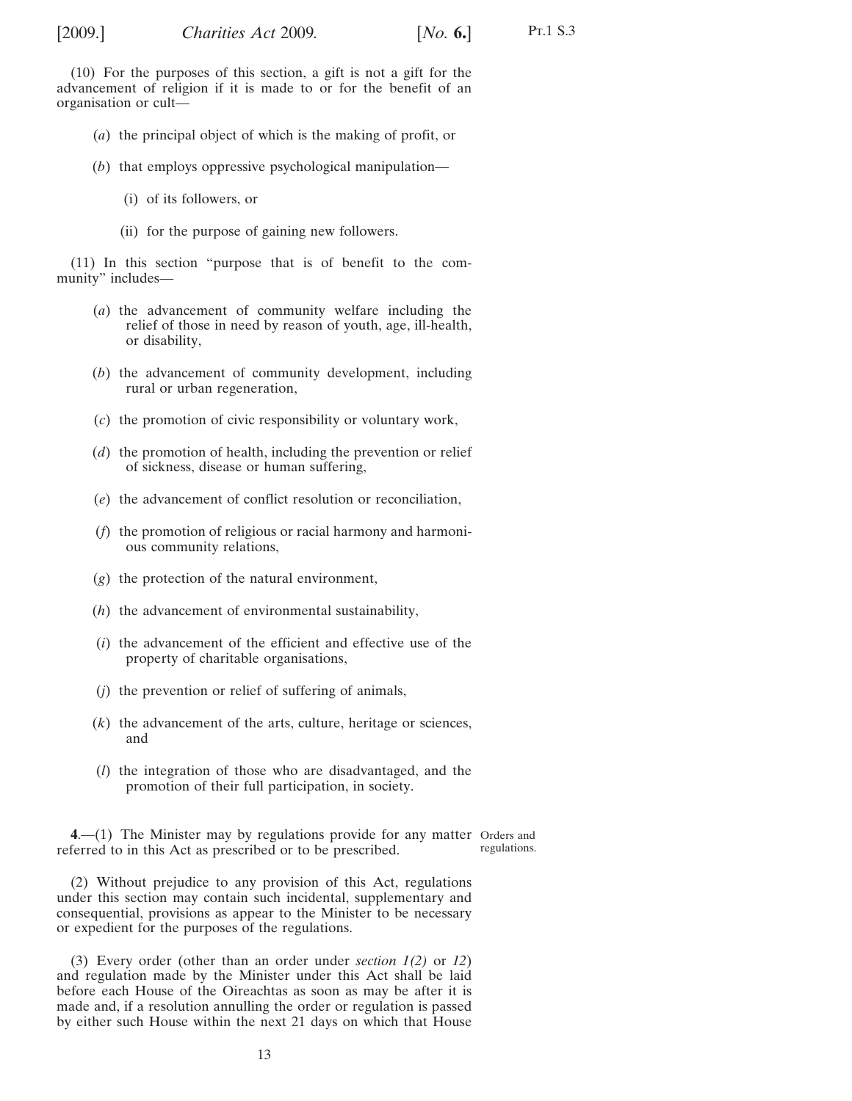<span id="page-12-0"></span>(10) For the purposes of this section, a gift is not a gift for the advancement of religion if it is made to or for the benefit of an organisation or cult—

- (*a*) the principal object of which is the making of profit, or
- (*b*) that employs oppressive psychological manipulation—
	- (i) of its followers, or
	- (ii) for the purpose of gaining new followers.

(11) In this section "purpose that is of benefit to the community" includes—

- (*a*) the advancement of community welfare including the relief of those in need by reason of youth, age, ill-health, or disability,
- (*b*) the advancement of community development, including rural or urban regeneration,
- (*c*) the promotion of civic responsibility or voluntary work,
- (*d*) the promotion of health, including the prevention or relief of sickness, disease or human suffering,
- (*e*) the advancement of conflict resolution or reconciliation,
- (*f*) the promotion of religious or racial harmony and harmonious community relations,
- (*g*) the protection of the natural environment,
- (*h*) the advancement of environmental sustainability,
- (*i*) the advancement of the efficient and effective use of the property of charitable organisations,
- (*j*) the prevention or relief of suffering of animals,
- (*k*) the advancement of the arts, culture, heritage or sciences, and
- (*l*) the integration of those who are disadvantaged, and the promotion of their full participation, in society.

**4**.—(1) The Minister may by regulations provide for any matter Orders and referred to in this Act as prescribed or to be prescribed. regulations.

Pt.1 S.3

(2) Without prejudice to any provision of this Act, regulations under this section may contain such incidental, supplementary and consequential, provisions as appear to the Minister to be necessary or expedient for the purposes of the regulations.

(3) Every order (other than an order under *section [1\(2\)](#page-6-0)* or *[12](#page-14-0)*) and regulation made by the Minister under this Act shall be laid before each House of the Oireachtas as soon as may be after it is made and, if a resolution annulling the order or regulation is passed by either such House within the next 21 days on which that House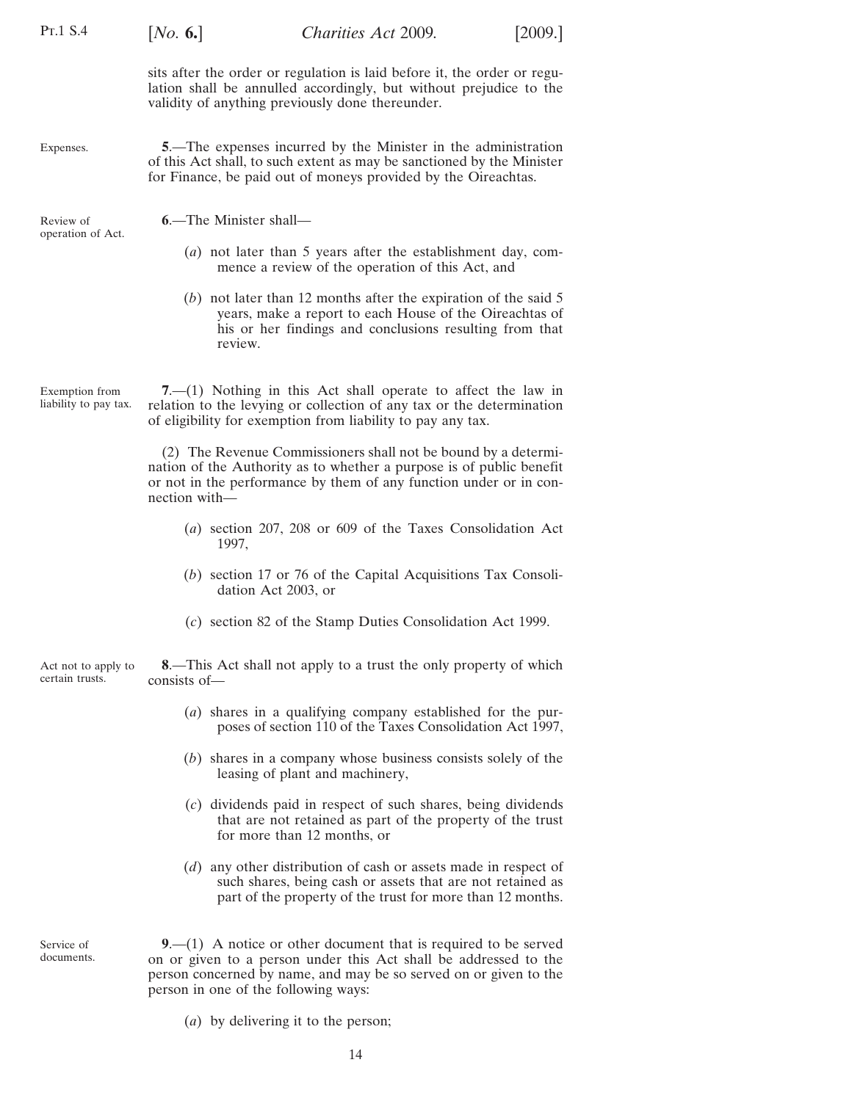<span id="page-13-0"></span>

| PT.1 S.4                                | [ <i>No.</i> 6.]                                                                                                                                                                                           | Charities Act 2009.                                                                                                                                                                                          | [2009.] |  |  |
|-----------------------------------------|------------------------------------------------------------------------------------------------------------------------------------------------------------------------------------------------------------|--------------------------------------------------------------------------------------------------------------------------------------------------------------------------------------------------------------|---------|--|--|
|                                         |                                                                                                                                                                                                            | sits after the order or regulation is laid before it, the order or regu-<br>lation shall be annulled accordingly, but without prejudice to the<br>validity of anything previously done thereunder.           |         |  |  |
| Expenses.                               | 5. The expenses incurred by the Minister in the administration<br>of this Act shall, to such extent as may be sanctioned by the Minister<br>for Finance, be paid out of moneys provided by the Oireachtas. |                                                                                                                                                                                                              |         |  |  |
| Review of<br>operation of Act.          | 6.—The Minister shall—                                                                                                                                                                                     |                                                                                                                                                                                                              |         |  |  |
|                                         |                                                                                                                                                                                                            | $(a)$ not later than 5 years after the establishment day, com-<br>mence a review of the operation of this Act, and                                                                                           |         |  |  |
|                                         | review.                                                                                                                                                                                                    | $(b)$ not later than 12 months after the expiration of the said 5<br>years, make a report to each House of the Oireachtas of<br>his or her findings and conclusions resulting from that                      |         |  |  |
| Exemption from<br>liability to pay tax. |                                                                                                                                                                                                            | 7.—(1) Nothing in this Act shall operate to affect the law in<br>relation to the levying or collection of any tax or the determination<br>of eligibility for exemption from liability to pay any tax.        |         |  |  |
|                                         | nection with-                                                                                                                                                                                              | (2) The Revenue Commissioners shall not be bound by a determi-<br>nation of the Authority as to whether a purpose is of public benefit<br>or not in the performance by them of any function under or in con- |         |  |  |
|                                         | 1997,                                                                                                                                                                                                      | (a) section 207, 208 or 609 of the Taxes Consolidation Act                                                                                                                                                   |         |  |  |
|                                         | dation Act 2003, or                                                                                                                                                                                        | $(b)$ section 17 or 76 of the Capital Acquisitions Tax Consoli-                                                                                                                                              |         |  |  |
|                                         |                                                                                                                                                                                                            | (c) section 82 of the Stamp Duties Consolidation Act 1999.                                                                                                                                                   |         |  |  |
| Act not to apply to<br>certain trusts.  | consists of-                                                                                                                                                                                               | 8.—This Act shall not apply to a trust the only property of which                                                                                                                                            |         |  |  |
|                                         |                                                                                                                                                                                                            | (a) shares in a qualifying company established for the pur-<br>poses of section 110 of the Taxes Consolidation Act 1997,                                                                                     |         |  |  |
|                                         |                                                                                                                                                                                                            | (b) shares in a company whose business consists solely of the<br>leasing of plant and machinery,                                                                                                             |         |  |  |
|                                         |                                                                                                                                                                                                            | (c) dividends paid in respect of such shares, being dividends<br>that are not retained as part of the property of the trust<br>for more than 12 months, or                                                   |         |  |  |
|                                         |                                                                                                                                                                                                            | $(d)$ any other distribution of cash or assets made in respect of<br>such shares, being cash or assets that are not retained as<br>part of the property of the trust for more than 12 months.                |         |  |  |
| Service of<br>documents.                | person in one of the following ways:                                                                                                                                                                       | $9-(1)$ A notice or other document that is required to be served<br>on or given to a person under this Act shall be addressed to the<br>person concerned by name, and may be so served on or given to the    |         |  |  |

(*a*) by delivering it to the person;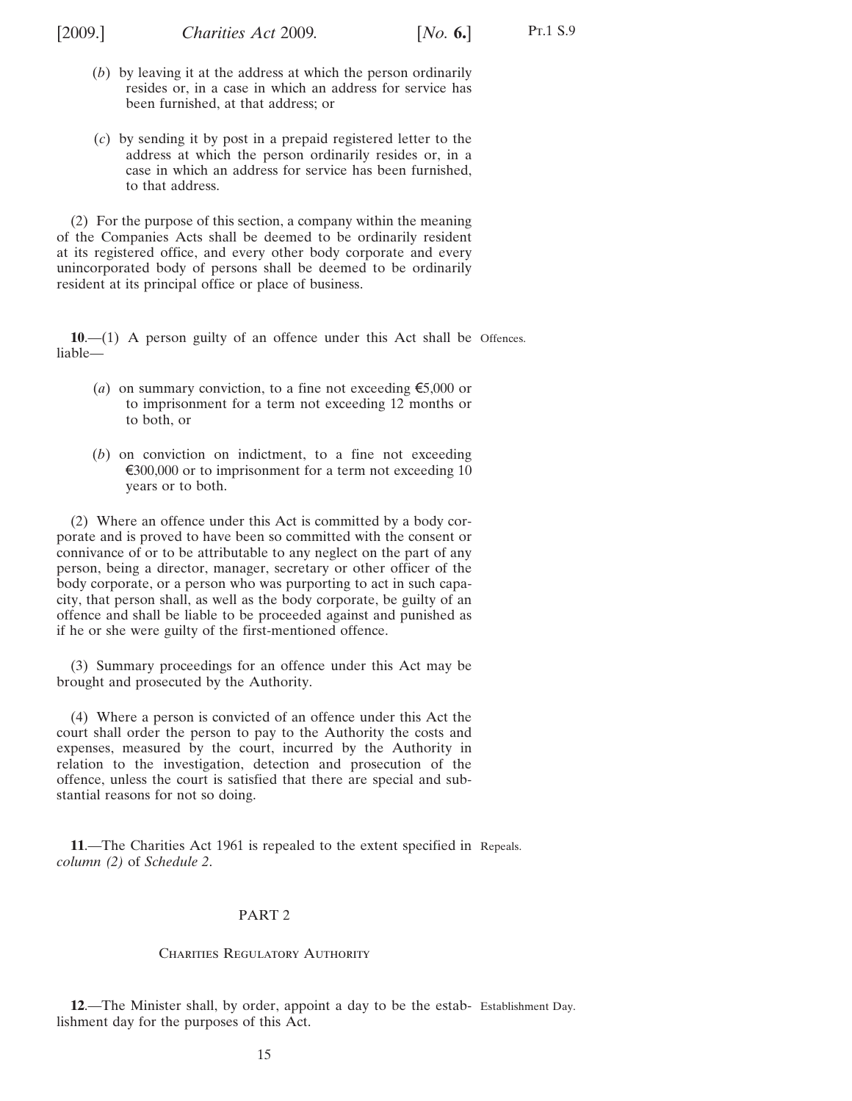<span id="page-14-0"></span>

Pt.1 S.9

- (*b*) by leaving it at the address at which the person ordinarily resides or, in a case in which an address for service has been furnished, at that address; or
- (*c*) by sending it by post in a prepaid registered letter to the address at which the person ordinarily resides or, in a case in which an address for service has been furnished, to that address.

(2) For the purpose of this section, a company within the meaning of the Companies Acts shall be deemed to be ordinarily resident at its registered office, and every other body corporate and every unincorporated body of persons shall be deemed to be ordinarily resident at its principal office or place of business.

**10**.—(1) A person guilty of an offence under this Act shall be Offences. liable—

- (*a*) on summary conviction, to a fine not exceeding  $\epsilon$ 5,000 or to imprisonment for a term not exceeding 12 months or to both, or
- (*b*) on conviction on indictment, to a fine not exceeding  $\epsilon$ 300,000 or to imprisonment for a term not exceeding 10 years or to both.

(2) Where an offence under this Act is committed by a body corporate and is proved to have been so committed with the consent or connivance of or to be attributable to any neglect on the part of any person, being a director, manager, secretary or other officer of the body corporate, or a person who was purporting to act in such capacity, that person shall, as well as the body corporate, be guilty of an offence and shall be liable to be proceeded against and punished as if he or she were guilty of the first-mentioned offence.

(3) Summary proceedings for an offence under this Act may be brought and prosecuted by the Authority.

(4) Where a person is convicted of an offence under this Act the court shall order the person to pay to the Authority the costs and expenses, measured by the court, incurred by the Authority in relation to the investigation, detection and prosecution of the offence, unless the court is satisfied that there are special and substantial reasons for not so doing.

**11**.—The Charities Act 1961 is repealed to the extent specified in Repeals. *column (2)* of *[Schedule 2](#page-81-0)*.

#### PART 2

#### CHARITIES REGULATORY AUTHORITY

**12**.—The Minister shall, by order, appoint a day to be the estab-Establishment Day.lishment day for the purposes of this Act.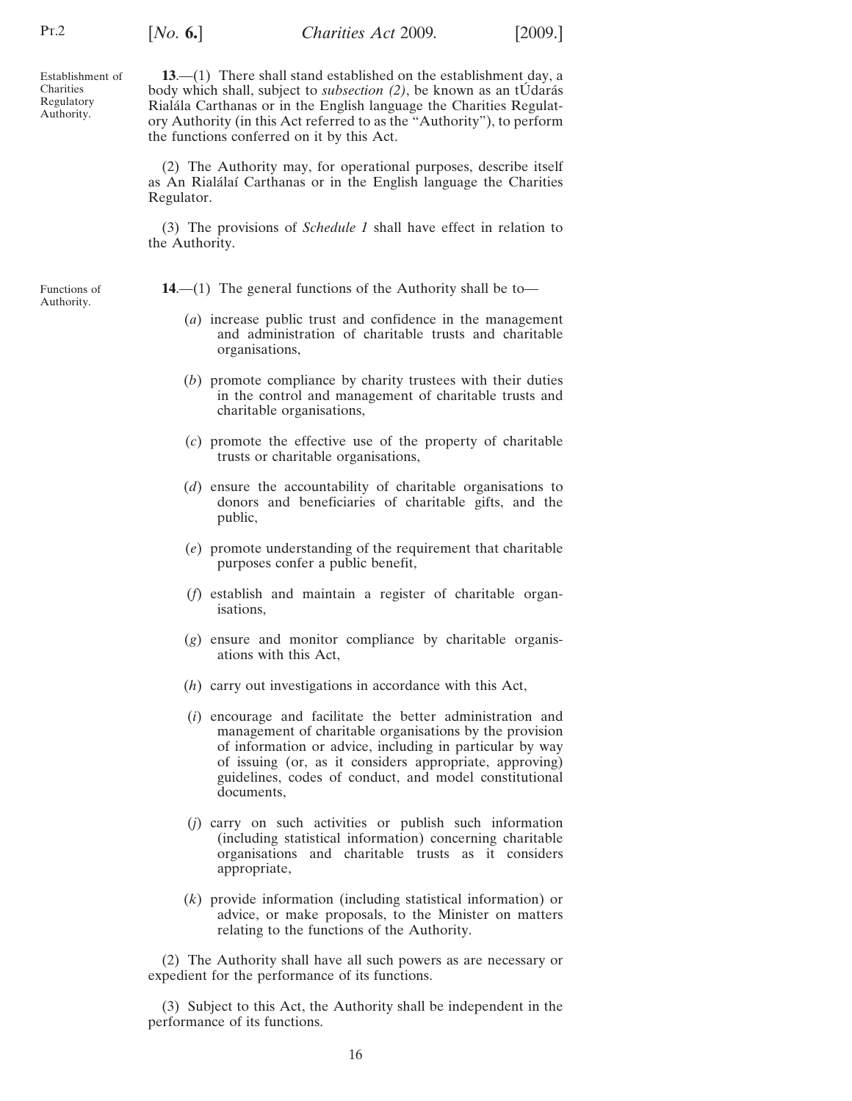<span id="page-15-0"></span>Establishment of Charities Regulatory Authority.

[*No.* **6.**] [2009.] *Charities Act* 2009*.*

**13**.—(1) There shall stand established on the establishment day, a body which shall, subject to *subsection* (2), be known as an tUdarás Rialála Carthanas or in the English language the Charities Regulatory Authority (in this Act referred to as the "Authority"), to perform the functions conferred on it by this Act.

(2) The Authority may, for operational purposes, describe itself as An Rialálaí Carthanas or in the English language the Charities Regulator.

(3) The provisions of *Schedule 1* shall have effect in relation to the Authority.

Functions of Authority.

**14.—(1)** The general functions of the Authority shall be to—

- (*a*) increase public trust and confidence in the management and administration of charitable trusts and charitable organisations,
- (*b*) promote compliance by charity trustees with their duties in the control and management of charitable trusts and charitable organisations,
- (*c*) promote the effective use of the property of charitable trusts or charitable organisations,
- (*d*) ensure the accountability of charitable organisations to donors and beneficiaries of charitable gifts, and the public,
- (*e*) promote understanding of the requirement that charitable purposes confer a public benefit,
- (*f*) establish and maintain a register of charitable organisations,
- (*g*) ensure and monitor compliance by charitable organisations with this Act,
- (*h*) carry out investigations in accordance with this Act,
- (*i*) encourage and facilitate the better administration and management of charitable organisations by the provision of information or advice, including in particular by way of issuing (or, as it considers appropriate, approving) guidelines, codes of conduct, and model constitutional documents,
- (*j*) carry on such activities or publish such information (including statistical information) concerning charitable organisations and charitable trusts as it considers appropriate,
- (*k*) provide information (including statistical information) or advice, or make proposals, to the Minister on matters relating to the functions of the Authority.

(2) The Authority shall have all such powers as are necessary or expedient for the performance of its functions.

(3) Subject to this Act, the Authority shall be independent in the performance of its functions.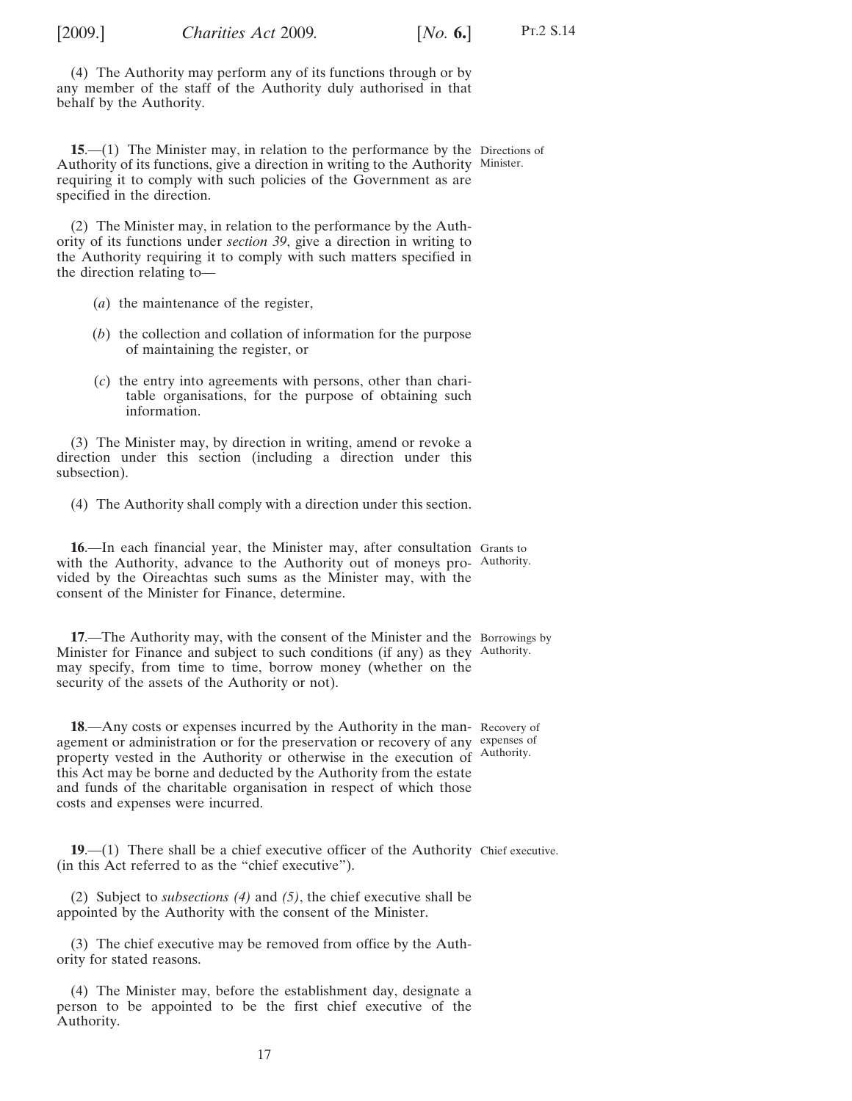<span id="page-16-0"></span>

(4) The Authority may perform any of its functions through or by any member of the staff of the Authority duly authorised in that behalf by the Authority.

**15.**—(1) The Minister may, in relation to the performance by the Directions of Authority of its functions, give a direction in writing to the Authority Minister. requiring it to comply with such policies of the Government as are specified in the direction.

(2) The Minister may, in relation to the performance by the Authority of its functions under *section [39](#page-27-0)*, give a direction in writing to the Authority requiring it to comply with such matters specified in the direction relating to—

- (*a*) the maintenance of the register,
- (*b*) the collection and collation of information for the purpose of maintaining the register, or
- (*c*) the entry into agreements with persons, other than charitable organisations, for the purpose of obtaining such information.

(3) The Minister may, by direction in writing, amend or revoke a direction under this section (including a direction under this subsection).

(4) The Authority shall comply with a direction under this section.

**16**.—In each financial year, the Minister may, after consultation Grants to with the Authority, advance to the Authority out of moneys pro- Authority. vided by the Oireachtas such sums as the Minister may, with the consent of the Minister for Finance, determine.

**17.**—The Authority may, with the consent of the Minister and the Borrowings by Minister for Finance and subject to such conditions (if any) as they Authority. may specify, from time to time, borrow money (whether on the security of the assets of the Authority or not).

**18**.—Any costs or expenses incurred by the Authority in the man-Recovery of agement or administration or for the preservation or recovery of any expenses of property vested in the Authority or otherwise in the execution of Authority. this Act may be borne and deducted by the Authority from the estate and funds of the charitable organisation in respect of which those costs and expenses were incurred.

**19.**—(1) There shall be a chief executive officer of the Authority Chief executive. (in this Act referred to as the "chief executive").

(2) Subject to *subsections (4)* and *[\(5\)](#page-17-0)*, the chief executive shall be appointed by the Authority with the consent of the Minister.

(3) The chief executive may be removed from office by the Authority for stated reasons.

(4) The Minister may, before the establishment day, designate a person to be appointed to be the first chief executive of the Authority.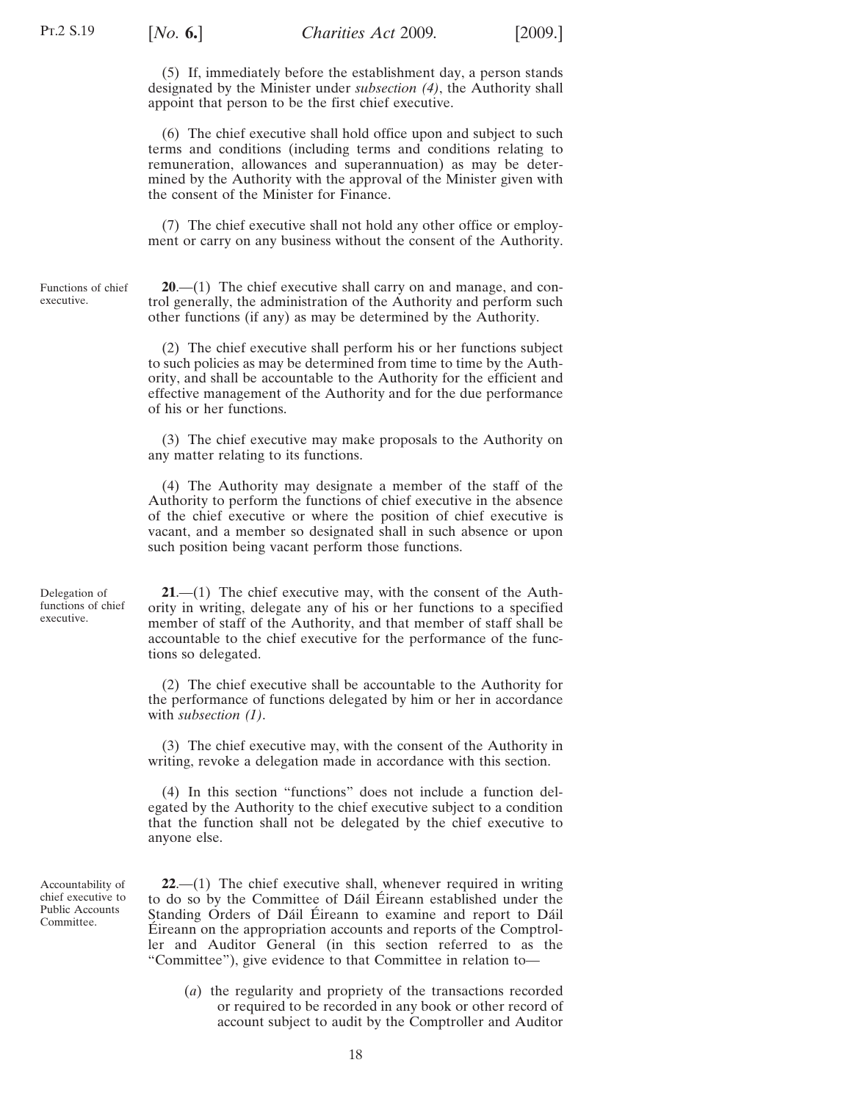<span id="page-17-0"></span>

(5) If, immediately before the establishment day, a person stands designated by the Minister under *subsection [\(4\)](#page-16-0)*, the Authority shall appoint that person to be the first chief executive.

(6) The chief executive shall hold office upon and subject to such terms and conditions (including terms and conditions relating to remuneration, allowances and superannuation) as may be determined by the Authority with the approval of the Minister given with the consent of the Minister for Finance.

(7) The chief executive shall not hold any other office or employment or carry on any business without the consent of the Authority.

Functions of chief executive.

**20**.—(1) The chief executive shall carry on and manage, and control generally, the administration of the Authority and perform such other functions (if any) as may be determined by the Authority.

(2) The chief executive shall perform his or her functions subject to such policies as may be determined from time to time by the Authority, and shall be accountable to the Authority for the efficient and effective management of the Authority and for the due performance of his or her functions.

(3) The chief executive may make proposals to the Authority on any matter relating to its functions.

(4) The Authority may designate a member of the staff of the Authority to perform the functions of chief executive in the absence of the chief executive or where the position of chief executive is vacant, and a member so designated shall in such absence or upon such position being vacant perform those functions.

Delegation of functions of chief executive.

**21**.—(1) The chief executive may, with the consent of the Authority in writing, delegate any of his or her functions to a specified member of staff of the Authority, and that member of staff shall be accountable to the chief executive for the performance of the functions so delegated.

(2) The chief executive shall be accountable to the Authority for the performance of functions delegated by him or her in accordance with *subsection (1)*.

(3) The chief executive may, with the consent of the Authority in writing, revoke a delegation made in accordance with this section.

(4) In this section "functions" does not include a function delegated by the Authority to the chief executive subject to a condition that the function shall not be delegated by the chief executive to anyone else.

Accountability of chief executive to Public Accounts Committee.

**22**.—(1) The chief executive shall, whenever required in writing to do so by the Committee of Dáil Éireann established under the Standing Orders of Dáil Éireann to examine and report to Dáil Eireann on the appropriation accounts and reports of the Comptroller and Auditor General (in this section referred to as the "Committee"), give evidence to that Committee in relation to—

(*a*) the regularity and propriety of the transactions recorded or required to be recorded in any book or other record of account subject to audit by the Comptroller and Auditor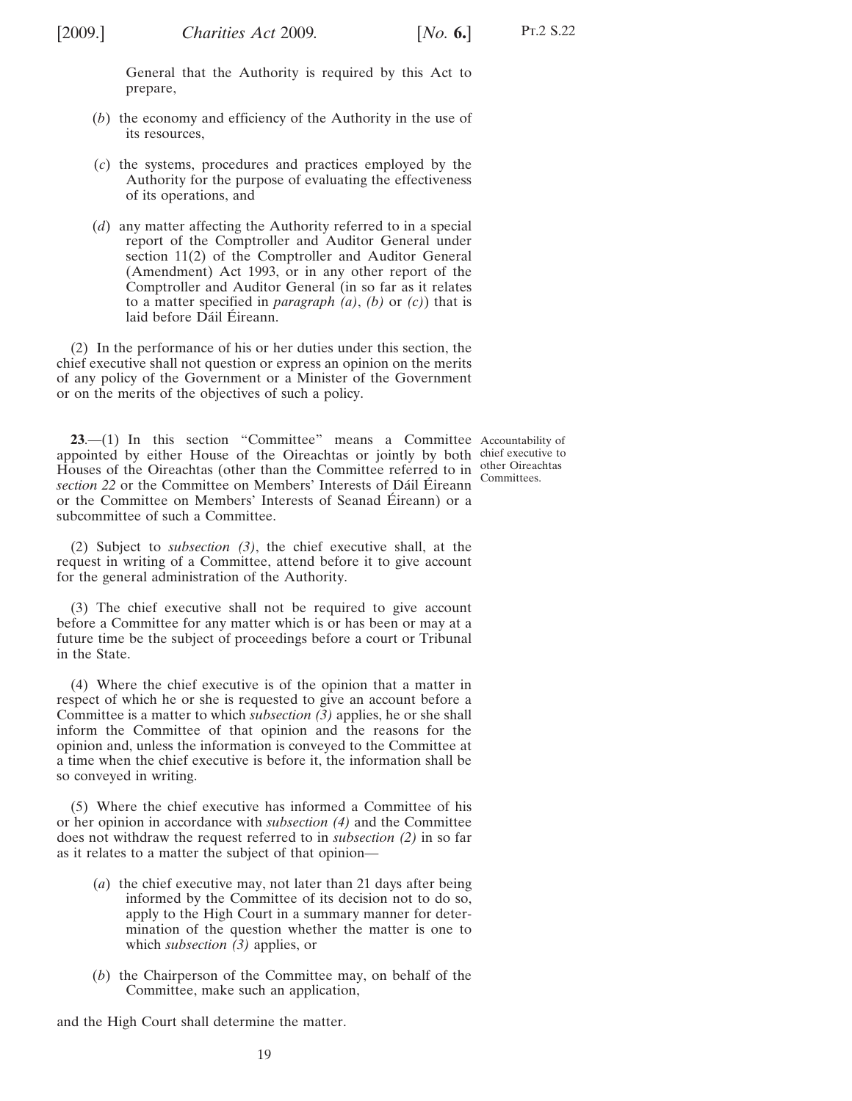<span id="page-18-0"></span>General that the Authority is required by this Act to prepare,

- (*b*) the economy and efficiency of the Authority in the use of its resources,
- (*c*) the systems, procedures and practices employed by the Authority for the purpose of evaluating the effectiveness of its operations, and
- (*d*) any matter affecting the Authority referred to in a special report of the Comptroller and Auditor General under section 11(2) of the Comptroller and Auditor General (Amendment) Act 1993, or in any other report of the Comptroller and Auditor General (in so far as it relates to a matter specified in *paragraph [\(a\)](#page-17-0)*, *(b)* or *(c)*) that is laid before Dáil Éireann.

(2) In the performance of his or her duties under this section, the chief executive shall not question or express an opinion on the merits of any policy of the Government or a Minister of the Government or on the merits of the objectives of such a policy.

**23.**—(1) In this section "Committee" means a Committee Accountability of appointed by either House of the Oireachtas or jointly by both chief executive to Houses of the Oireachtas (other than the Committee referred to in  $\frac{\text{other Orineathas}}{\text{Commitices}}$ *section* [22](#page-17-0) or the Committee on Members' Interests of Dáil Éireann or the Committee on Members' Interests of Seanad Éireann) or a subcommittee of such a Committee.

Committees.

(2) Subject to *subsection (3)*, the chief executive shall, at the request in writing of a Committee, attend before it to give account for the general administration of the Authority.

(3) The chief executive shall not be required to give account before a Committee for any matter which is or has been or may at a future time be the subject of proceedings before a court or Tribunal in the State.

(4) Where the chief executive is of the opinion that a matter in respect of which he or she is requested to give an account before a Committee is a matter to which *subsection (3)* applies, he or she shall inform the Committee of that opinion and the reasons for the opinion and, unless the information is conveyed to the Committee at a time when the chief executive is before it, the information shall be so conveyed in writing.

(5) Where the chief executive has informed a Committee of his or her opinion in accordance with *subsection (4)* and the Committee does not withdraw the request referred to in *subsection (2)* in so far as it relates to a matter the subject of that opinion—

- (*a*) the chief executive may, not later than 21 days after being informed by the Committee of its decision not to do so, apply to the High Court in a summary manner for determination of the question whether the matter is one to which *subsection (3)* applies, or
- (*b*) the Chairperson of the Committee may, on behalf of the Committee, make such an application,

and the High Court shall determine the matter.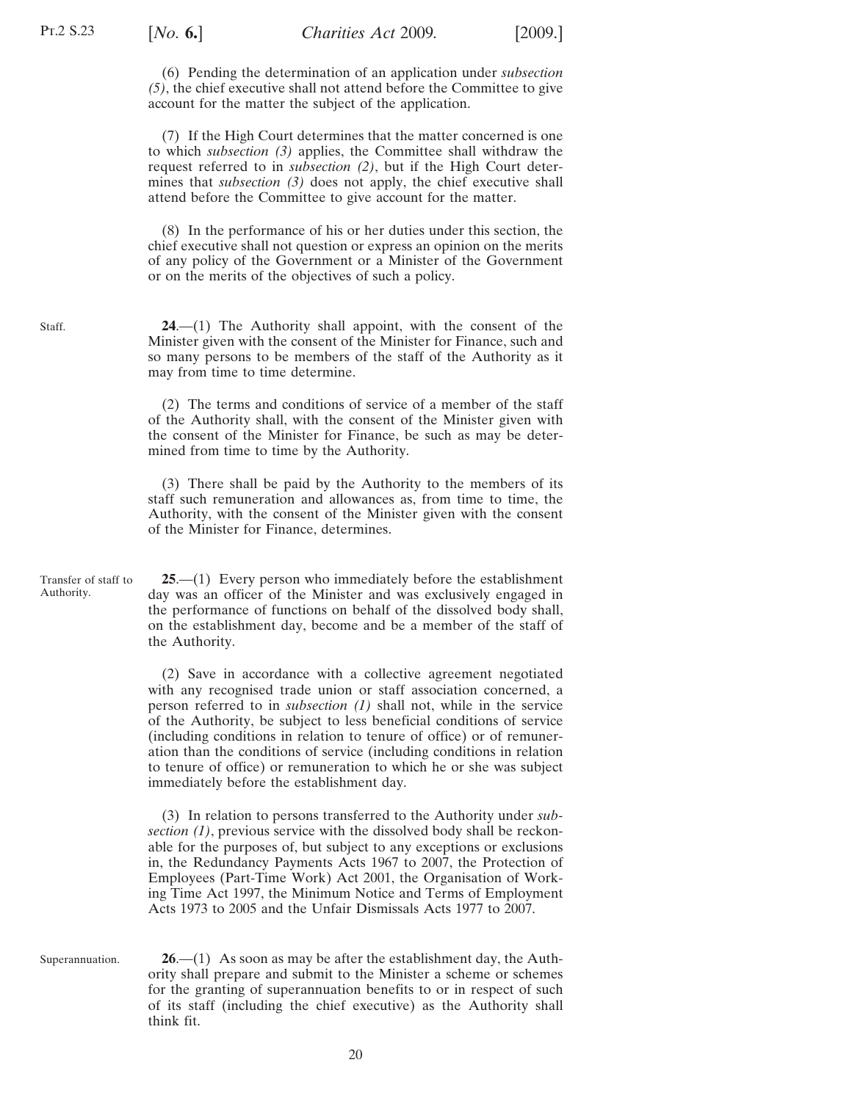<span id="page-19-0"></span>(6) Pending the determination of an application under *subsection [\(5\)](#page-18-0)*, the chief executive shall not attend before the Committee to give account for the matter the subject of the application.

(7) If the High Court determines that the matter concerned is one to which *subsection [\(3\)](#page-18-0)* applies, the Committee shall withdraw the request referred to in *subsection [\(2\)](#page-18-0)*, but if the High Court determines that *subsection* [\(3\)](#page-18-0) does not apply, the chief executive shall attend before the Committee to give account for the matter.

(8) In the performance of his or her duties under this section, the chief executive shall not question or express an opinion on the merits of any policy of the Government or a Minister of the Government or on the merits of the objectives of such a policy.

**24**.—(1) The Authority shall appoint, with the consent of the Minister given with the consent of the Minister for Finance, such and so many persons to be members of the staff of the Authority as it may from time to time determine.

(2) The terms and conditions of service of a member of the staff of the Authority shall, with the consent of the Minister given with the consent of the Minister for Finance, be such as may be determined from time to time by the Authority.

(3) There shall be paid by the Authority to the members of its staff such remuneration and allowances as, from time to time, the Authority, with the consent of the Minister given with the consent of the Minister for Finance, determines.

Transfer of staff to Authority. **25**.—(1) Every person who immediately before the establishment day was an officer of the Minister and was exclusively engaged in the performance of functions on behalf of the dissolved body shall, on the establishment day, become and be a member of the staff of the Authority.

> (2) Save in accordance with a collective agreement negotiated with any recognised trade union or staff association concerned, a person referred to in *subsection (1)* shall not, while in the service of the Authority, be subject to less beneficial conditions of service (including conditions in relation to tenure of office) or of remuneration than the conditions of service (including conditions in relation to tenure of office) or remuneration to which he or she was subject immediately before the establishment day.

> (3) In relation to persons transferred to the Authority under *subsection (1)*, previous service with the dissolved body shall be reckonable for the purposes of, but subject to any exceptions or exclusions in, the Redundancy Payments Acts 1967 to 2007, the Protection of Employees (Part-Time Work) Act 2001, the Organisation of Working Time Act 1997, the Minimum Notice and Terms of Employment Acts 1973 to 2005 and the Unfair Dismissals Acts 1977 to 2007.

Superannuation. **26**.—(1) As soon as may be after the establishment day, the Authority shall prepare and submit to the Minister a scheme or schemes for the granting of superannuation benefits to or in respect of such of its staff (including the chief executive) as the Authority shall think fit.

Staff.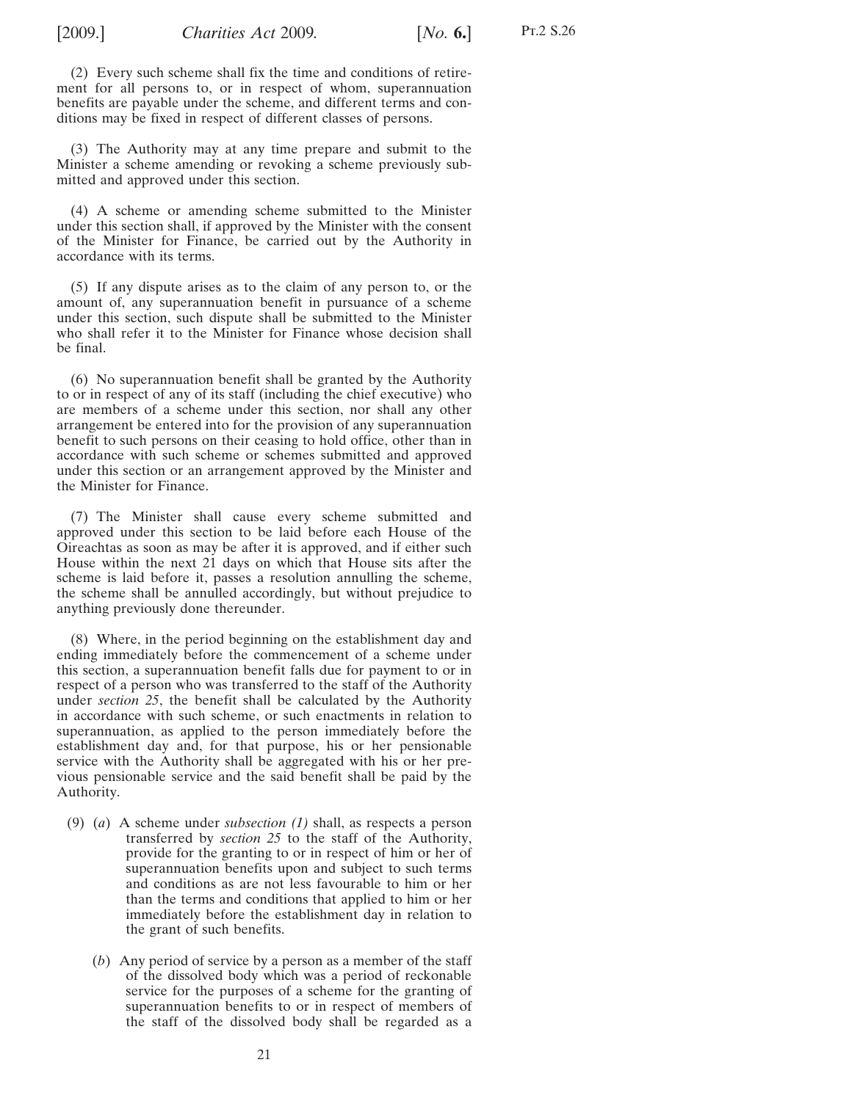(2) Every such scheme shall fix the time and conditions of retirement for all persons to, or in respect of whom, superannuation benefits are payable under the scheme, and different terms and conditions may be fixed in respect of different classes of persons.

(3) The Authority may at any time prepare and submit to the Minister a scheme amending or revoking a scheme previously submitted and approved under this section.

(4) A scheme or amending scheme submitted to the Minister under this section shall, if approved by the Minister with the consent of the Minister for Finance, be carried out by the Authority in accordance with its terms.

(5) If any dispute arises as to the claim of any person to, or the amount of, any superannuation benefit in pursuance of a scheme under this section, such dispute shall be submitted to the Minister who shall refer it to the Minister for Finance whose decision shall be final.

(6) No superannuation benefit shall be granted by the Authority to or in respect of any of its staff (including the chief executive) who are members of a scheme under this section, nor shall any other arrangement be entered into for the provision of any superannuation benefit to such persons on their ceasing to hold office, other than in accordance with such scheme or schemes submitted and approved under this section or an arrangement approved by the Minister and the Minister for Finance.

(7) The Minister shall cause every scheme submitted and approved under this section to be laid before each House of the Oireachtas as soon as may be after it is approved, and if either such House within the next 21 days on which that House sits after the scheme is laid before it, passes a resolution annulling the scheme, the scheme shall be annulled accordingly, but without prejudice to anything previously done thereunder.

(8) Where, in the period beginning on the establishment day and ending immediately before the commencement of a scheme under this section, a superannuation benefit falls due for payment to or in respect of a person who was transferred to the staff of the Authority under *section [25](#page-19-0)*, the benefit shall be calculated by the Authority in accordance with such scheme, or such enactments in relation to superannuation, as applied to the person immediately before the establishment day and, for that purpose, his or her pensionable service with the Authority shall be aggregated with his or her previous pensionable service and the said benefit shall be paid by the Authority.

- (9) (*a*) A scheme under *subsection [\(1\)](#page-19-0)* shall, as respects a person transferred by *section [25](#page-19-0)* to the staff of the Authority, provide for the granting to or in respect of him or her of superannuation benefits upon and subject to such terms and conditions as are not less favourable to him or her than the terms and conditions that applied to him or her immediately before the establishment day in relation to the grant of such benefits.
	- (*b*) Any period of service by a person as a member of the staff of the dissolved body which was a period of reckonable service for the purposes of a scheme for the granting of superannuation benefits to or in respect of members of the staff of the dissolved body shall be regarded as a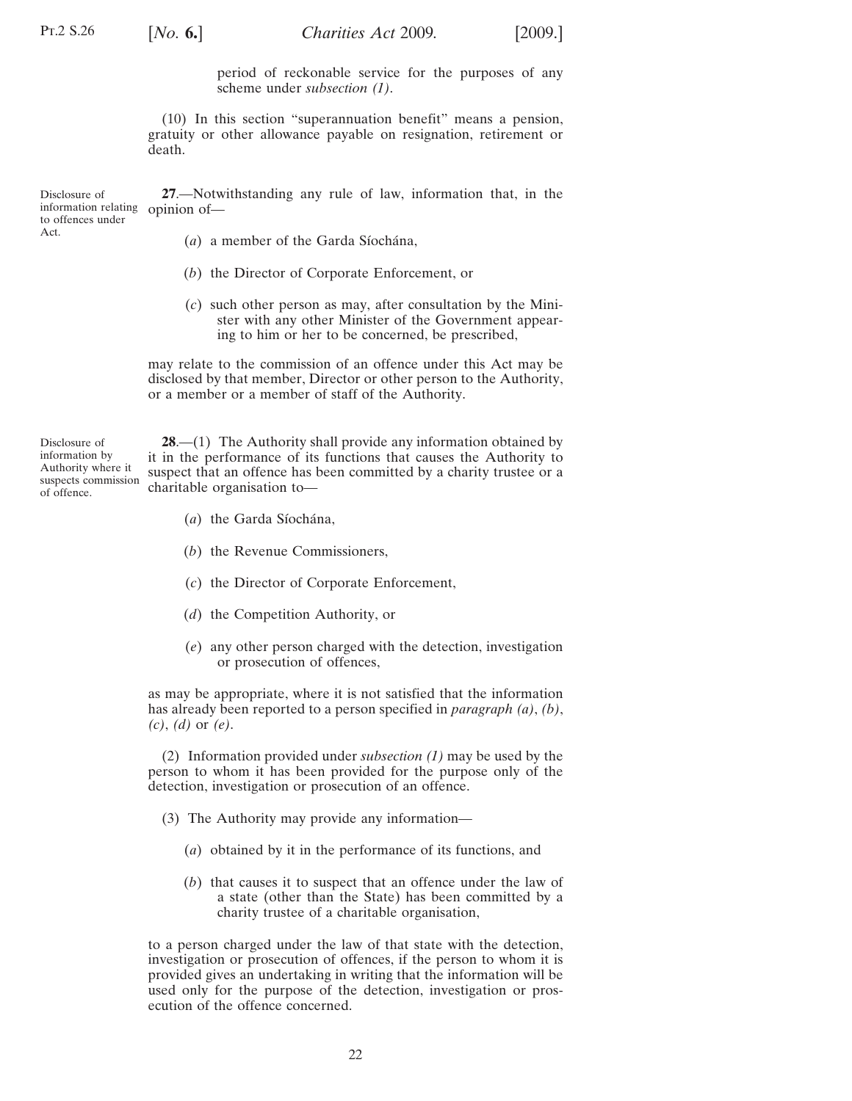<span id="page-21-0"></span>

period of reckonable service for the purposes of any scheme under *subsection [\(1\)](#page-19-0)*.

(10) In this section "superannuation benefit" means a pension, gratuity or other allowance payable on resignation, retirement or death.

Disclosure of information relating opinion of to offences under **27**.—Notwithstanding any rule of law, information that, in the

Act.

(*a*) a member of the Garda Síochána,

- (*b*) the Director of Corporate Enforcement, or
- (*c*) such other person as may, after consultation by the Minister with any other Minister of the Government appearing to him or her to be concerned, be prescribed,

may relate to the commission of an offence under this Act may be disclosed by that member, Director or other person to the Authority, or a member or a member of staff of the Authority.

Disclosure of information by Authority where it suspects commission of offence.

**28**.—(1) The Authority shall provide any information obtained by it in the performance of its functions that causes the Authority to suspect that an offence has been committed by a charity trustee or a charitable organisation to—

- (a) the Garda Síochána,
- (*b*) the Revenue Commissioners,
- (*c*) the Director of Corporate Enforcement,
- (*d*) the Competition Authority, or
- (*e*) any other person charged with the detection, investigation or prosecution of offences,

as may be appropriate, where it is not satisfied that the information has already been reported to a person specified in *paragraph (a)*, *(b)*, *(c)*, *(d)* or *(e)*.

(2) Information provided under *subsection (1)* may be used by the person to whom it has been provided for the purpose only of the detection, investigation or prosecution of an offence.

- (3) The Authority may provide any information—
	- (*a*) obtained by it in the performance of its functions, and
	- (*b*) that causes it to suspect that an offence under the law of a state (other than the State) has been committed by a charity trustee of a charitable organisation,

to a person charged under the law of that state with the detection, investigation or prosecution of offences, if the person to whom it is provided gives an undertaking in writing that the information will be used only for the purpose of the detection, investigation or prosecution of the offence concerned.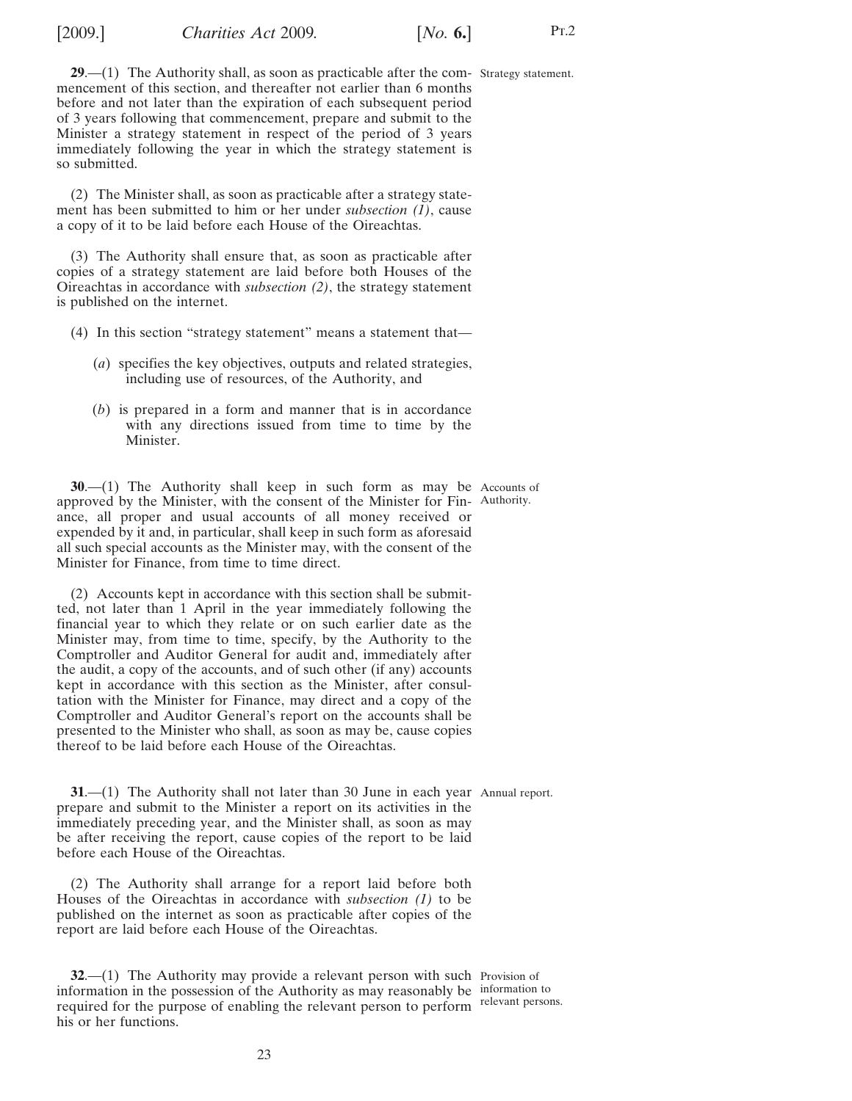<span id="page-22-0"></span>

**29.**—(1) The Authority shall, as soon as practicable after the com- Strategy statement. mencement of this section, and thereafter not earlier than 6 months before and not later than the expiration of each subsequent period of 3 years following that commencement, prepare and submit to the Minister a strategy statement in respect of the period of 3 years immediately following the year in which the strategy statement is so submitted.

(2) The Minister shall, as soon as practicable after a strategy statement has been submitted to him or her under *subsection (1)*, cause a copy of it to be laid before each House of the Oireachtas.

(3) The Authority shall ensure that, as soon as practicable after copies of a strategy statement are laid before both Houses of the Oireachtas in accordance with *subsection (2)*, the strategy statement is published on the internet.

- (4) In this section "strategy statement" means a statement that—
	- (*a*) specifies the key objectives, outputs and related strategies, including use of resources, of the Authority, and
	- (*b*) is prepared in a form and manner that is in accordance with any directions issued from time to time by the Minister.

**30.**—(1) The Authority shall keep in such form as may be Accounts of approved by the Minister, with the consent of the Minister for Fin-Authority. ance, all proper and usual accounts of all money received or expended by it and, in particular, shall keep in such form as aforesaid all such special accounts as the Minister may, with the consent of the Minister for Finance, from time to time direct.

(2) Accounts kept in accordance with this section shall be submitted, not later than 1 April in the year immediately following the financial year to which they relate or on such earlier date as the Minister may, from time to time, specify, by the Authority to the Comptroller and Auditor General for audit and, immediately after the audit, a copy of the accounts, and of such other (if any) accounts kept in accordance with this section as the Minister, after consultation with the Minister for Finance, may direct and a copy of the Comptroller and Auditor General's report on the accounts shall be presented to the Minister who shall, as soon as may be, cause copies thereof to be laid before each House of the Oireachtas.

**31.**—(1) The Authority shall not later than 30 June in each year Annual report. prepare and submit to the Minister a report on its activities in the immediately preceding year, and the Minister shall, as soon as may be after receiving the report, cause copies of the report to be laid before each House of the Oireachtas.

(2) The Authority shall arrange for a report laid before both Houses of the Oireachtas in accordance with *subsection (1)* to be published on the internet as soon as practicable after copies of the report are laid before each House of the Oireachtas.

**32.**—(1) The Authority may provide a relevant person with such Provision of information in the possession of the Authority as may reasonably be information to required for the purpose of enabling the relevant person to perform relevant persons. his or her functions.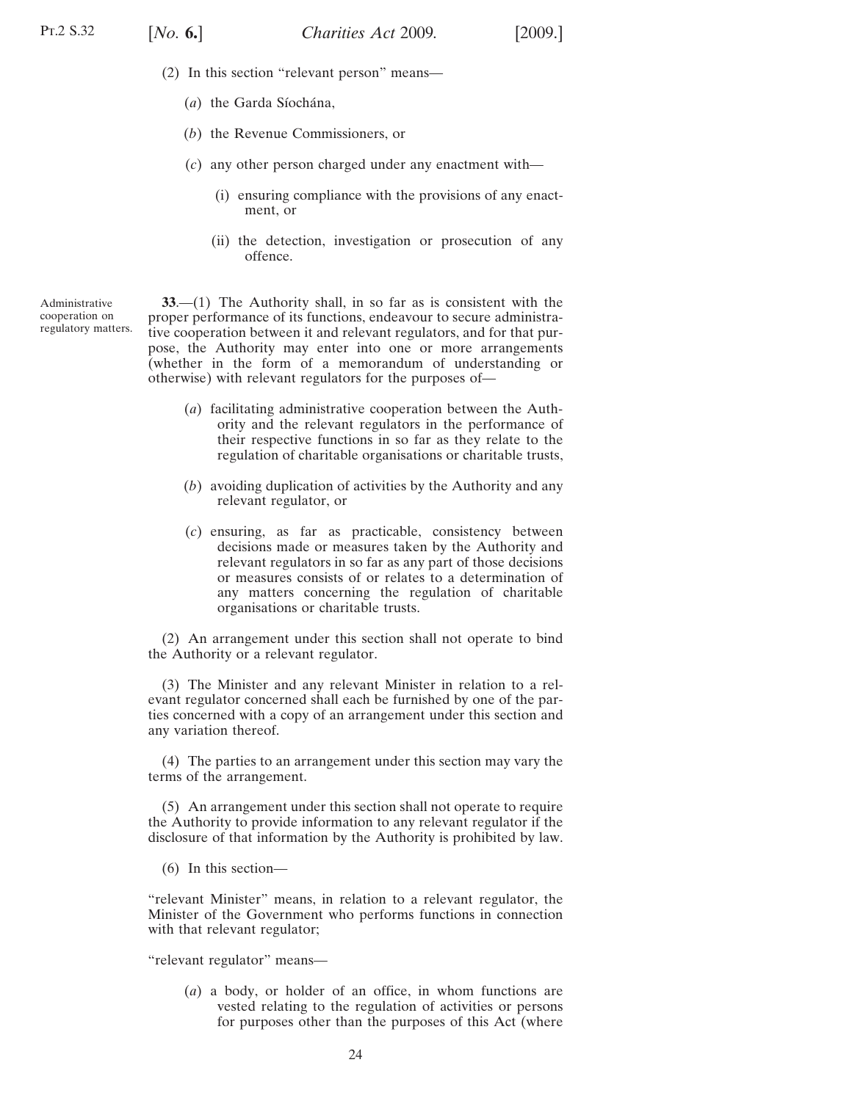- <span id="page-23-0"></span>(2) In this section "relevant person" means—
	- (*a*) the Garda Síochána,
	- (*b*) the Revenue Commissioners, or
	- (*c*) any other person charged under any enactment with—
		- (i) ensuring compliance with the provisions of any enactment, or
		- (ii) the detection, investigation or prosecution of any offence.

Administrative cooperation on regulatory matters.

**33**.—(1) The Authority shall, in so far as is consistent with the proper performance of its functions, endeavour to secure administrative cooperation between it and relevant regulators, and for that purpose, the Authority may enter into one or more arrangements (whether in the form of a memorandum of understanding or otherwise) with relevant regulators for the purposes of—

- (*a*) facilitating administrative cooperation between the Authority and the relevant regulators in the performance of their respective functions in so far as they relate to the regulation of charitable organisations or charitable trusts,
- (*b*) avoiding duplication of activities by the Authority and any relevant regulator, or
- (*c*) ensuring, as far as practicable, consistency between decisions made or measures taken by the Authority and relevant regulators in so far as any part of those decisions or measures consists of or relates to a determination of any matters concerning the regulation of charitable organisations or charitable trusts.

(2) An arrangement under this section shall not operate to bind the Authority or a relevant regulator.

(3) The Minister and any relevant Minister in relation to a relevant regulator concerned shall each be furnished by one of the parties concerned with a copy of an arrangement under this section and any variation thereof.

(4) The parties to an arrangement under this section may vary the terms of the arrangement.

(5) An arrangement under this section shall not operate to require the Authority to provide information to any relevant regulator if the disclosure of that information by the Authority is prohibited by law.

(6) In this section—

"relevant Minister" means, in relation to a relevant regulator, the Minister of the Government who performs functions in connection with that relevant regulator;

"relevant regulator" means—

(*a*) a body, or holder of an office, in whom functions are vested relating to the regulation of activities or persons for purposes other than the purposes of this Act (where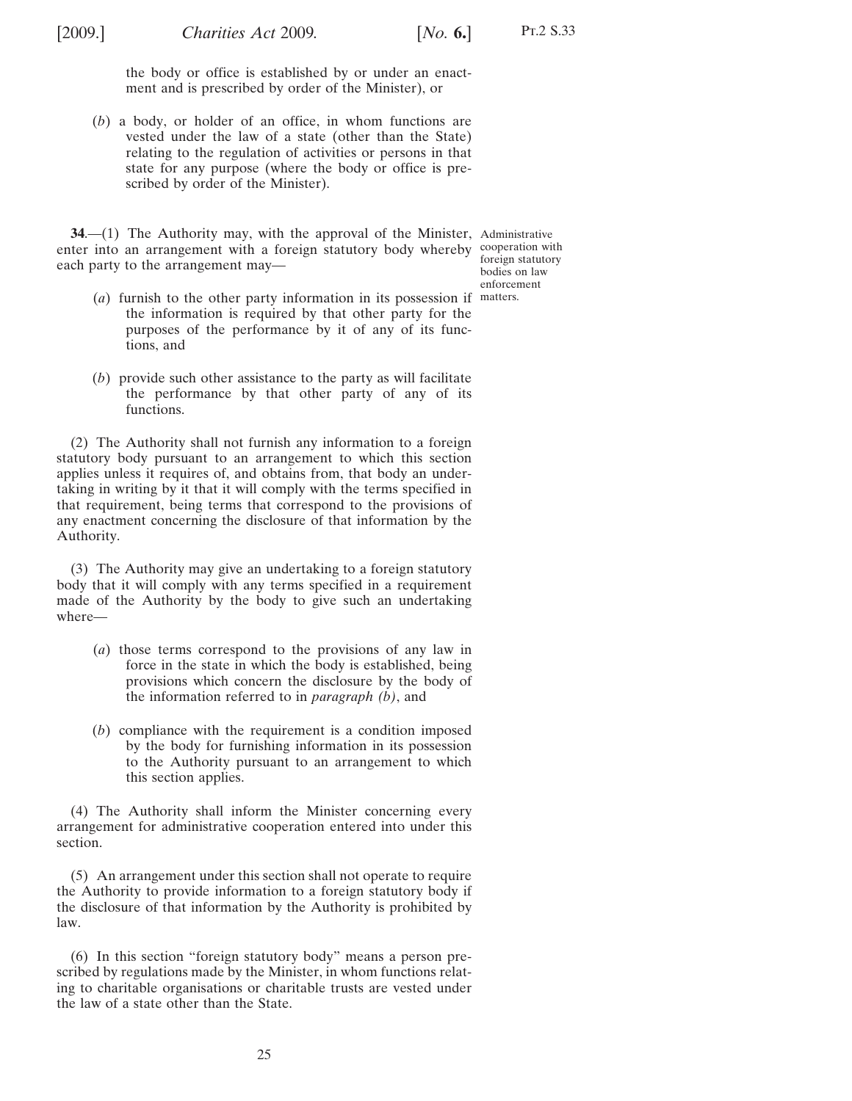<span id="page-24-0"></span>

the body or office is established by or under an enactment and is prescribed by order of the Minister), or

(*b*) a body, or holder of an office, in whom functions are vested under the law of a state (other than the State) relating to the regulation of activities or persons in that state for any purpose (where the body or office is prescribed by order of the Minister).

**34.** (1) The Authority may, with the approval of the Minister, Administrative enter into an arrangement with a foreign statutory body whereby cooperation with each party to the arrangement may—

foreign statutory bodies on law enforcement

- (*a*) furnish to the other party information in its possession if matters.the information is required by that other party for the purposes of the performance by it of any of its functions, and
- (*b*) provide such other assistance to the party as will facilitate the performance by that other party of any of its functions.

(2) The Authority shall not furnish any information to a foreign statutory body pursuant to an arrangement to which this section applies unless it requires of, and obtains from, that body an undertaking in writing by it that it will comply with the terms specified in that requirement, being terms that correspond to the provisions of any enactment concerning the disclosure of that information by the Authority.

(3) The Authority may give an undertaking to a foreign statutory body that it will comply with any terms specified in a requirement made of the Authority by the body to give such an undertaking where—

- (*a*) those terms correspond to the provisions of any law in force in the state in which the body is established, being provisions which concern the disclosure by the body of the information referred to in *paragraph (b)*, and
- (*b*) compliance with the requirement is a condition imposed by the body for furnishing information in its possession to the Authority pursuant to an arrangement to which this section applies.

(4) The Authority shall inform the Minister concerning every arrangement for administrative cooperation entered into under this section.

(5) An arrangement under this section shall not operate to require the Authority to provide information to a foreign statutory body if the disclosure of that information by the Authority is prohibited by law.

(6) In this section "foreign statutory body" means a person prescribed by regulations made by the Minister, in whom functions relating to charitable organisations or charitable trusts are vested under the law of a state other than the State.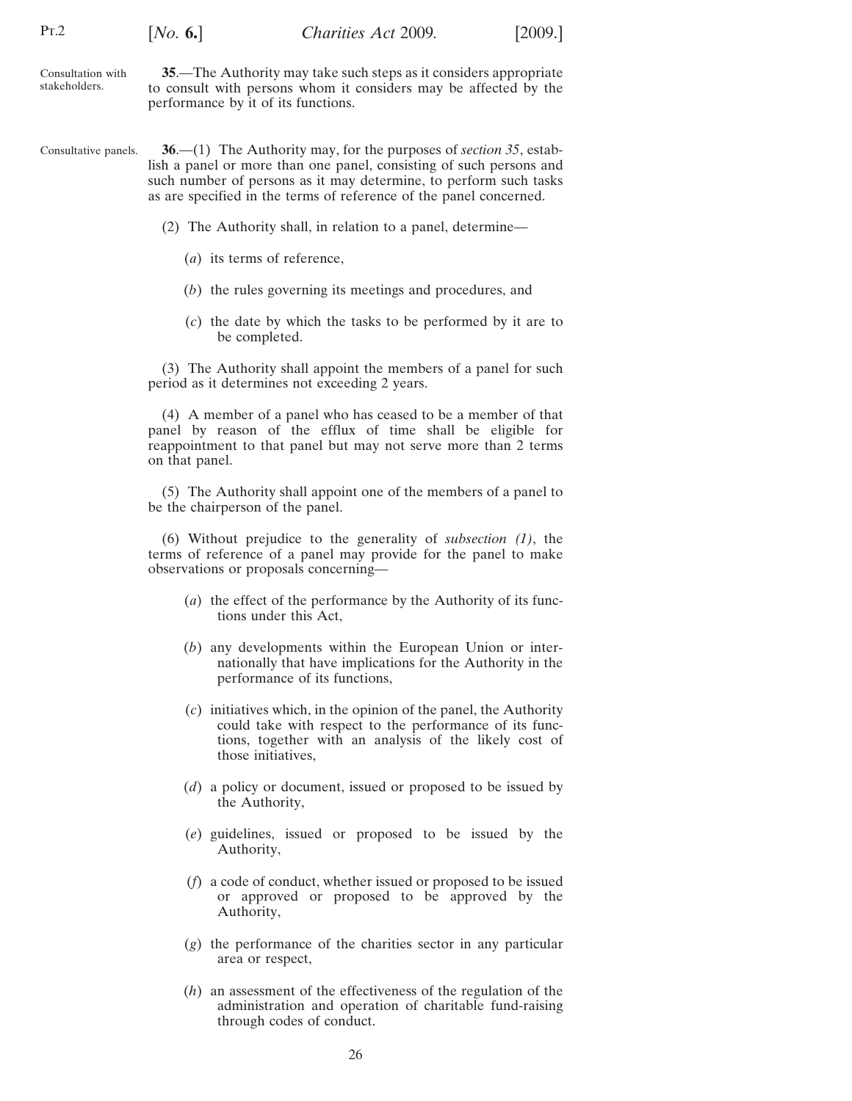<span id="page-25-0"></span>

| Pr.2                               | [No. 6.]                                                                                                                                                                     | Charities Act 2009. | [2009.] |  |
|------------------------------------|------------------------------------------------------------------------------------------------------------------------------------------------------------------------------|---------------------|---------|--|
| Consultation with<br>stakeholders. | 35.—The Authority may take such steps as it considers appropriate<br>to consult with persons whom it considers may be affected by the<br>performance by it of its functions. |                     |         |  |

- Consultative panels. **36**.—(1) The Authority may, for the purposes of *section 35*, establish a panel or more than one panel, consisting of such persons and such number of persons as it may determine, to perform such tasks as are specified in the terms of reference of the panel concerned.
	- (2) The Authority shall, in relation to a panel, determine—
		- (*a*) its terms of reference,
		- (*b*) the rules governing its meetings and procedures, and
		- (*c*) the date by which the tasks to be performed by it are to be completed.

(3) The Authority shall appoint the members of a panel for such period as it determines not exceeding 2 years.

(4) A member of a panel who has ceased to be a member of that panel by reason of the efflux of time shall be eligible for reappointment to that panel but may not serve more than 2 terms on that panel.

(5) The Authority shall appoint one of the members of a panel to be the chairperson of the panel.

(6) Without prejudice to the generality of *subsection (1)*, the terms of reference of a panel may provide for the panel to make observations or proposals concerning—

- (*a*) the effect of the performance by the Authority of its functions under this Act,
- (*b*) any developments within the European Union or internationally that have implications for the Authority in the performance of its functions,
- (*c*) initiatives which, in the opinion of the panel, the Authority could take with respect to the performance of its functions, together with an analysis of the likely cost of those initiatives,
- (*d*) a policy or document, issued or proposed to be issued by the Authority,
- (*e*) guidelines, issued or proposed to be issued by the Authority,
- (*f*) a code of conduct, whether issued or proposed to be issued or approved or proposed to be approved by the Authority,
- (*g*) the performance of the charities sector in any particular area or respect,
- (*h*) an assessment of the effectiveness of the regulation of the administration and operation of charitable fund-raising through codes of conduct.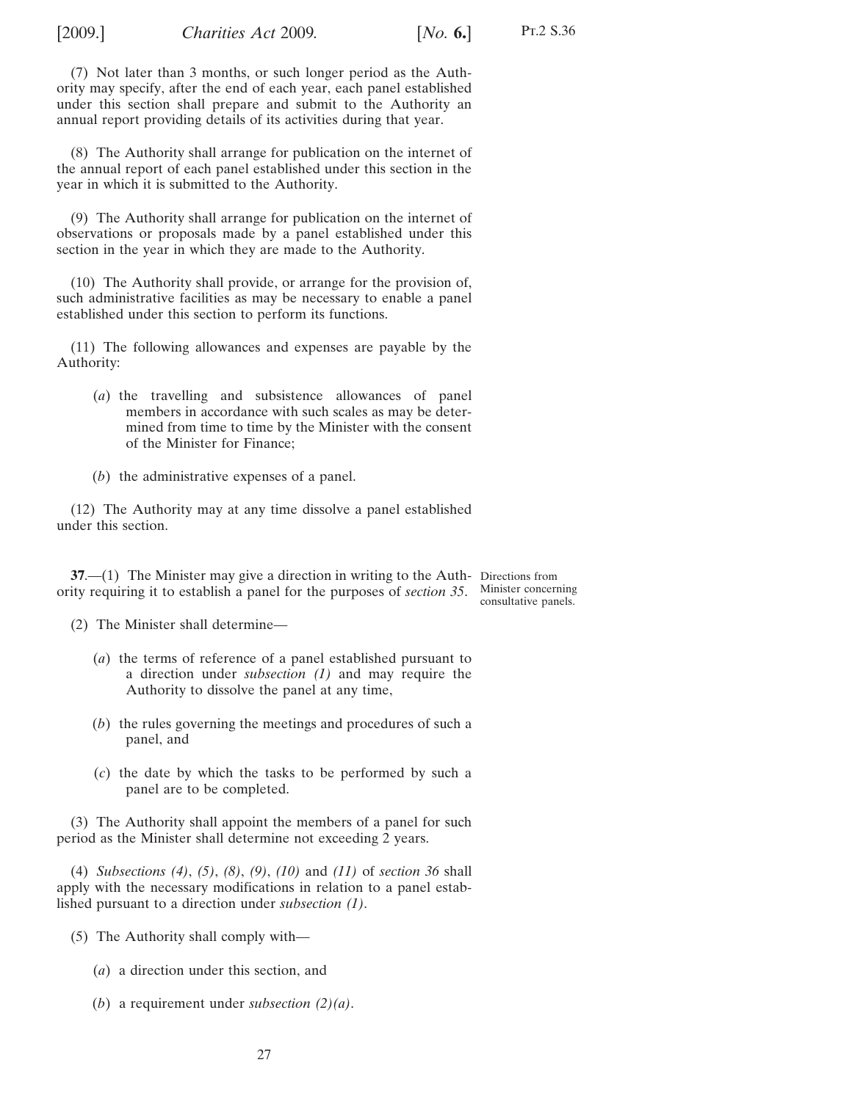<span id="page-26-0"></span>

(7) Not later than 3 months, or such longer period as the Authority may specify, after the end of each year, each panel established under this section shall prepare and submit to the Authority an annual report providing details of its activities during that year.

(8) The Authority shall arrange for publication on the internet of the annual report of each panel established under this section in the year in which it is submitted to the Authority.

(9) The Authority shall arrange for publication on the internet of observations or proposals made by a panel established under this section in the year in which they are made to the Authority.

(10) The Authority shall provide, or arrange for the provision of, such administrative facilities as may be necessary to enable a panel established under this section to perform its functions.

(11) The following allowances and expenses are payable by the Authority:

- (*a*) the travelling and subsistence allowances of panel members in accordance with such scales as may be determined from time to time by the Minister with the consent of the Minister for Finance;
- (*b*) the administrative expenses of a panel.

(12) The Authority may at any time dissolve a panel established under this section.

**37.**—(1) The Minister may give a direction in writing to the Auth-Directions from ority requiring it to establish a panel for the purposes of *section [35](#page-25-0)*. Minister concerning

consultative panels.

(2) The Minister shall determine—

- (*a*) the terms of reference of a panel established pursuant to a direction under *subsection (1)* and may require the Authority to dissolve the panel at any time,
- (*b*) the rules governing the meetings and procedures of such a panel, and
- (*c*) the date by which the tasks to be performed by such a panel are to be completed.

(3) The Authority shall appoint the members of a panel for such period as the Minister shall determine not exceeding 2 years.

(4) *Subsections [\(4\)](#page-25-0)*, *[\(5\)](#page-25-0)*, *(8)*, *(9)*, *(10)* and *(11)* of *section [36](#page-25-0)* shall apply with the necessary modifications in relation to a panel established pursuant to a direction under *subsection (1)*.

- (5) The Authority shall comply with—
	- (*a*) a direction under this section, and
	- (*b*) a requirement under *subsection (2)(a)*.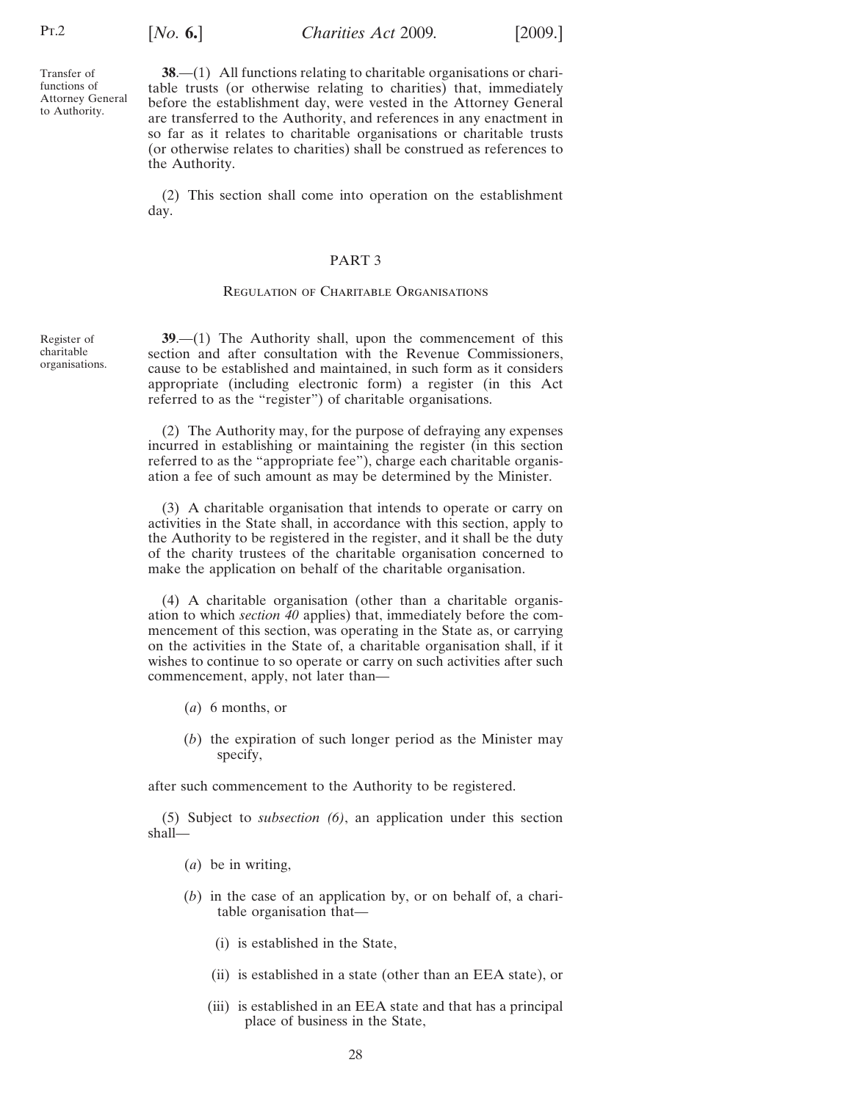[*No.* **6.**] [2009.] *Charities Act* 2009*.*

<span id="page-27-0"></span>Transfer of functions of Attorney General to Authority.

**38**.—(1) All functions relating to charitable organisations or charitable trusts (or otherwise relating to charities) that, immediately before the establishment day, were vested in the Attorney General are transferred to the Authority, and references in any enactment in so far as it relates to charitable organisations or charitable trusts (or otherwise relates to charities) shall be construed as references to the Authority.

(2) This section shall come into operation on the establishment day.

#### PART 3

#### Regulation of Charitable Organisations

**39**.—(1) The Authority shall, upon the commencement of this section and after consultation with the Revenue Commissioners, cause to be established and maintained, in such form as it considers appropriate (including electronic form) a register (in this Act referred to as the "register") of charitable organisations.

(2) The Authority may, for the purpose of defraying any expenses incurred in establishing or maintaining the register (in this section referred to as the "appropriate fee"), charge each charitable organisation a fee of such amount as may be determined by the Minister.

(3) A charitable organisation that intends to operate or carry on activities in the State shall, in accordance with this section, apply to the Authority to be registered in the register, and it shall be the duty of the charity trustees of the charitable organisation concerned to make the application on behalf of the charitable organisation.

(4) A charitable organisation (other than a charitable organisation to which *section [40](#page-31-0)* applies) that, immediately before the commencement of this section, was operating in the State as, or carrying on the activities in the State of, a charitable organisation shall, if it wishes to continue to so operate or carry on such activities after such commencement, apply, not later than—

- (*a*) 6 months, or
- (*b*) the expiration of such longer period as the Minister may specify,

after such commencement to the Authority to be registered.

(5) Subject to *subsection [\(6\)](#page-29-0)*, an application under this section shall—

- (*a*) be in writing,
- (*b*) in the case of an application by, or on behalf of, a charitable organisation that—
	- (i) is established in the State,
	- (ii) is established in a state (other than an EEA state), or
	- (iii) is established in an EEA state and that has a principal place of business in the State,

Register of charitable organisations.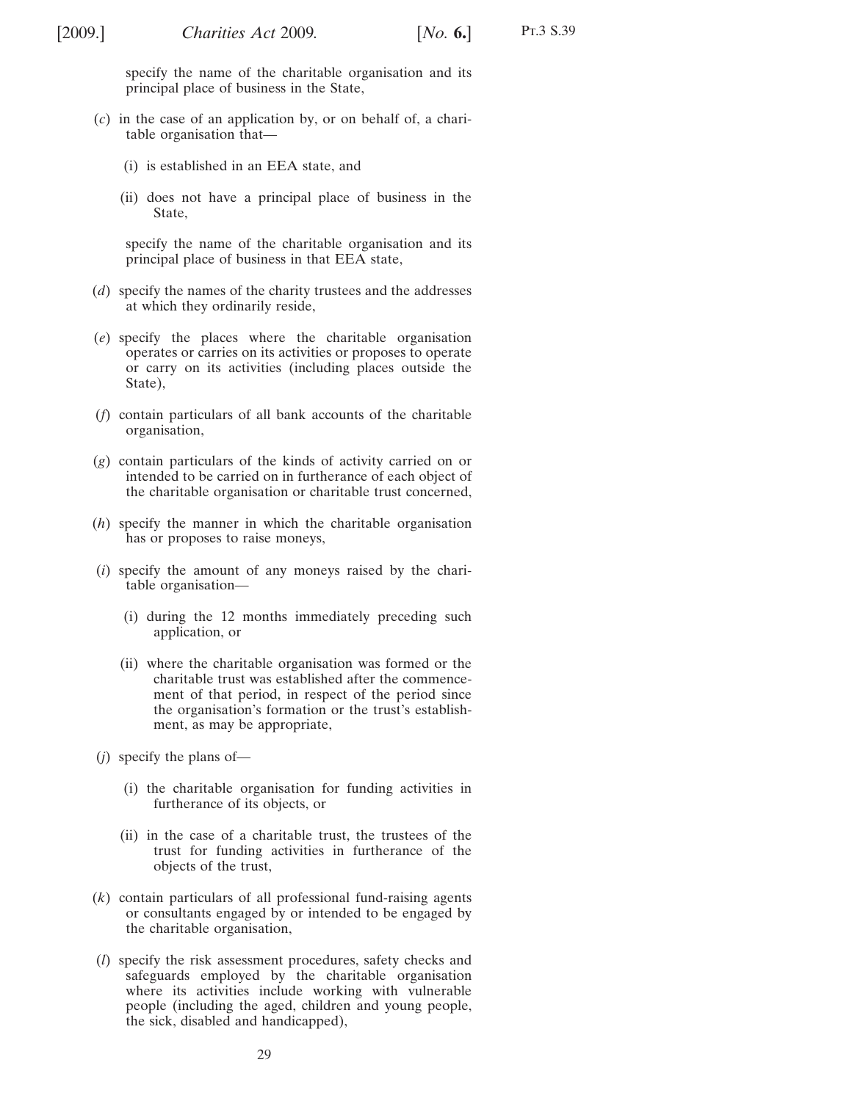specify the name of the charitable organisation and its principal place of business in the State,

- (*c*) in the case of an application by, or on behalf of, a charitable organisation that—
	- (i) is established in an EEA state, and
	- (ii) does not have a principal place of business in the State,

specify the name of the charitable organisation and its principal place of business in that EEA state,

- (*d*) specify the names of the charity trustees and the addresses at which they ordinarily reside,
- (*e*) specify the places where the charitable organisation operates or carries on its activities or proposes to operate or carry on its activities (including places outside the State),
- (*f*) contain particulars of all bank accounts of the charitable organisation,
- (*g*) contain particulars of the kinds of activity carried on or intended to be carried on in furtherance of each object of the charitable organisation or charitable trust concerned,
- (*h*) specify the manner in which the charitable organisation has or proposes to raise moneys,
- (*i*) specify the amount of any moneys raised by the charitable organisation—
	- (i) during the 12 months immediately preceding such application, or
	- (ii) where the charitable organisation was formed or the charitable trust was established after the commencement of that period, in respect of the period since the organisation's formation or the trust's establishment, as may be appropriate,
- (*j*) specify the plans of—
	- (i) the charitable organisation for funding activities in furtherance of its objects, or
	- (ii) in the case of a charitable trust, the trustees of the trust for funding activities in furtherance of the objects of the trust,
- (*k*) contain particulars of all professional fund-raising agents or consultants engaged by or intended to be engaged by the charitable organisation,
- (*l*) specify the risk assessment procedures, safety checks and safeguards employed by the charitable organisation where its activities include working with vulnerable people (including the aged, children and young people, the sick, disabled and handicapped),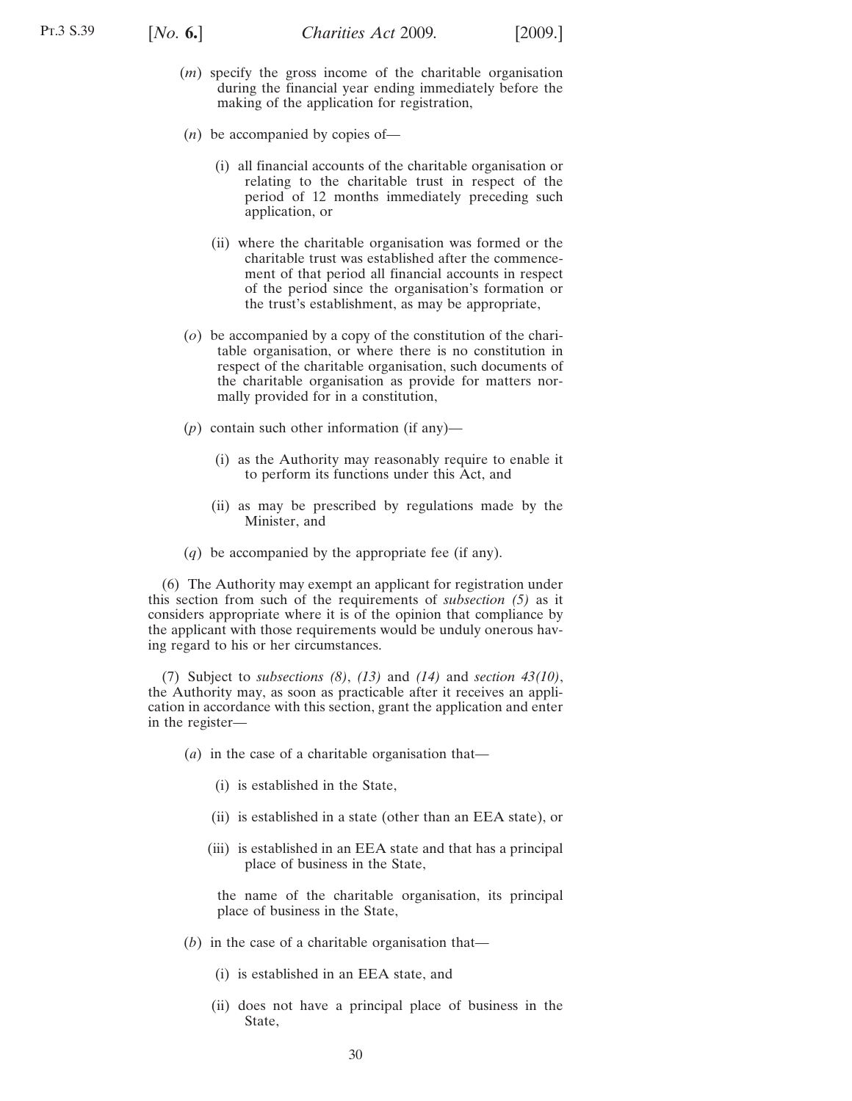<span id="page-29-0"></span>

- (*m*) specify the gross income of the charitable organisation during the financial year ending immediately before the making of the application for registration,
- (*n*) be accompanied by copies of—
	- (i) all financial accounts of the charitable organisation or relating to the charitable trust in respect of the period of 12 months immediately preceding such application, or
	- (ii) where the charitable organisation was formed or the charitable trust was established after the commencement of that period all financial accounts in respect of the period since the organisation's formation or the trust's establishment, as may be appropriate,
- (*o*) be accompanied by a copy of the constitution of the charitable organisation, or where there is no constitution in respect of the charitable organisation, such documents of the charitable organisation as provide for matters normally provided for in a constitution,
- (*p*) contain such other information (if any)—
	- (i) as the Authority may reasonably require to enable it to perform its functions under this Act, and
	- (ii) as may be prescribed by regulations made by the Minister, and
- (*q*) be accompanied by the appropriate fee (if any).

(6) The Authority may exempt an applicant for registration under this section from such of the requirements of *subsection [\(5\)](#page-27-0)* as it considers appropriate where it is of the opinion that compliance by the applicant with those requirements would be unduly onerous having regard to his or her circumstances.

(7) Subject to *subsections [\(8\)](#page-30-0)*, *[\(13\)](#page-30-0)* and *[\(14\)](#page-30-0)* and *section [43](#page-34-0)[\(10\)](#page-35-0)*, the Authority may, as soon as practicable after it receives an application in accordance with this section, grant the application and enter in the register—

- (*a*) in the case of a charitable organisation that—
	- (i) is established in the State,
	- (ii) is established in a state (other than an EEA state), or
	- (iii) is established in an EEA state and that has a principal place of business in the State,

the name of the charitable organisation, its principal place of business in the State,

- (*b*) in the case of a charitable organisation that—
	- (i) is established in an EEA state, and
	- (ii) does not have a principal place of business in the State,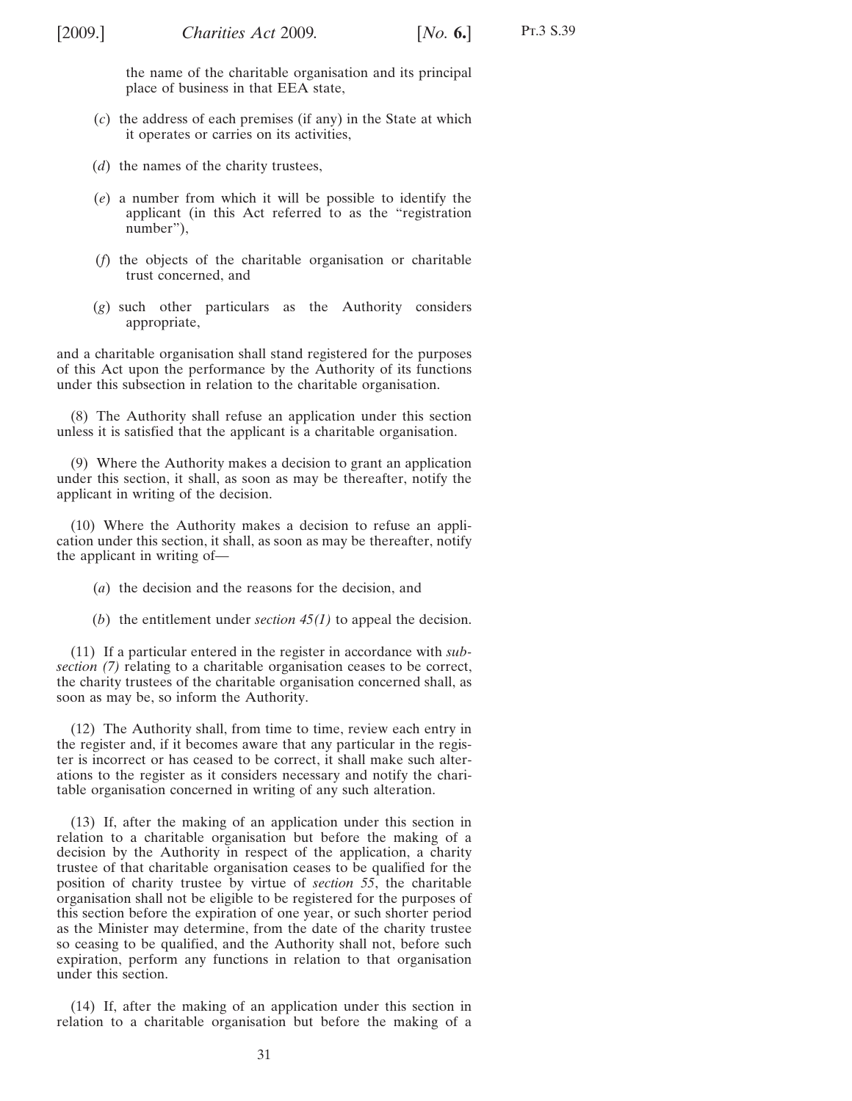<span id="page-30-0"></span>the name of the charitable organisation and its principal place of business in that EEA state,

- (*c*) the address of each premises (if any) in the State at which it operates or carries on its activities,
- (*d*) the names of the charity trustees,
- (*e*) a number from which it will be possible to identify the applicant (in this Act referred to as the "registration number"),
- (*f*) the objects of the charitable organisation or charitable trust concerned, and
- (*g*) such other particulars as the Authority considers appropriate,

and a charitable organisation shall stand registered for the purposes of this Act upon the performance by the Authority of its functions under this subsection in relation to the charitable organisation.

(8) The Authority shall refuse an application under this section unless it is satisfied that the applicant is a charitable organisation.

(9) Where the Authority makes a decision to grant an application under this section, it shall, as soon as may be thereafter, notify the applicant in writing of the decision.

(10) Where the Authority makes a decision to refuse an application under this section, it shall, as soon as may be thereafter, notify the applicant in writing of—

- (*a*) the decision and the reasons for the decision, and
- (*b*) the entitlement under *section [45\(1\)](#page-37-0)* to appeal the decision.

(11) If a particular entered in the register in accordance with *subsection [\(7\)](#page-29-0)* relating to a charitable organisation ceases to be correct, the charity trustees of the charitable organisation concerned shall, as soon as may be, so inform the Authority.

(12) The Authority shall, from time to time, review each entry in the register and, if it becomes aware that any particular in the register is incorrect or has ceased to be correct, it shall make such alterations to the register as it considers necessary and notify the charitable organisation concerned in writing of any such alteration.

(13) If, after the making of an application under this section in relation to a charitable organisation but before the making of a decision by the Authority in respect of the application, a charity trustee of that charitable organisation ceases to be qualified for the position of charity trustee by virtue of *section [55](#page-46-0)*, the charitable organisation shall not be eligible to be registered for the purposes of this section before the expiration of one year, or such shorter period as the Minister may determine, from the date of the charity trustee so ceasing to be qualified, and the Authority shall not, before such expiration, perform any functions in relation to that organisation under this section.

(14) If, after the making of an application under this section in relation to a charitable organisation but before the making of a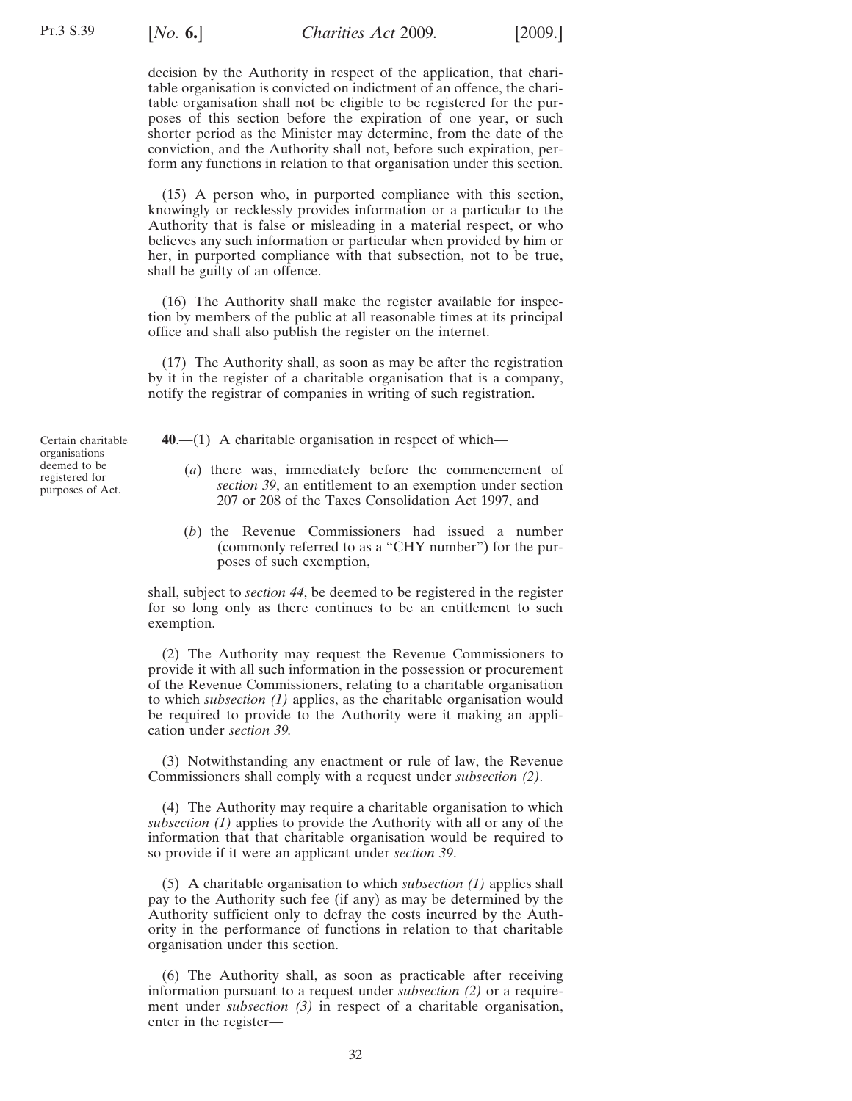<span id="page-31-0"></span>decision by the Authority in respect of the application, that charitable organisation is convicted on indictment of an offence, the charitable organisation shall not be eligible to be registered for the purposes of this section before the expiration of one year, or such shorter period as the Minister may determine, from the date of the conviction, and the Authority shall not, before such expiration, perform any functions in relation to that organisation under this section.

(15) A person who, in purported compliance with this section, knowingly or recklessly provides information or a particular to the Authority that is false or misleading in a material respect, or who believes any such information or particular when provided by him or her, in purported compliance with that subsection, not to be true, shall be guilty of an offence.

(16) The Authority shall make the register available for inspection by members of the public at all reasonable times at its principal office and shall also publish the register on the internet.

(17) The Authority shall, as soon as may be after the registration by it in the register of a charitable organisation that is a company, notify the registrar of companies in writing of such registration.

Certain charitable organisations deemed to be registered for purposes of Act.

**40**.—(1) A charitable organisation in respect of which—

- (*a*) there was, immediately before the commencement of *section [39](#page-27-0)*, an entitlement to an exemption under section 207 or 208 of the Taxes Consolidation Act 1997, and
- (*b*) the Revenue Commissioners had issued a number (commonly referred to as a "CHY number") for the purposes of such exemption,

shall, subject to *section [44](#page-35-0)*, be deemed to be registered in the register for so long only as there continues to be an entitlement to such exemption.

(2) The Authority may request the Revenue Commissioners to provide it with all such information in the possession or procurement of the Revenue Commissioners, relating to a charitable organisation to which *subsection (1)* applies, as the charitable organisation would be required to provide to the Authority were it making an application under *section [39.](#page-27-0)*

(3) Notwithstanding any enactment or rule of law, the Revenue Commissioners shall comply with a request under *subsection (2)*.

(4) The Authority may require a charitable organisation to which *subsection (1)* applies to provide the Authority with all or any of the information that that charitable organisation would be required to so provide if it were an applicant under *section [39](#page-27-0)*.

(5) A charitable organisation to which *subsection (1)* applies shall pay to the Authority such fee (if any) as may be determined by the Authority sufficient only to defray the costs incurred by the Authority in the performance of functions in relation to that charitable organisation under this section.

(6) The Authority shall, as soon as practicable after receiving information pursuant to a request under *subsection (2)* or a requirement under *subsection (3)* in respect of a charitable organisation, enter in the register—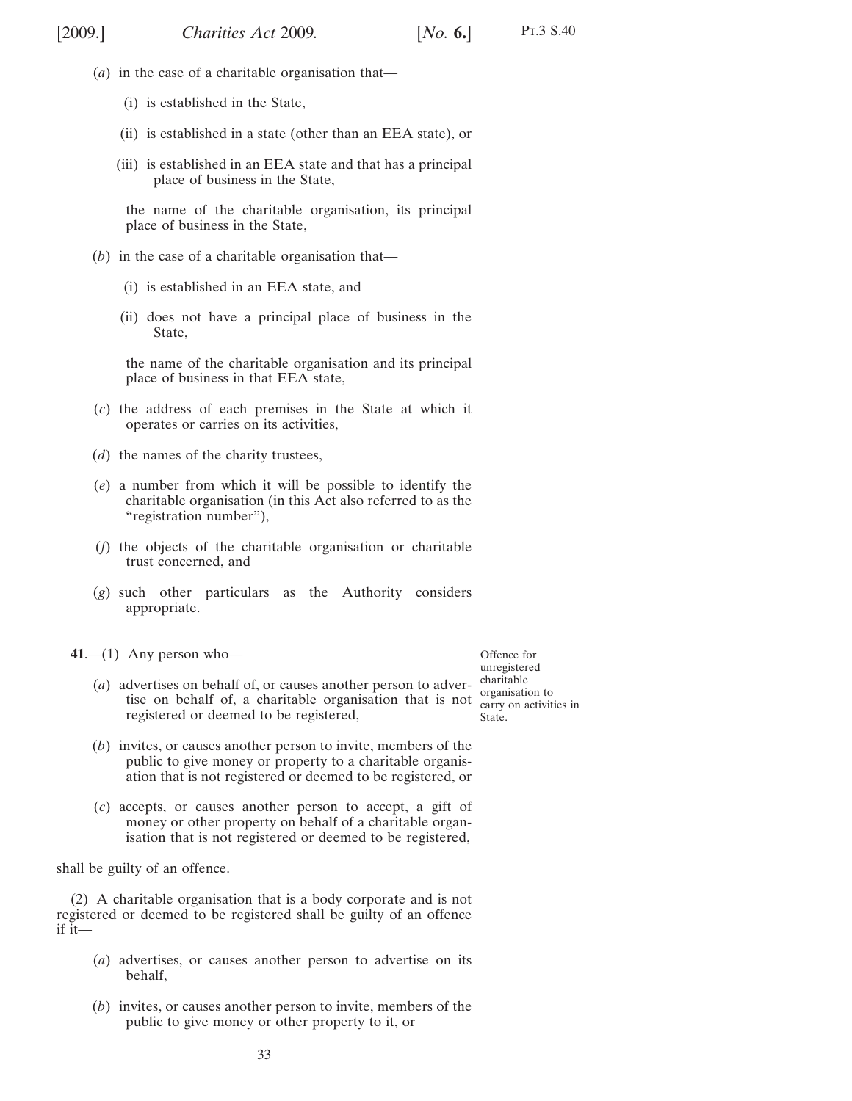- <span id="page-32-0"></span>(*a*) in the case of a charitable organisation that—
	- (i) is established in the State,
	- (ii) is established in a state (other than an EEA state), or
	- (iii) is established in an EEA state and that has a principal place of business in the State,

the name of the charitable organisation, its principal place of business in the State,

- (*b*) in the case of a charitable organisation that—
	- (i) is established in an EEA state, and
	- (ii) does not have a principal place of business in the State,

the name of the charitable organisation and its principal place of business in that EEA state,

- (*c*) the address of each premises in the State at which it operates or carries on its activities,
- (*d*) the names of the charity trustees,
- (*e*) a number from which it will be possible to identify the charitable organisation (in this Act also referred to as the "registration number"),
- (*f*) the objects of the charitable organisation or charitable trust concerned, and
- (*g*) such other particulars as the Authority considers appropriate.
- **41**.—(1) Any person who—

Offence for unregistered carry on activities in State.

- (*a*) advertises on behalf of, or causes another person to advertise on behalf of, a charitable organisation that is not  $\frac{\text{organisation to}}{\text{carrv on activity}}$ registered or deemed to be registered,
- (*b*) invites, or causes another person to invite, members of the public to give money or property to a charitable organisation that is not registered or deemed to be registered, or
- (*c*) accepts, or causes another person to accept, a gift of money or other property on behalf of a charitable organisation that is not registered or deemed to be registered,

shall be guilty of an offence.

(2) A charitable organisation that is a body corporate and is not registered or deemed to be registered shall be guilty of an offence if it—

- (*a*) advertises, or causes another person to advertise on its behalf,
- (*b*) invites, or causes another person to invite, members of the public to give money or other property to it, or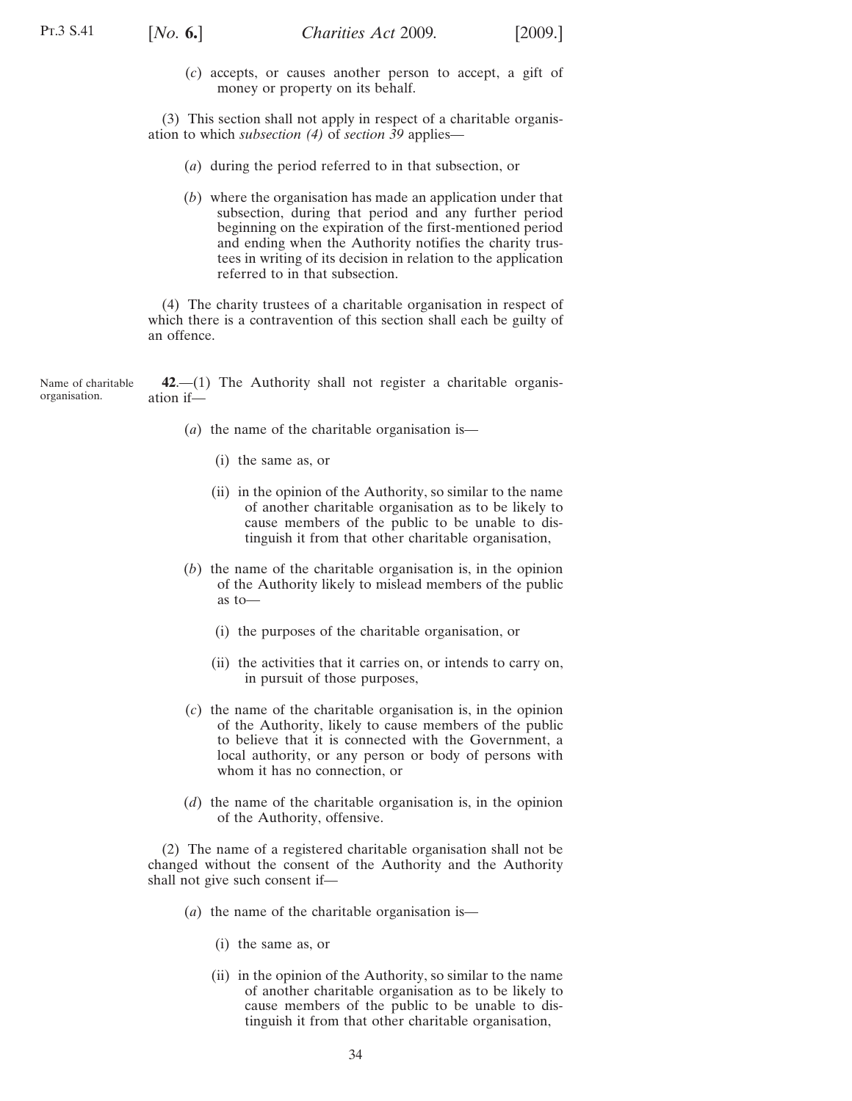<span id="page-33-0"></span>

(*c*) accepts, or causes another person to accept, a gift of money or property on its behalf.

(3) This section shall not apply in respect of a charitable organisation to which *subsection [\(4\)](#page-27-0)* of *section [39](#page-27-0)* applies—

- (*a*) during the period referred to in that subsection, or
- (*b*) where the organisation has made an application under that subsection, during that period and any further period beginning on the expiration of the first-mentioned period and ending when the Authority notifies the charity trustees in writing of its decision in relation to the application referred to in that subsection.

(4) The charity trustees of a charitable organisation in respect of which there is a contravention of this section shall each be guilty of an offence.

Name of charitable organisation. **42**.—(1) The Authority shall not register a charitable organisation if—

- (*a*) the name of the charitable organisation is—
	- (i) the same as, or
	- (ii) in the opinion of the Authority, so similar to the name of another charitable organisation as to be likely to cause members of the public to be unable to distinguish it from that other charitable organisation,
- (*b*) the name of the charitable organisation is, in the opinion of the Authority likely to mislead members of the public as to—
	- (i) the purposes of the charitable organisation, or
	- (ii) the activities that it carries on, or intends to carry on, in pursuit of those purposes,
- (*c*) the name of the charitable organisation is, in the opinion of the Authority, likely to cause members of the public to believe that it is connected with the Government, a local authority, or any person or body of persons with whom it has no connection, or
- (*d*) the name of the charitable organisation is, in the opinion of the Authority, offensive.

(2) The name of a registered charitable organisation shall not be changed without the consent of the Authority and the Authority shall not give such consent if—

- (*a*) the name of the charitable organisation is—
	- (i) the same as, or
	- (ii) in the opinion of the Authority, so similar to the name of another charitable organisation as to be likely to cause members of the public to be unable to distinguish it from that other charitable organisation,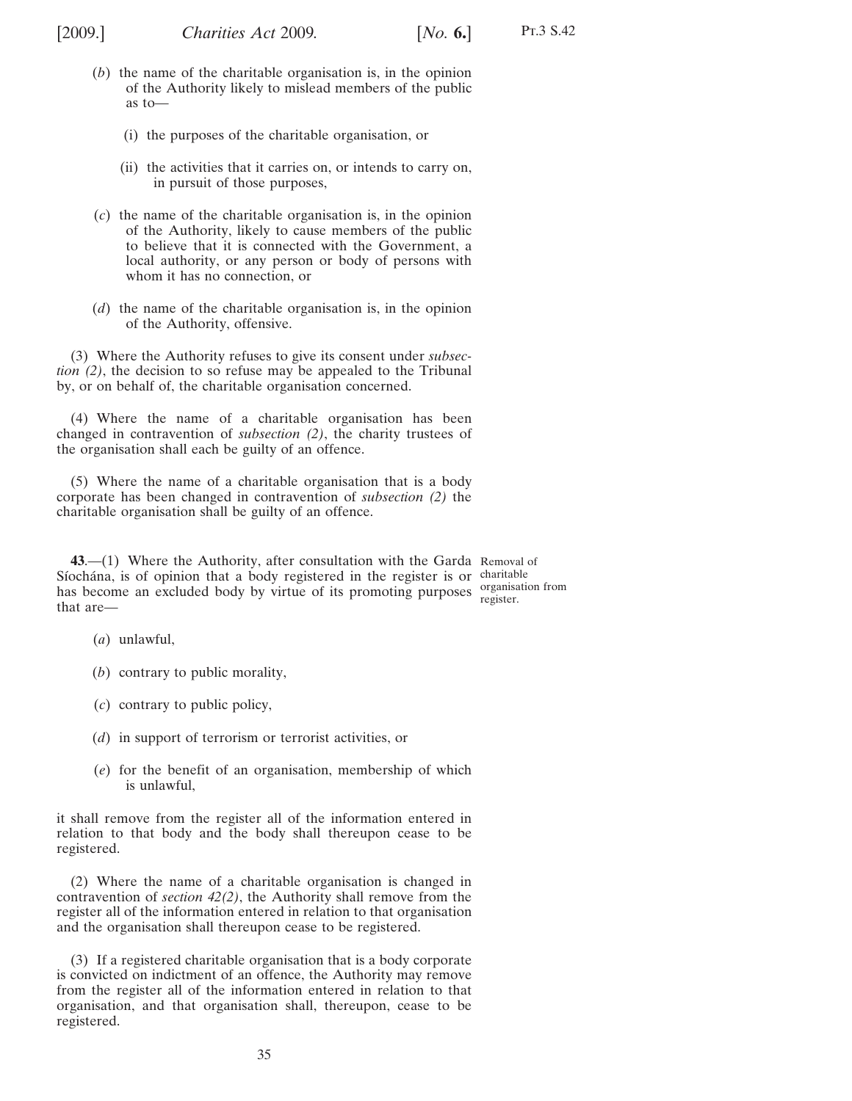<span id="page-34-0"></span>

- (*b*) the name of the charitable organisation is, in the opinion of the Authority likely to mislead members of the public as to—
	- (i) the purposes of the charitable organisation, or
	- (ii) the activities that it carries on, or intends to carry on, in pursuit of those purposes,
- (*c*) the name of the charitable organisation is, in the opinion of the Authority, likely to cause members of the public to believe that it is connected with the Government, a local authority, or any person or body of persons with whom it has no connection, or
- (*d*) the name of the charitable organisation is, in the opinion of the Authority, offensive.

(3) Where the Authority refuses to give its consent under *subsection [\(2\)](#page-33-0)*, the decision to so refuse may be appealed to the Tribunal by, or on behalf of, the charitable organisation concerned.

(4) Where the name of a charitable organisation has been changed in contravention of *subsection [\(2\)](#page-33-0)*, the charity trustees of the organisation shall each be guilty of an offence.

(5) Where the name of a charitable organisation that is a body corporate has been changed in contravention of *subsection [\(2\)](#page-33-0)* the charitable organisation shall be guilty of an offence.

**43**.—(1) Where the Authority, after consultation with the Garda Removal of Síochána, is of opinion that a body registered in the register is or charitable has become an excluded body by virtue of its promoting purposes organisation from that are register.

- (*a*) unlawful,
- (*b*) contrary to public morality,
- (*c*) contrary to public policy,
- (*d*) in support of terrorism or terrorist activities, or
- (*e*) for the benefit of an organisation, membership of which is unlawful,

it shall remove from the register all of the information entered in relation to that body and the body shall thereupon cease to be registered.

(2) Where the name of a charitable organisation is changed in contravention of *section [42\(2\)](#page-33-0)*, the Authority shall remove from the register all of the information entered in relation to that organisation and the organisation shall thereupon cease to be registered.

(3) If a registered charitable organisation that is a body corporate is convicted on indictment of an offence, the Authority may remove from the register all of the information entered in relation to that organisation, and that organisation shall, thereupon, cease to be registered.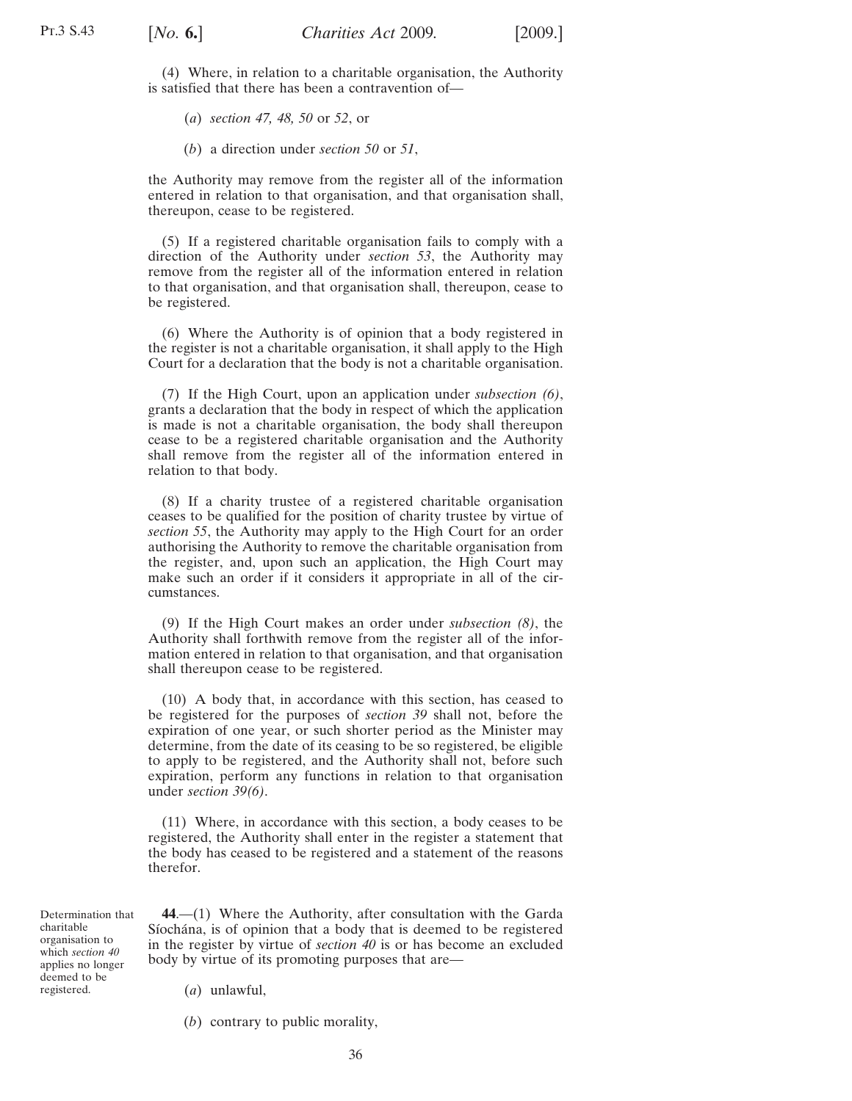<span id="page-35-0"></span>(4) Where, in relation to a charitable organisation, the Authority is satisfied that there has been a contravention of—

(*a*) *section [47,](#page-39-0) [48,](#page-41-0) [50](#page-42-0)* or *[52](#page-45-0)*, or

(*b*) a direction under *section [50](#page-42-0)* or *[51](#page-44-0)*,

the Authority may remove from the register all of the information entered in relation to that organisation, and that organisation shall, thereupon, cease to be registered.

(5) If a registered charitable organisation fails to comply with a direction of the Authority under *section [53](#page-46-0)*, the Authority may remove from the register all of the information entered in relation to that organisation, and that organisation shall, thereupon, cease to be registered.

(6) Where the Authority is of opinion that a body registered in the register is not a charitable organisation, it shall apply to the High Court for a declaration that the body is not a charitable organisation.

(7) If the High Court, upon an application under *subsection (6)*, grants a declaration that the body in respect of which the application is made is not a charitable organisation, the body shall thereupon cease to be a registered charitable organisation and the Authority shall remove from the register all of the information entered in relation to that body.

(8) If a charity trustee of a registered charitable organisation ceases to be qualified for the position of charity trustee by virtue of *section [55](#page-46-0)*, the Authority may apply to the High Court for an order authorising the Authority to remove the charitable organisation from the register, and, upon such an application, the High Court may make such an order if it considers it appropriate in all of the circumstances.

(9) If the High Court makes an order under *subsection (8)*, the Authority shall forthwith remove from the register all of the information entered in relation to that organisation, and that organisation shall thereupon cease to be registered.

(10) A body that, in accordance with this section, has ceased to be registered for the purposes of *section [39](#page-27-0)* shall not, before the expiration of one year, or such shorter period as the Minister may determine, from the date of its ceasing to be so registered, be eligible to apply to be registered, and the Authority shall not, before such expiration, perform any functions in relation to that organisation under *section [39](#page-27-0)[\(6\)](#page-29-0)*.

(11) Where, in accordance with this section, a body ceases to be registered, the Authority shall enter in the register a statement that the body has ceased to be registered and a statement of the reasons therefor.

Determination that charitable organisation to which *section [40](#page-31-0)* applies no longer deemed to be registered.

**44**.—(1) Where the Authority, after consultation with the Garda Síochána, is of opinion that a body that is deemed to be registered in the register by virtue of *section [40](#page-31-0)* is or has become an excluded body by virtue of its promoting purposes that are—

(*a*) unlawful,

(*b*) contrary to public morality,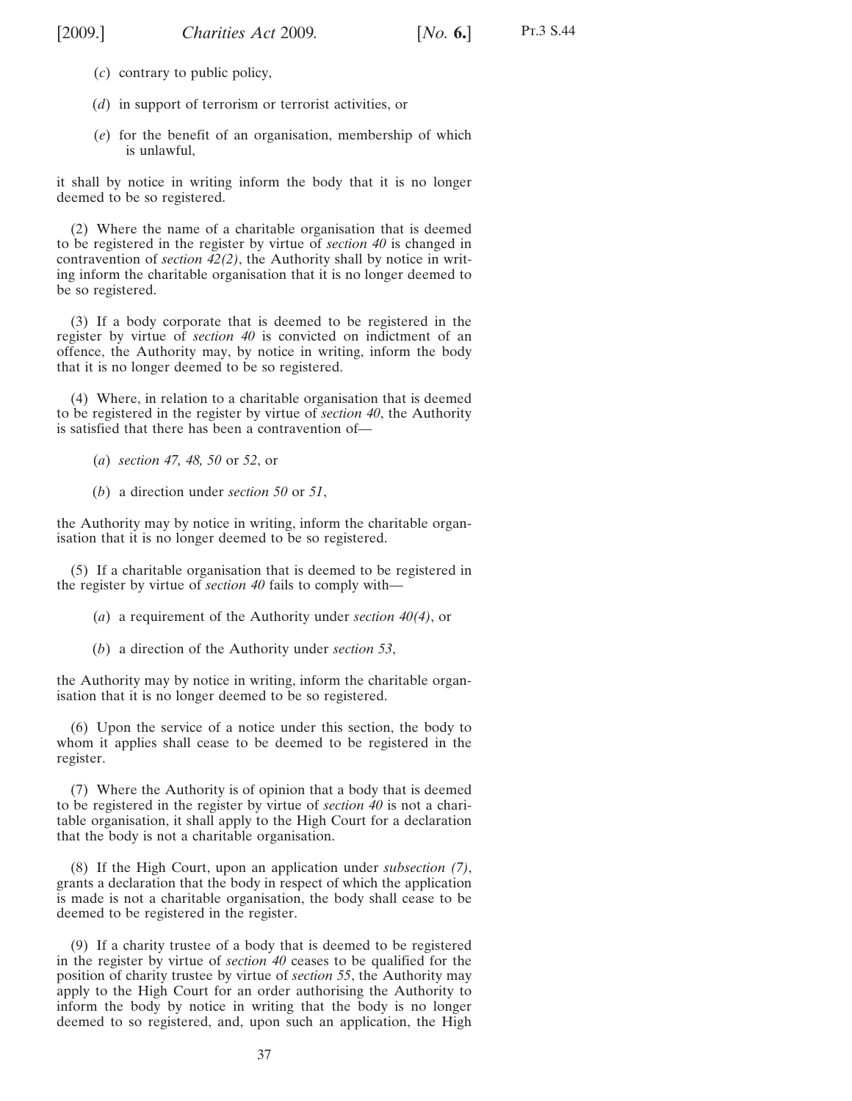Pt.3 S.44

- <span id="page-36-0"></span>(*c*) contrary to public policy,
- (*d*) in support of terrorism or terrorist activities, or
- (*e*) for the benefit of an organisation, membership of which is unlawful,

it shall by notice in writing inform the body that it is no longer deemed to be so registered.

(2) Where the name of a charitable organisation that is deemed to be registered in the register by virtue of *section [40](#page-31-0)* is changed in contravention of *section [42\(2\)](#page-33-0)*, the Authority shall by notice in writing inform the charitable organisation that it is no longer deemed to be so registered.

(3) If a body corporate that is deemed to be registered in the register by virtue of *section [40](#page-31-0)* is convicted on indictment of an offence, the Authority may, by notice in writing, inform the body that it is no longer deemed to be so registered.

(4) Where, in relation to a charitable organisation that is deemed to be registered in the register by virtue of *section [40](#page-31-0)*, the Authority is satisfied that there has been a contravention of—

- (*a*) *section [47,](#page-39-0) [48,](#page-41-0) [50](#page-42-0)* or *[52](#page-45-0)*, or
- (*b*) a direction under *section [50](#page-42-0)* or *[51](#page-44-0)*,

the Authority may by notice in writing, inform the charitable organisation that it is no longer deemed to be so registered.

(5) If a charitable organisation that is deemed to be registered in the register by virtue of *section [40](#page-31-0)* fails to comply with—

- (*a*) a requirement of the Authority under *section [40\(4\)](#page-31-0)*, or
- (*b*) a direction of the Authority under *section [53](#page-46-0)*,

the Authority may by notice in writing, inform the charitable organisation that it is no longer deemed to be so registered.

(6) Upon the service of a notice under this section, the body to whom it applies shall cease to be deemed to be registered in the register.

(7) Where the Authority is of opinion that a body that is deemed to be registered in the register by virtue of *section [40](#page-31-0)* is not a charitable organisation, it shall apply to the High Court for a declaration that the body is not a charitable organisation.

(8) If the High Court, upon an application under *subsection (7)*, grants a declaration that the body in respect of which the application is made is not a charitable organisation, the body shall cease to be deemed to be registered in the register.

(9) If a charity trustee of a body that is deemed to be registered in the register by virtue of *section [40](#page-31-0)* ceases to be qualified for the position of charity trustee by virtue of *section [55](#page-46-0)*, the Authority may apply to the High Court for an order authorising the Authority to inform the body by notice in writing that the body is no longer deemed to so registered, and, upon such an application, the High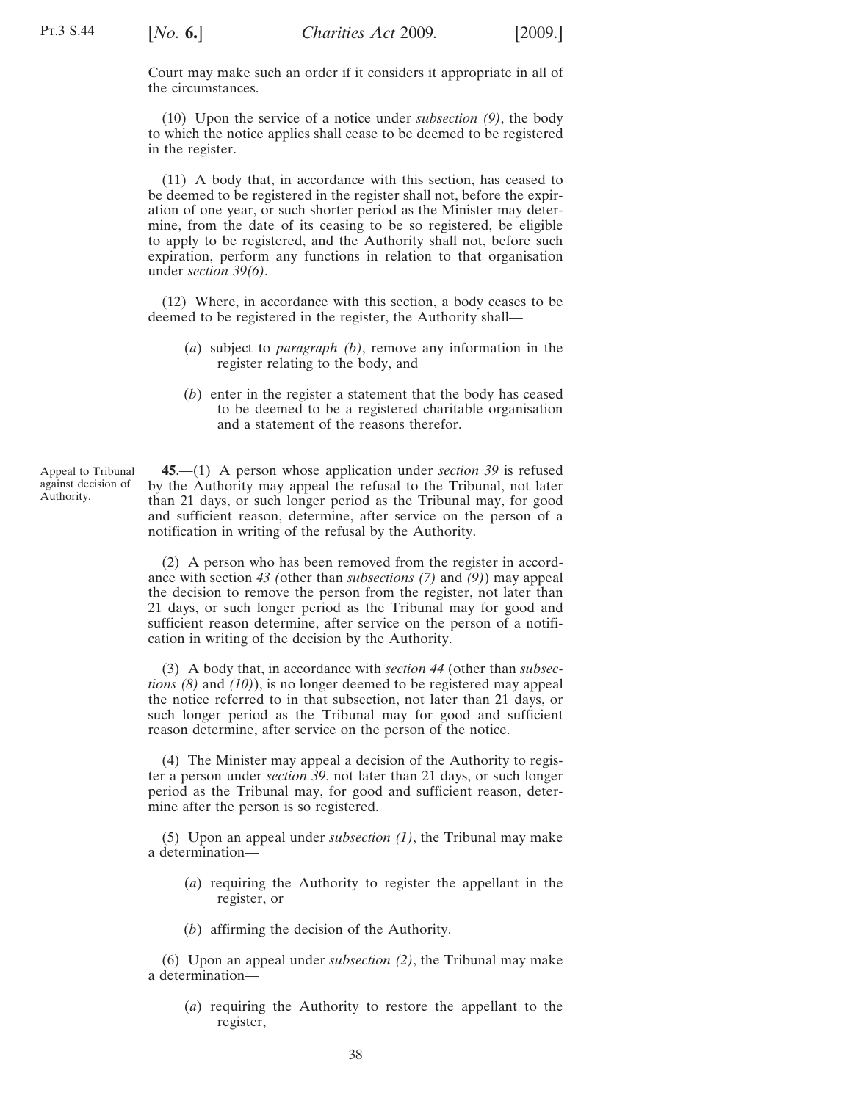<span id="page-37-0"></span>Court may make such an order if it considers it appropriate in all of the circumstances.

(10) Upon the service of a notice under *subsection [\(9\)](#page-36-0)*, the body to which the notice applies shall cease to be deemed to be registered in the register.

(11) A body that, in accordance with this section, has ceased to be deemed to be registered in the register shall not, before the expiration of one year, or such shorter period as the Minister may determine, from the date of its ceasing to be so registered, be eligible to apply to be registered, and the Authority shall not, before such expiration, perform any functions in relation to that organisation under *section [39](#page-27-0)[\(6\)](#page-29-0)*.

(12) Where, in accordance with this section, a body ceases to be deemed to be registered in the register, the Authority shall—

- (*a*) subject to *paragraph (b)*, remove any information in the register relating to the body, and
- (*b*) enter in the register a statement that the body has ceased to be deemed to be a registered charitable organisation and a statement of the reasons therefor.

**45**.—(1) A person whose application under *section [39](#page-27-0)* is refused by the Authority may appeal the refusal to the Tribunal, not later than 21 days, or such longer period as the Tribunal may, for good and sufficient reason, determine, after service on the person of a notification in writing of the refusal by the Authority.

(2) A person who has been removed from the register in accordance with section *[43](#page-34-0) (*other than *subsections [\(7\)](#page-35-0)* and *[\(9\)](#page-35-0)*) may appeal the decision to remove the person from the register, not later than 21 days, or such longer period as the Tribunal may for good and sufficient reason determine, after service on the person of a notification in writing of the decision by the Authority.

(3) A body that, in accordance with *sectio[n 44](#page-35-0)* (other than *subsections [\(8\)](#page-36-0)* and *(10)*), is no longer deemed to be registered may appeal the notice referred to in that subsection, not later than 21 days, or such longer period as the Tribunal may for good and sufficient reason determine, after service on the person of the notice.

(4) The Minister may appeal a decision of the Authority to register a person under *section [39](#page-27-0)*, not later than 21 days, or such longer period as the Tribunal may, for good and sufficient reason, determine after the person is so registered.

(5) Upon an appeal under *subsection (1)*, the Tribunal may make a determination—

- (*a*) requiring the Authority to register the appellant in the register, or
- (*b*) affirming the decision of the Authority.

(6) Upon an appeal under *subsection (2)*, the Tribunal may make a determination—

(*a*) requiring the Authority to restore the appellant to the register,

Appeal to Tribunal against decision of Authority.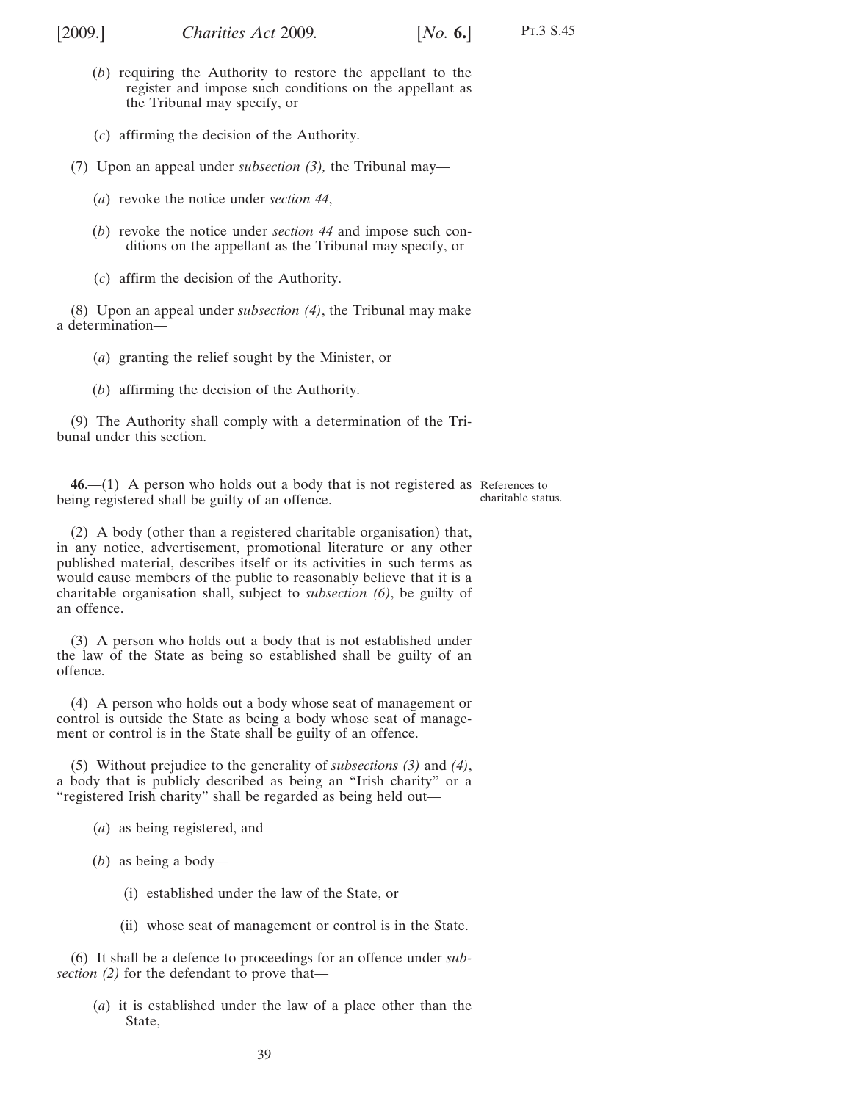- (*b*) requiring the Authority to restore the appellant to the register and impose such conditions on the appellant as the Tribunal may specify, or
- (*c*) affirming the decision of the Authority.

(7) Upon an appeal under *subsection [\(3\),](#page-37-0)* the Tribunal may—

- (*a*) revoke the notice under *section [44](#page-35-0)*,
- (*b*) revoke the notice under *section [44](#page-35-0)* and impose such conditions on the appellant as the Tribunal may specify, or
- (*c*) affirm the decision of the Authority.

(8) Upon an appeal under *subsection [\(4\)](#page-37-0)*, the Tribunal may make a determination—

- (*a*) granting the relief sought by the Minister, or
- (*b*) affirming the decision of the Authority.

(9) The Authority shall comply with a determination of the Tribunal under this section.

**46**.—(1) A person who holds out a body that is not registered as References to being registered shall be guilty of an offence. charitable status.

(2) A body (other than a registered charitable organisation) that, in any notice, advertisement, promotional literature or any other published material, describes itself or its activities in such terms as would cause members of the public to reasonably believe that it is a charitable organisation shall, subject to *subsection (6)*, be guilty of an offence.

(3) A person who holds out a body that is not established under the law of the State as being so established shall be guilty of an offence.

(4) A person who holds out a body whose seat of management or control is outside the State as being a body whose seat of management or control is in the State shall be guilty of an offence.

(5) Without prejudice to the generality of *subsections (3)* and *(4)*, a body that is publicly described as being an "Irish charity" or a "registered Irish charity" shall be regarded as being held out—

- (*a*) as being registered, and
- (*b*) as being a body—
	- (i) established under the law of the State, or
	- (ii) whose seat of management or control is in the State.

(6) It shall be a defence to proceedings for an offence under *subsection (2)* for the defendant to prove that—

(*a*) it is established under the law of a place other than the State,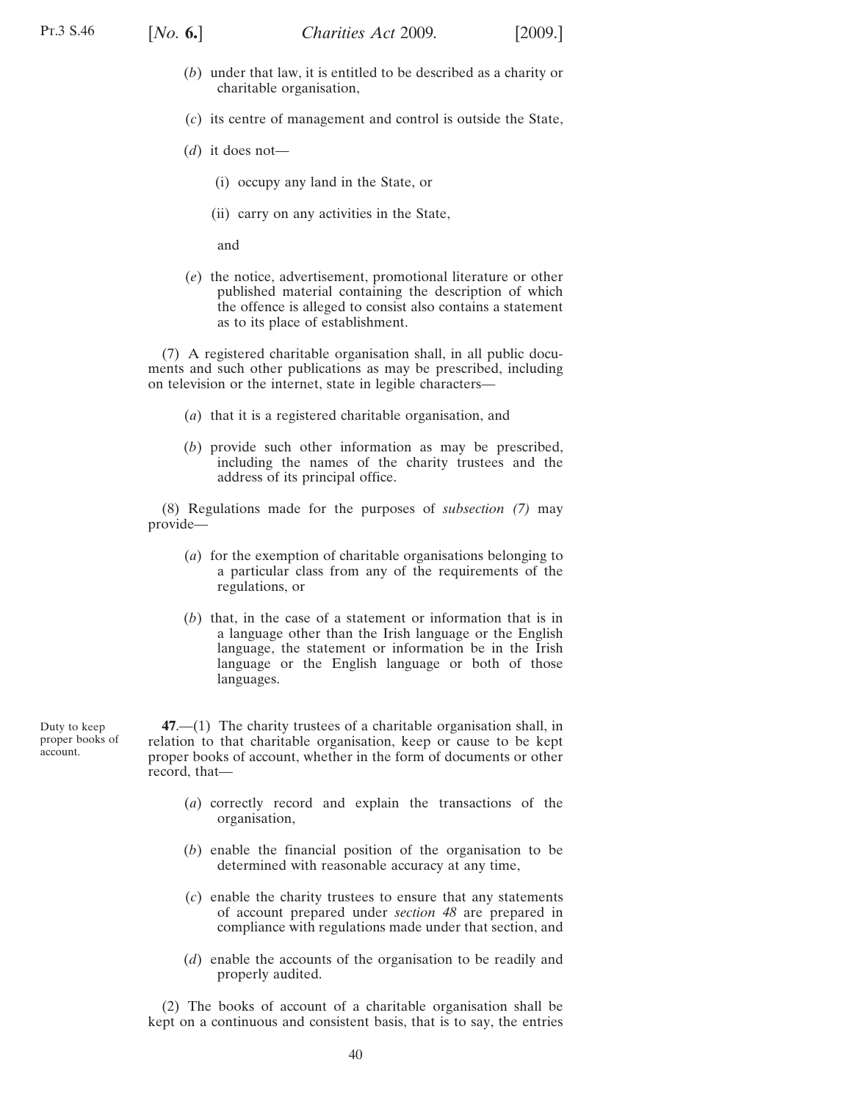<span id="page-39-0"></span>

- (*b*) under that law, it is entitled to be described as a charity or charitable organisation,
- (*c*) its centre of management and control is outside the State,
- (*d*) it does not—
	- (i) occupy any land in the State, or
	- (ii) carry on any activities in the State,

and

(*e*) the notice, advertisement, promotional literature or other published material containing the description of which the offence is alleged to consist also contains a statement as to its place of establishment.

(7) A registered charitable organisation shall, in all public documents and such other publications as may be prescribed, including on television or the internet, state in legible characters—

- (*a*) that it is a registered charitable organisation, and
- (*b*) provide such other information as may be prescribed, including the names of the charity trustees and the address of its principal office.

(8) Regulations made for the purposes of *subsection (7)* may provide—

- (*a*) for the exemption of charitable organisations belonging to a particular class from any of the requirements of the regulations, or
- (*b*) that, in the case of a statement or information that is in a language other than the Irish language or the English language, the statement or information be in the Irish language or the English language or both of those languages.

Duty to keep proper books of account.

**47**.—(1) The charity trustees of a charitable organisation shall, in relation to that charitable organisation, keep or cause to be kept proper books of account, whether in the form of documents or other record, that—

- (*a*) correctly record and explain the transactions of the organisation,
- (*b*) enable the financial position of the organisation to be determined with reasonable accuracy at any time,
- (*c*) enable the charity trustees to ensure that any statements of account prepared under *section [48](#page-41-0)* are prepared in compliance with regulations made under that section, and
- (*d*) enable the accounts of the organisation to be readily and properly audited.

(2) The books of account of a charitable organisation shall be kept on a continuous and consistent basis, that is to say, the entries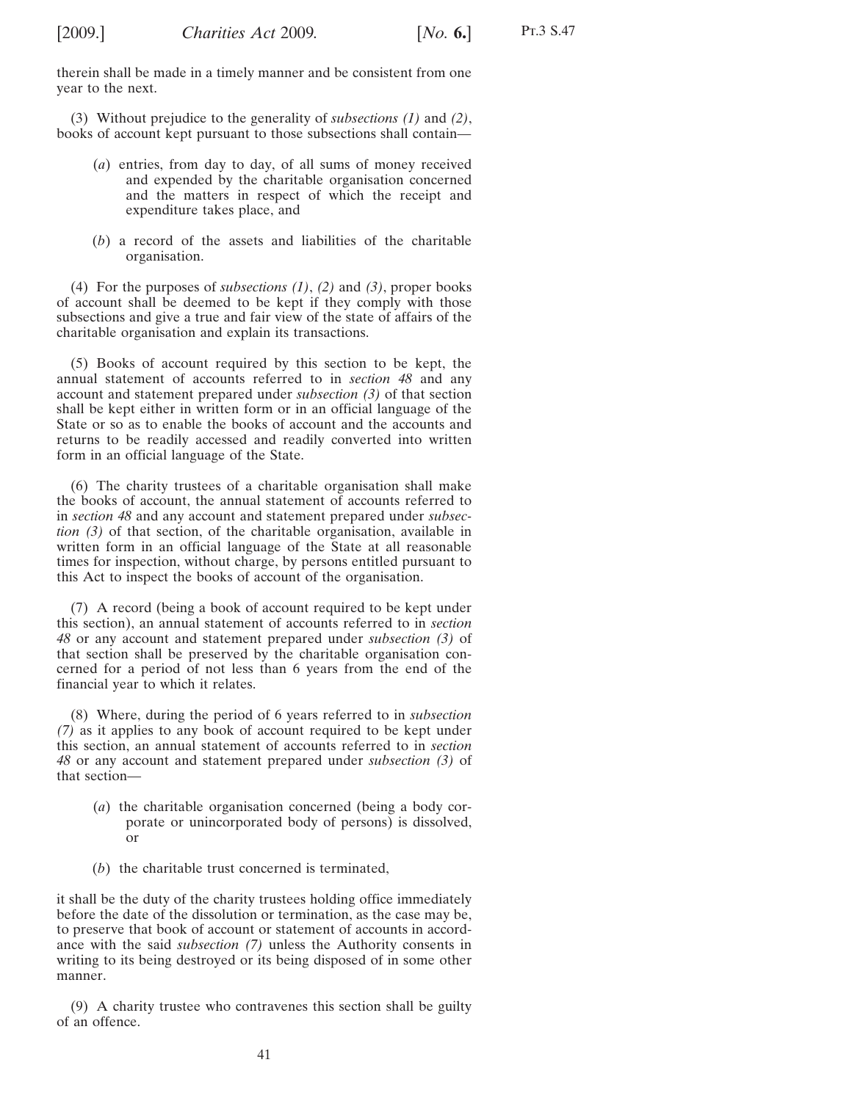therein shall be made in a timely manner and be consistent from one year to the next.

(3) Without prejudice to the generality of *subsections [\(1\)](#page-39-0)* and *[\(2\)](#page-39-0)*, books of account kept pursuant to those subsections shall contain—

- (*a*) entries, from day to day, of all sums of money received and expended by the charitable organisation concerned and the matters in respect of which the receipt and expenditure takes place, and
- (*b*) a record of the assets and liabilities of the charitable organisation.

(4) For the purposes of *subsections [\(1\)](#page-39-0)*, *[\(2\)](#page-39-0)* and *(3)*, proper books of account shall be deemed to be kept if they comply with those subsections and give a true and fair view of the state of affairs of the charitable organisation and explain its transactions.

(5) Books of account required by this section to be kept, the annual statement of accounts referred to in *section [48](#page-41-0)* and any account and statement prepared under *subsection [\(3\)](#page-41-0)* of that section shall be kept either in written form or in an official language of the State or so as to enable the books of account and the accounts and returns to be readily accessed and readily converted into written form in an official language of the State.

(6) The charity trustees of a charitable organisation shall make the books of account, the annual statement of accounts referred to in *section [48](#page-41-0)* and any account and statement prepared under *subsection [\(3\)](#page-41-0)* of that section, of the charitable organisation, available in written form in an official language of the State at all reasonable times for inspection, without charge, by persons entitled pursuant to this Act to inspect the books of account of the organisation.

(7) A record (being a book of account required to be kept under this section), an annual statement of accounts referred to in *section [48](#page-41-0)* or any account and statement prepared under *subsection [\(3\)](#page-41-0)* of that section shall be preserved by the charitable organisation concerned for a period of not less than 6 years from the end of the financial year to which it relates.

(8) Where, during the period of 6 years referred to in *subsection (7)* as it applies to any book of account required to be kept under this section, an annual statement of accounts referred to in *section [48](#page-41-0)* or any account and statement prepared under *subsection [\(3\)](#page-41-0)* of that section—

- (*a*) the charitable organisation concerned (being a body corporate or unincorporated body of persons) is dissolved, or
- (*b*) the charitable trust concerned is terminated,

it shall be the duty of the charity trustees holding office immediately before the date of the dissolution or termination, as the case may be, to preserve that book of account or statement of accounts in accordance with the said *subsection (7)* unless the Authority consents in writing to its being destroyed or its being disposed of in some other manner.

(9) A charity trustee who contravenes this section shall be guilty of an offence.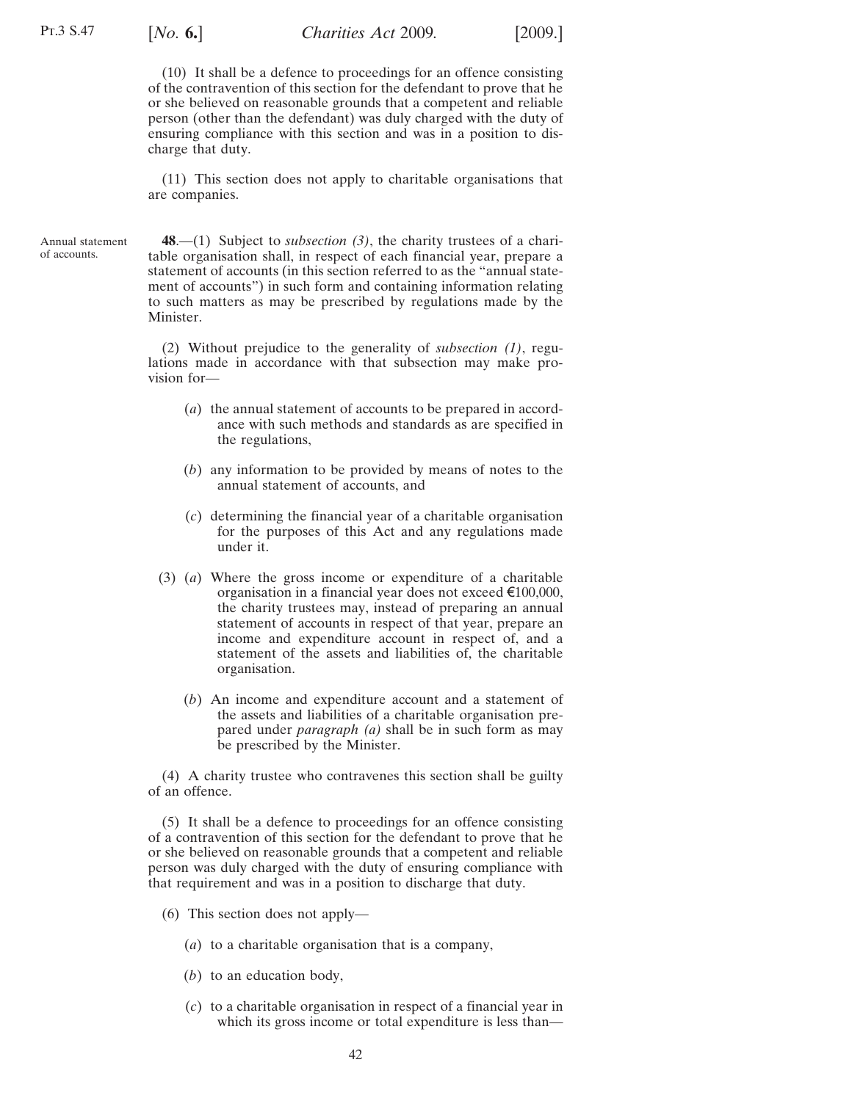<span id="page-41-0"></span>(10) It shall be a defence to proceedings for an offence consisting of the contravention of this section for the defendant to prove that he or she believed on reasonable grounds that a competent and reliable person (other than the defendant) was duly charged with the duty of ensuring compliance with this section and was in a position to discharge that duty.

(11) This section does not apply to charitable organisations that are companies.

Annual statement of accounts.

**48**.—(1) Subject to *subsection (3)*, the charity trustees of a charitable organisation shall, in respect of each financial year, prepare a statement of accounts (in this section referred to as the "annual statement of accounts") in such form and containing information relating to such matters as may be prescribed by regulations made by the Minister.

(2) Without prejudice to the generality of *subsection (1)*, regulations made in accordance with that subsection may make provision for—

- (*a*) the annual statement of accounts to be prepared in accordance with such methods and standards as are specified in the regulations,
- (*b*) any information to be provided by means of notes to the annual statement of accounts, and
- (*c*) determining the financial year of a charitable organisation for the purposes of this Act and any regulations made under it.
- (3) (*a*) Where the gross income or expenditure of a charitable organisation in a financial year does not exceed  $\epsilon$ 100,000, the charity trustees may, instead of preparing an annual statement of accounts in respect of that year, prepare an income and expenditure account in respect of, and a statement of the assets and liabilities of, the charitable organisation.
	- (*b*) An income and expenditure account and a statement of the assets and liabilities of a charitable organisation prepared under *paragraph (a)* shall be in such form as may be prescribed by the Minister.

(4) A charity trustee who contravenes this section shall be guilty of an offence.

(5) It shall be a defence to proceedings for an offence consisting of a contravention of this section for the defendant to prove that he or she believed on reasonable grounds that a competent and reliable person was duly charged with the duty of ensuring compliance with that requirement and was in a position to discharge that duty.

- (6) This section does not apply—
	- (*a*) to a charitable organisation that is a company,
	- (*b*) to an education body,
	- (*c*) to a charitable organisation in respect of a financial year in which its gross income or total expenditure is less than—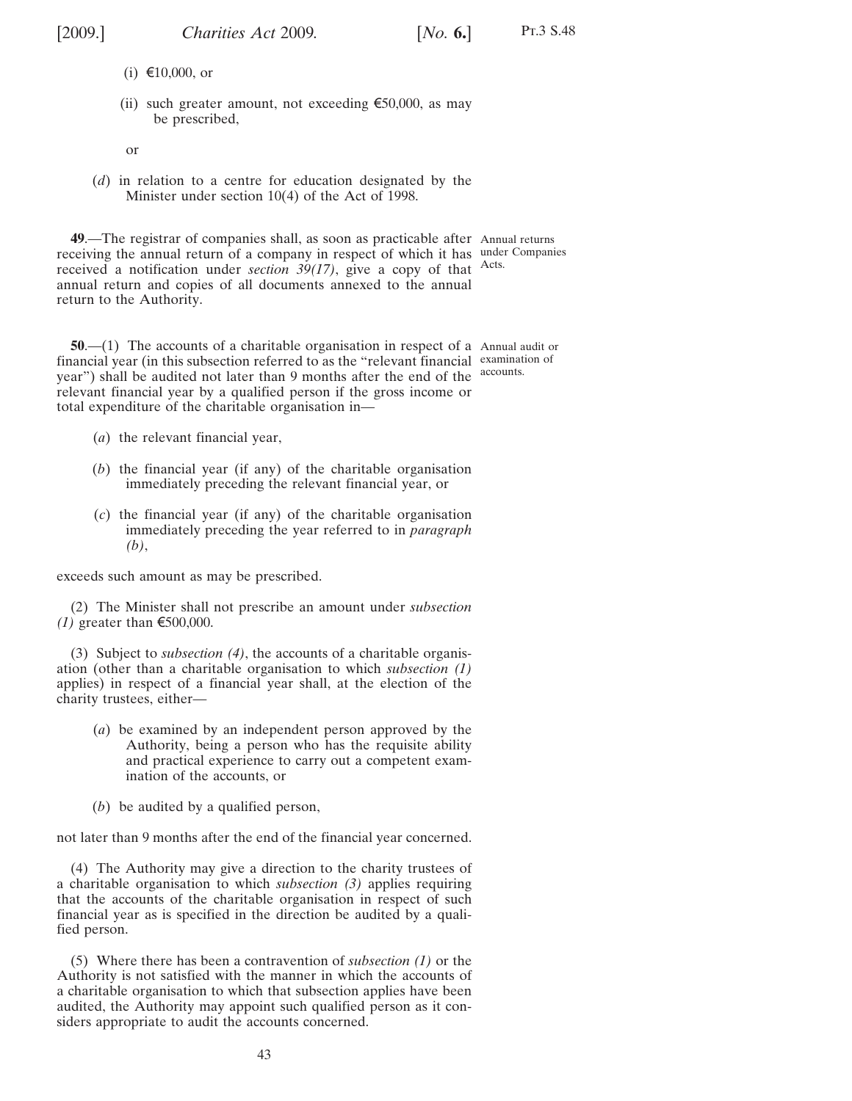<span id="page-42-0"></span>

Pt.3 S.48

- (i) €10,000, or
- (ii) such greater amount, not exceeding  $\epsilon$ 50,000, as may be prescribed,

or

(*d*) in relation to a centre for education designated by the Minister under section 10(4) of the Act of 1998.

**49**.—The registrar of companies shall, as soon as practicable after Annual returns receiving the annual return of a company in respect of which it has under Companies received a notification under *section [39](#page-27-0)[\(17\)](#page-31-0)*, give a copy of that Acts. annual return and copies of all documents annexed to the annual return to the Authority.

**50.**—(1) The accounts of a charitable organisation in respect of a Annual audit or financial year (in this subsection referred to as the "relevant financial examination of year") shall be audited not later than 9 months after the end of the accounts. relevant financial year by a qualified person if the gross income or total expenditure of the charitable organisation in—

- (*a*) the relevant financial year,
- (*b*) the financial year (if any) of the charitable organisation immediately preceding the relevant financial year, or
- (*c*) the financial year (if any) of the charitable organisation immediately preceding the year referred to in *paragraph (b)*,

exceeds such amount as may be prescribed.

(2) The Minister shall not prescribe an amount under *subsection (1)* greater than  $\epsilon$ 500,000.

(3) Subject to *subsection (4)*, the accounts of a charitable organisation (other than a charitable organisation to which *subsection (1)* applies) in respect of a financial year shall, at the election of the charity trustees, either—

- (*a*) be examined by an independent person approved by the Authority, being a person who has the requisite ability and practical experience to carry out a competent examination of the accounts, or
- (*b*) be audited by a qualified person,

not later than 9 months after the end of the financial year concerned.

(4) The Authority may give a direction to the charity trustees of a charitable organisation to which *subsection (3)* applies requiring that the accounts of the charitable organisation in respect of such financial year as is specified in the direction be audited by a qualified person.

(5) Where there has been a contravention of *subsection (1)* or the Authority is not satisfied with the manner in which the accounts of a charitable organisation to which that subsection applies have been audited, the Authority may appoint such qualified person as it considers appropriate to audit the accounts concerned.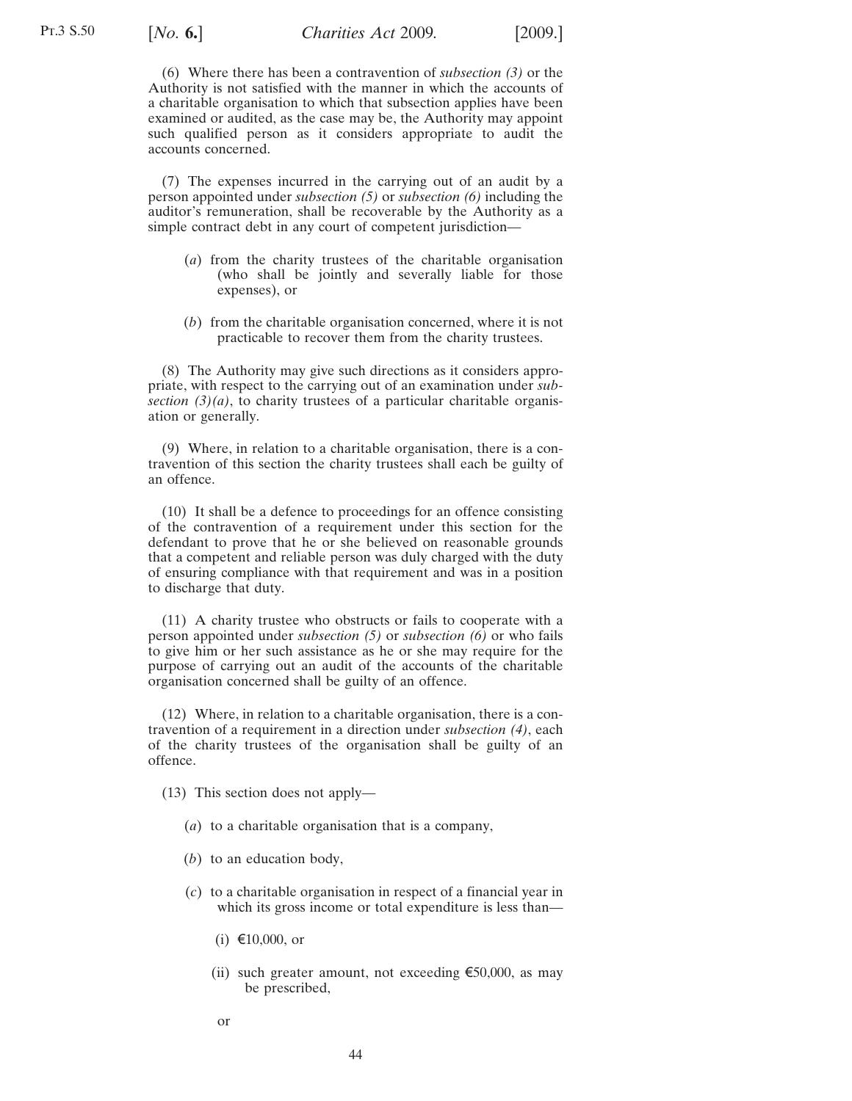<span id="page-43-0"></span>(6) Where there has been a contravention of *subsection [\(3\)](#page-42-0)* or the Authority is not satisfied with the manner in which the accounts of a charitable organisation to which that subsection applies have been examined or audited, as the case may be, the Authority may appoint such qualified person as it considers appropriate to audit the accounts concerned.

(7) The expenses incurred in the carrying out of an audit by a person appointed under *subsection [\(5\)](#page-42-0)* or *subsection (6)* including the auditor's remuneration, shall be recoverable by the Authority as a simple contract debt in any court of competent jurisdiction—

- (*a*) from the charity trustees of the charitable organisation (who shall be jointly and severally liable for those expenses), or
- (*b*) from the charitable organisation concerned, where it is not practicable to recover them from the charity trustees.

(8) The Authority may give such directions as it considers appropriate, with respect to the carrying out of an examination under *subsection [\(3\)\(a\)](#page-42-0)*, to charity trustees of a particular charitable organisation or generally.

(9) Where, in relation to a charitable organisation, there is a contravention of this section the charity trustees shall each be guilty of an offence.

(10) It shall be a defence to proceedings for an offence consisting of the contravention of a requirement under this section for the defendant to prove that he or she believed on reasonable grounds that a competent and reliable person was duly charged with the duty of ensuring compliance with that requirement and was in a position to discharge that duty.

(11) A charity trustee who obstructs or fails to cooperate with a person appointed under *subsection [\(5\)](#page-42-0)* or *subsection (6)* or who fails to give him or her such assistance as he or she may require for the purpose of carrying out an audit of the accounts of the charitable organisation concerned shall be guilty of an offence.

(12) Where, in relation to a charitable organisation, there is a contravention of a requirement in a direction under *subsection [\(4\)](#page-42-0)*, each of the charity trustees of the organisation shall be guilty of an offence.

(13) This section does not apply—

- (*a*) to a charitable organisation that is a company,
- (*b*) to an education body,
- (*c*) to a charitable organisation in respect of a financial year in which its gross income or total expenditure is less than—
	- (i) €10,000, or
	- (ii) such greater amount, not exceeding  $\epsilon$ 50,000, as may be prescribed,
	- or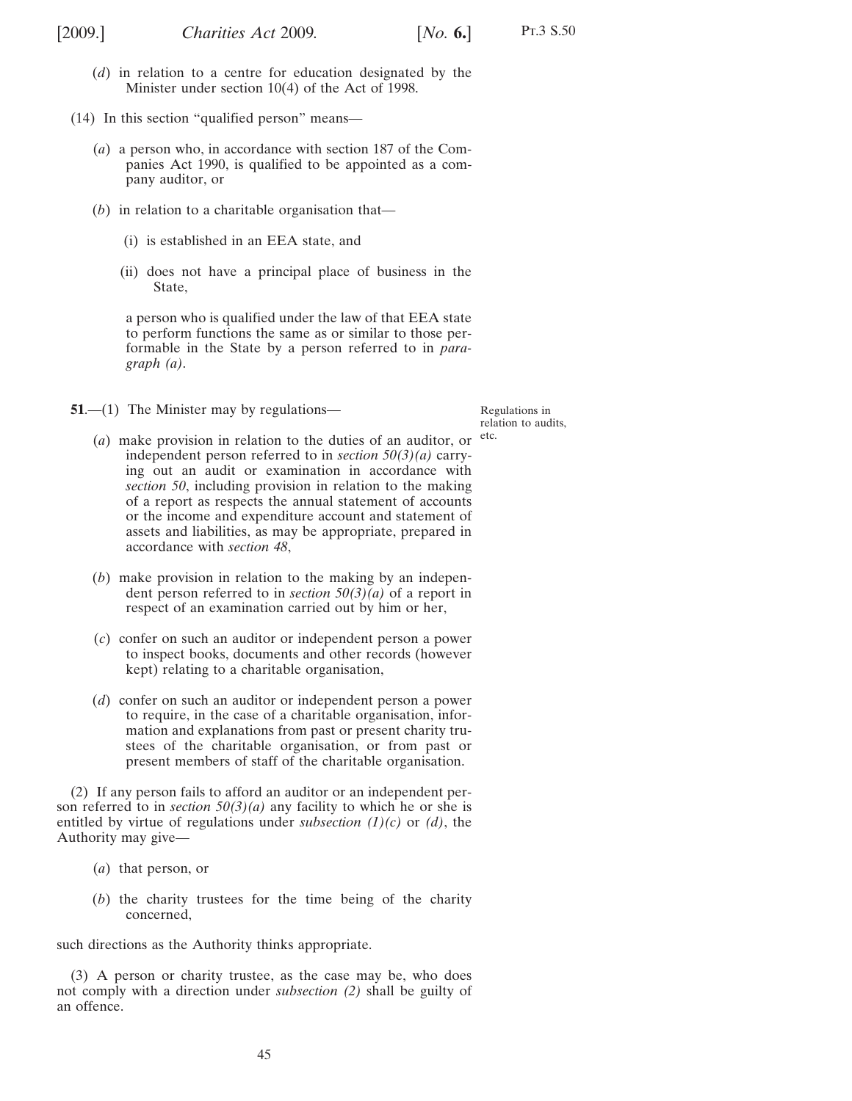<span id="page-44-0"></span>

- (*d*) in relation to a centre for education designated by the Minister under section 10(4) of the Act of 1998.
- (14) In this section "qualified person" means—
	- (*a*) a person who, in accordance with section 187 of the Companies Act 1990, is qualified to be appointed as a company auditor, or
	- (*b*) in relation to a charitable organisation that—
		- (i) is established in an EEA state, and
		- (ii) does not have a principal place of business in the State,

a person who is qualified under the law of that EEA state to perform functions the same as or similar to those performable in the State by a person referred to in *paragraph (a)*.

**51.**—(1) The Minister may by regulations—

Regulations in relation to audits,

- $(a)$  make provision in relation to the duties of an auditor, or <sup>etc.</sup> independent person referred to in *section [50\(3\)\(a\)](#page-42-0)* carrying out an audit or examination in accordance with *section [50](#page-42-0)*, including provision in relation to the making of a report as respects the annual statement of accounts or the income and expenditure account and statement of assets and liabilities, as may be appropriate, prepared in accordance with *section [48](#page-41-0)*,
- (*b*) make provision in relation to the making by an independent person referred to in *section [50\(3\)\(a\)](#page-42-0)* of a report in respect of an examination carried out by him or her,
- (*c*) confer on such an auditor or independent person a power to inspect books, documents and other records (however kept) relating to a charitable organisation,
- (*d*) confer on such an auditor or independent person a power to require, in the case of a charitable organisation, information and explanations from past or present charity trustees of the charitable organisation, or from past or present members of staff of the charitable organisation.

(2) If any person fails to afford an auditor or an independent person referred to in *section [50\(3\)\(a\)](#page-42-0)* any facility to which he or she is entitled by virtue of regulations under *subsection (1)(c)* or *(d)*, the Authority may give—

- (*a*) that person, or
- (*b*) the charity trustees for the time being of the charity concerned,

such directions as the Authority thinks appropriate.

(3) A person or charity trustee, as the case may be, who does not comply with a direction under *subsection (2)* shall be guilty of an offence.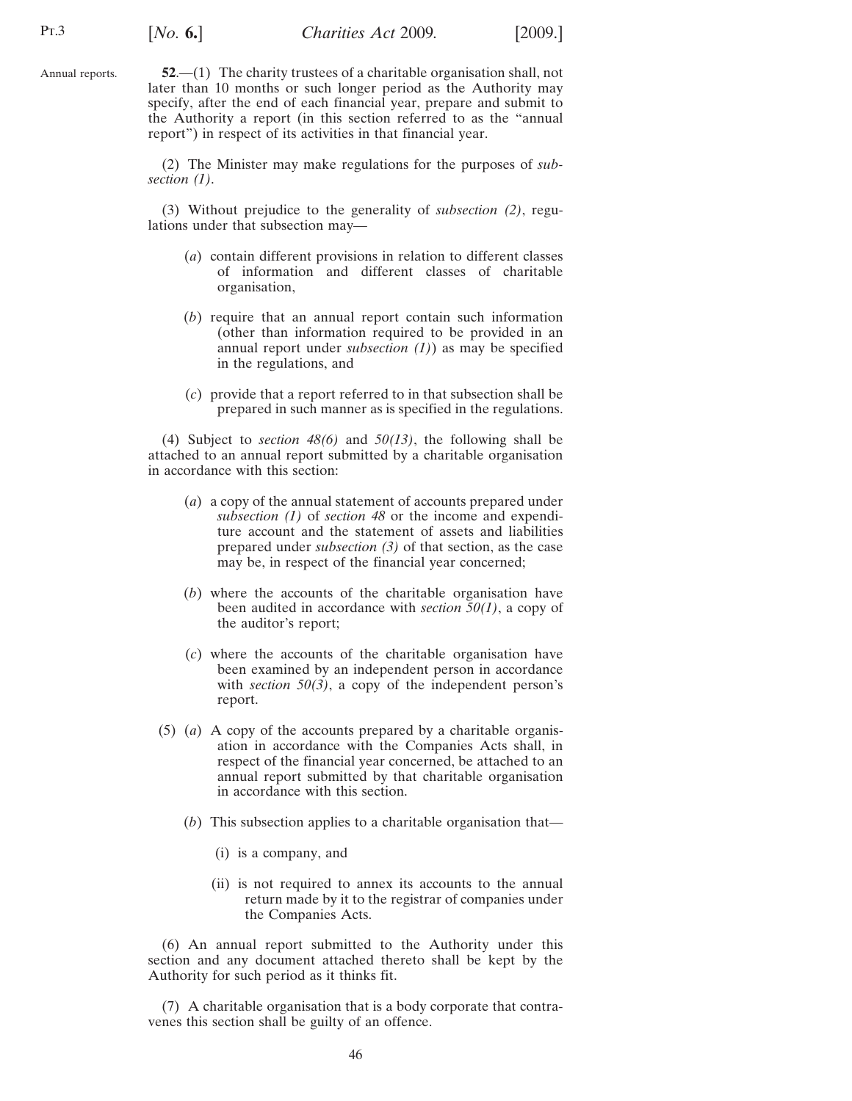<span id="page-45-0"></span>Annual reports.

**52**.—(1) The charity trustees of a charitable organisation shall, not later than 10 months or such longer period as the Authority may specify, after the end of each financial year, prepare and submit to the Authority a report (in this section referred to as the "annual report") in respect of its activities in that financial year.

(2) The Minister may make regulations for the purposes of *subsection (1)*.

(3) Without prejudice to the generality of *subsection (2)*, regulations under that subsection may—

- (*a*) contain different provisions in relation to different classes of information and different classes of charitable organisation,
- (*b*) require that an annual report contain such information (other than information required to be provided in an annual report under *subsection (1)*) as may be specified in the regulations, and
- (*c*) provide that a report referred to in that subsection shall be prepared in such manner as is specified in the regulations.

(4) Subject to *section [48\(6\)](#page-41-0)* and *[50](#page-42-0)[\(13\)](#page-43-0)*, the following shall be attached to an annual report submitted by a charitable organisation in accordance with this section:

- (*a*) a copy of the annual statement of accounts prepared under *subsection [\(1\)](#page-41-0)* of *section [48](#page-41-0)* or the income and expenditure account and the statement of assets and liabilities prepared under *subsection [\(3\)](#page-41-0)* of that section, as the case may be, in respect of the financial year concerned;
- (*b*) where the accounts of the charitable organisation have been audited in accordance with *section [50\(1\)](#page-42-0)*, a copy of the auditor's report;
- (*c*) where the accounts of the charitable organisation have been examined by an independent person in accordance with *section [50\(3\)](#page-42-0)*, a copy of the independent person's report.
- (5) (*a*) A copy of the accounts prepared by a charitable organisation in accordance with the Companies Acts shall, in respect of the financial year concerned, be attached to an annual report submitted by that charitable organisation in accordance with this section.
	- (*b*) This subsection applies to a charitable organisation that—
		- (i) is a company, and
		- (ii) is not required to annex its accounts to the annual return made by it to the registrar of companies under the Companies Acts.

(6) An annual report submitted to the Authority under this section and any document attached thereto shall be kept by the Authority for such period as it thinks fit.

(7) A charitable organisation that is a body corporate that contravenes this section shall be guilty of an offence.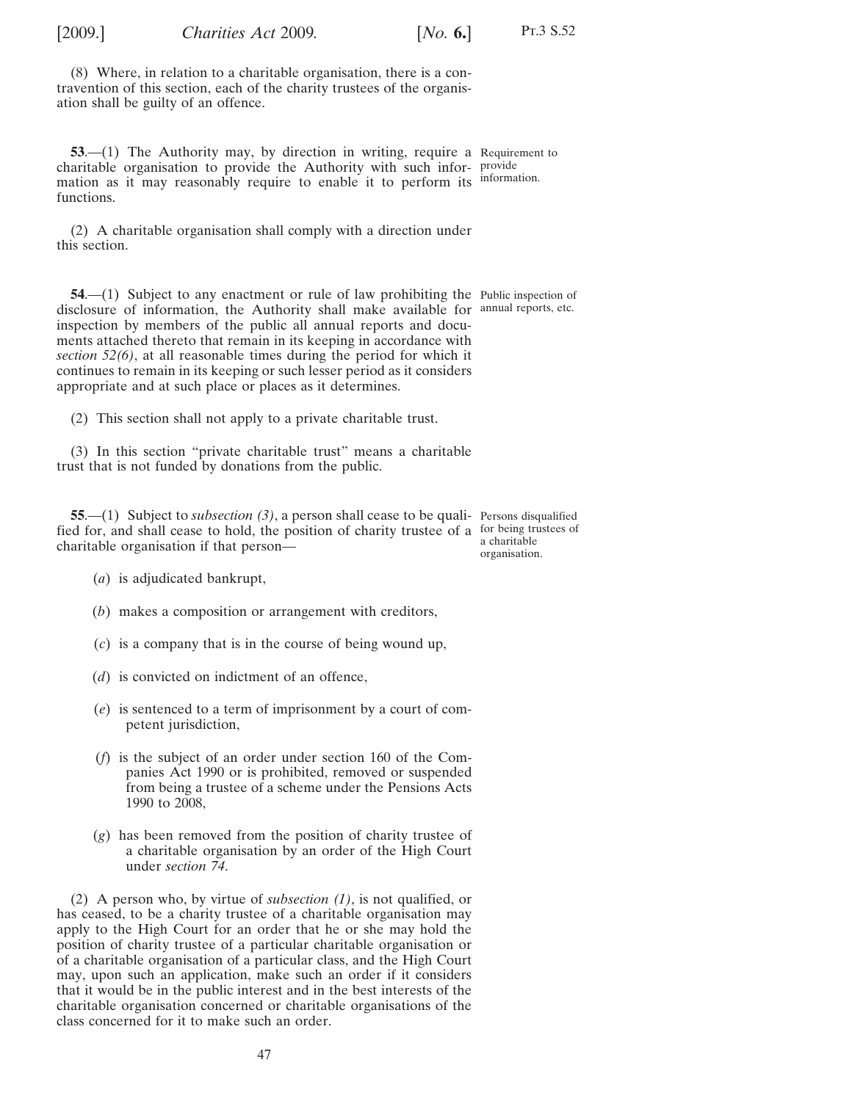<span id="page-46-0"></span>[2009.] [ *Charities Act* 2009*. No.* **6.**]

(8) Where, in relation to a charitable organisation, there is a contravention of this section, each of the charity trustees of the organisation shall be guilty of an offence.

**53.**—(1) The Authority may, by direction in writing, require a Requirement to charitable organisation to provide the Authority with such infor-provide mation as it may reasonably require to enable it to perform its information. functions.

(2) A charitable organisation shall comply with a direction under this section.

**54.**—(1) Subject to any enactment or rule of law prohibiting the Public inspection of disclosure of information, the Authority shall make available for annual reports, etc. inspection by members of the public all annual reports and documents attached thereto that remain in its keeping in accordance with *section [52\(6\)](#page-45-0)*, at all reasonable times during the period for which it continues to remain in its keeping or such lesser period as it considers appropriate and at such place or places as it determines.

(2) This section shall not apply to a private charitable trust.

(3) In this section "private charitable trust" means a charitable trust that is not funded by donations from the public.

**55**.—(1) Subject to *subsectio[n \(3\)](#page-47-0)*, a person shall cease to be quali-Persons disqualified fied for, and shall cease to hold, the position of charity trustee of a for being trustees of charitable organisation if that person a charitable

organisation.

- (*a*) is adjudicated bankrupt,
- (*b*) makes a composition or arrangement with creditors,
- (*c*) is a company that is in the course of being wound up,
- (*d*) is convicted on indictment of an offence,
- (*e*) is sentenced to a term of imprisonment by a court of competent jurisdiction,
- (*f*) is the subject of an order under section 160 of the Companies Act 1990 or is prohibited, removed or suspended from being a trustee of a scheme under the Pensions Acts 1990 to 2008,
- (*g*) has been removed from the position of charity trustee of a charitable organisation by an order of the High Court under *section [74](#page-57-0)*.

(2) A person who, by virtue of *subsection (1)*, is not qualified, or has ceased, to be a charity trustee of a charitable organisation may apply to the High Court for an order that he or she may hold the position of charity trustee of a particular charitable organisation or of a charitable organisation of a particular class, and the High Court may, upon such an application, make such an order if it considers that it would be in the public interest and in the best interests of the charitable organisation concerned or charitable organisations of the class concerned for it to make such an order.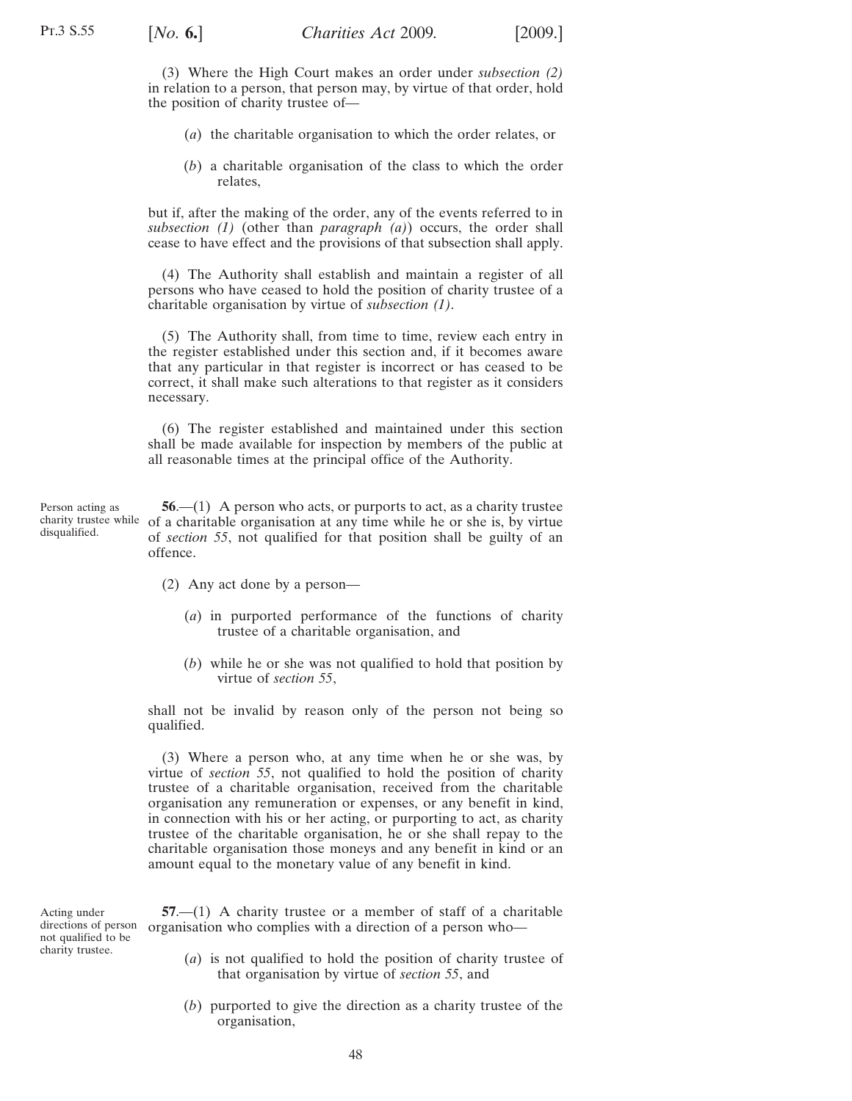<span id="page-47-0"></span>(3) Where the High Court makes an order under *subsection [\(2\)](#page-46-0)* in relation to a person, that person may, by virtue of that order, hold the position of charity trustee of—

- (*a*) the charitable organisation to which the order relates, or
- (*b*) a charitable organisation of the class to which the order relates,

but if, after the making of the order, any of the events referred to in *subsection [\(1\)](#page-46-0)* (other than *paragraph [\(a\)](#page-46-0)*) occurs, the order shall cease to have effect and the provisions of that subsection shall apply.

(4) The Authority shall establish and maintain a register of all persons who have ceased to hold the position of charity trustee of a charitable organisation by virtue of *subsectio[n \(1\)](#page-46-0)*.

(5) The Authority shall, from time to time, review each entry in the register established under this section and, if it becomes aware that any particular in that register is incorrect or has ceased to be correct, it shall make such alterations to that register as it considers necessary.

(6) The register established and maintained under this section shall be made available for inspection by members of the public at all reasonable times at the principal office of the Authority.

Person acting as charity trustee while disqualified. **56.—(1)** A person who acts, or purports to act, as a charity trustee of a charitable organisation at any time while he or she is, by virtue of *section [55](#page-46-0)*, not qualified for that position shall be guilty of an offence.

- (2) Any act done by a person—
	- (*a*) in purported performance of the functions of charity trustee of a charitable organisation, and
	- (*b*) while he or she was not qualified to hold that position by virtue of *section [55](#page-46-0)*,

shall not be invalid by reason only of the person not being so qualified.

(3) Where a person who, at any time when he or she was, by virtue of *section [55](#page-46-0)*, not qualified to hold the position of charity trustee of a charitable organisation, received from the charitable organisation any remuneration or expenses, or any benefit in kind, in connection with his or her acting, or purporting to act, as charity trustee of the charitable organisation, he or she shall repay to the charitable organisation those moneys and any benefit in kind or an amount equal to the monetary value of any benefit in kind.

Acting under directions of person not qualified to be charity trustee.

**57**.—(1) A charity trustee or a member of staff of a charitable organisation who complies with a direction of a person who—

- (*a*) is not qualified to hold the position of charity trustee of that organisation by virtue of *section [55](#page-46-0)*, and
- (*b*) purported to give the direction as a charity trustee of the organisation,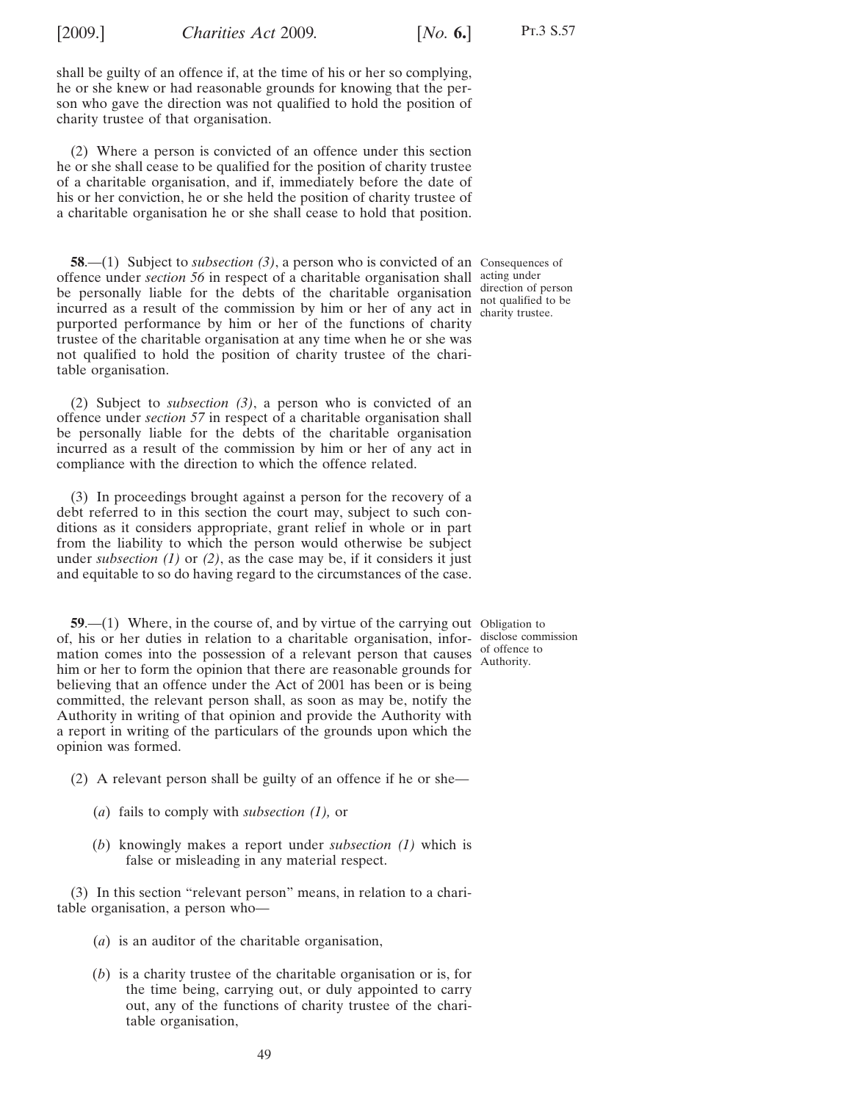<span id="page-48-0"></span>

shall be guilty of an offence if, at the time of his or her so complying, he or she knew or had reasonable grounds for knowing that the person who gave the direction was not qualified to hold the position of charity trustee of that organisation.

(2) Where a person is convicted of an offence under this section he or she shall cease to be qualified for the position of charity trustee of a charitable organisation, and if, immediately before the date of his or her conviction, he or she held the position of charity trustee of a charitable organisation he or she shall cease to hold that position.

**58.**—(1) Subject to *subsection* (3), a person who is convicted of an Consequences of offence under *section [56](#page-47-0)* in respect of a charitable organisation shall acting under be personally liable for the debts of the charitable organisation incurred as a result of the commission by him or her of any act in charity trustee. purported performance by him or her of the functions of charity trustee of the charitable organisation at any time when he or she was not qualified to hold the position of charity trustee of the charitable organisation.

(2) Subject to *subsection (3)*, a person who is convicted of an offence under *section [57](#page-47-0)* in respect of a charitable organisation shall be personally liable for the debts of the charitable organisation incurred as a result of the commission by him or her of any act in compliance with the direction to which the offence related.

(3) In proceedings brought against a person for the recovery of a debt referred to in this section the court may, subject to such conditions as it considers appropriate, grant relief in whole or in part from the liability to which the person would otherwise be subject under *subsection (1)* or *(2)*, as the case may be, if it considers it just and equitable to so do having regard to the circumstances of the case.

**59.**—(1) Where, in the course of, and by virtue of the carrying out Obligation to of, his or her duties in relation to a charitable organisation, infor-disclose commission mation comes into the possession of a relevant person that causes  $\frac{0}{\Delta}$  of offence to him or her to form the opinion that there are reasonable grounds for believing that an offence under the Act of 2001 has been or is being committed, the relevant person shall, as soon as may be, notify the Authority in writing of that opinion and provide the Authority with a report in writing of the particulars of the grounds upon which the opinion was formed.

- (2) A relevant person shall be guilty of an offence if he or she—
	- (*a*) fails to comply with *subsection (1),* or
	- (*b*) knowingly makes a report under *subsection (1)* which is false or misleading in any material respect.

(3) In this section "relevant person" means, in relation to a charitable organisation, a person who—

- (*a*) is an auditor of the charitable organisation,
- (*b*) is a charity trustee of the charitable organisation or is, for the time being, carrying out, or duly appointed to carry out, any of the functions of charity trustee of the charitable organisation,

direction of person not qualified to be

Authority.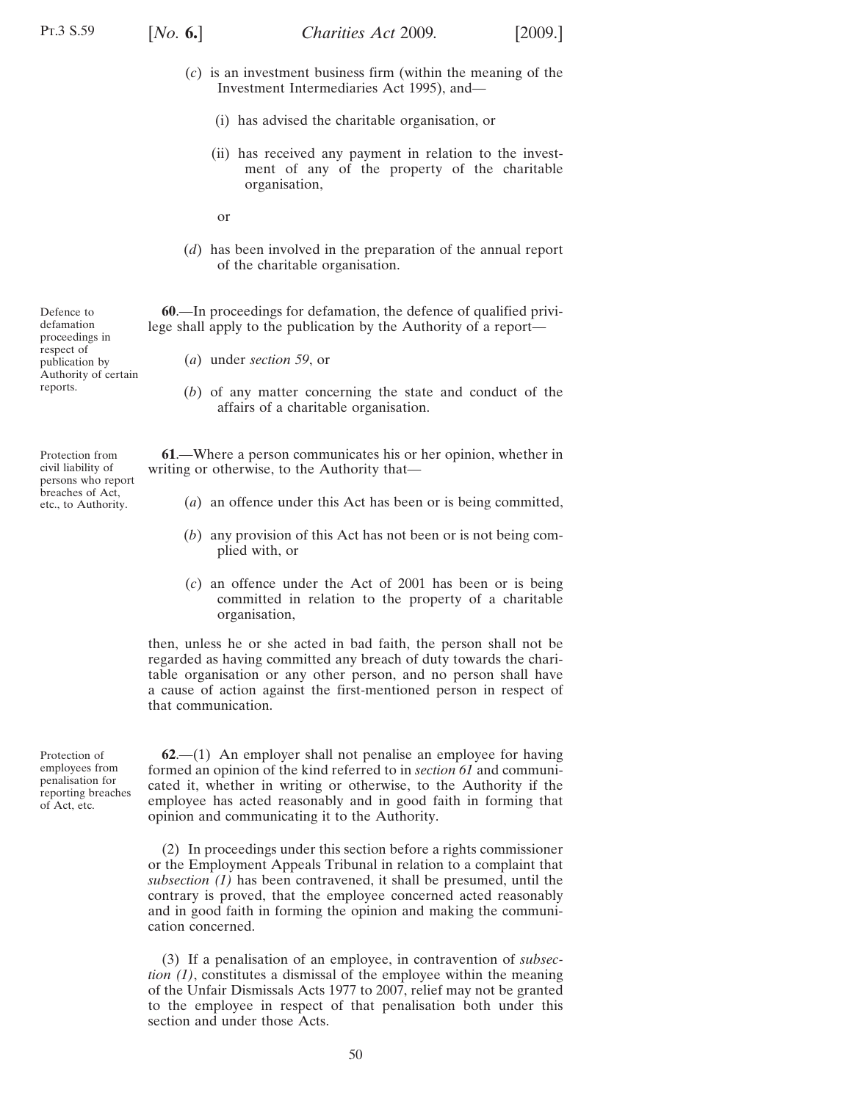Defence to defamation proceedings in respect of publication by Authority of certain

reports.

Protection from civil liability of persons who report breaches of Act, etc., to Authority.

<span id="page-49-0"></span>

- (*c*) is an investment business firm (within the meaning of the Investment Intermediaries Act 1995), and—
	- (i) has advised the charitable organisation, or
	- (ii) has received any payment in relation to the investment of any of the property of the charitable organisation,
	- or
- (*d*) has been involved in the preparation of the annual report of the charitable organisation.

**60**.—In proceedings for defamation, the defence of qualified privilege shall apply to the publication by the Authority of a report—

- (*a*) under *section [59](#page-48-0)*, or
- (*b*) of any matter concerning the state and conduct of the affairs of a charitable organisation.

**61**.—Where a person communicates his or her opinion, whether in writing or otherwise, to the Authority that—

- (*a*) an offence under this Act has been or is being committed,
- (*b*) any provision of this Act has not been or is not being complied with, or
- (*c*) an offence under the Act of 2001 has been or is being committed in relation to the property of a charitable organisation,

then, unless he or she acted in bad faith, the person shall not be regarded as having committed any breach of duty towards the charitable organisation or any other person, and no person shall have a cause of action against the first-mentioned person in respect of that communication.

Protection of employees from penalisation for reporting breaches of Act, etc.

**62**.—(1) An employer shall not penalise an employee for having formed an opinion of the kind referred to in *section 61* and communicated it, whether in writing or otherwise, to the Authority if the employee has acted reasonably and in good faith in forming that opinion and communicating it to the Authority.

(2) In proceedings under this section before a rights commissioner or the Employment Appeals Tribunal in relation to a complaint that *subsection (1)* has been contravened, it shall be presumed, until the contrary is proved, that the employee concerned acted reasonably and in good faith in forming the opinion and making the communication concerned.

(3) If a penalisation of an employee, in contravention of *subsection (1)*, constitutes a dismissal of the employee within the meaning of the Unfair Dismissals Acts 1977 to 2007, relief may not be granted to the employee in respect of that penalisation both under this section and under those Acts.

50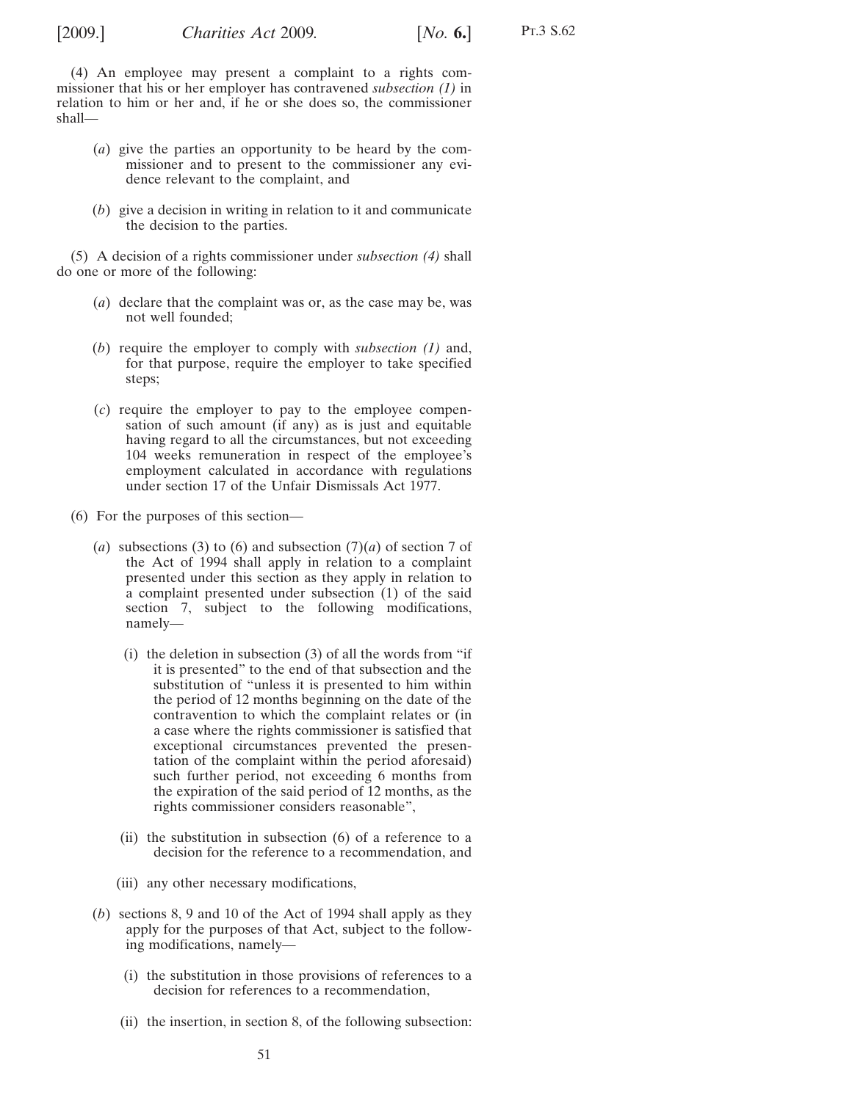<span id="page-50-0"></span>

Pt.3 S.62

- (*a*) give the parties an opportunity to be heard by the commissioner and to present to the commissioner any evidence relevant to the complaint, and
- (*b*) give a decision in writing in relation to it and communicate the decision to the parties.

(5) A decision of a rights commissioner under *subsection (4)* shall do one or more of the following:

- (*a*) declare that the complaint was or, as the case may be, was not well founded;
- (*b*) require the employer to comply with *subsection [\(1\)](#page-49-0)* and, for that purpose, require the employer to take specified steps;
- (*c*) require the employer to pay to the employee compensation of such amount (if any) as is just and equitable having regard to all the circumstances, but not exceeding 104 weeks remuneration in respect of the employee's employment calculated in accordance with regulations under section 17 of the Unfair Dismissals Act 1977.
- (6) For the purposes of this section—
	- (*a*) subsections (3) to (6) and subsection (7)(*a*) of section 7 of the Act of 1994 shall apply in relation to a complaint presented under this section as they apply in relation to a complaint presented under subsection (1) of the said section 7, subject to the following modifications, namely—
		- (i) the deletion in subsection (3) of all the words from "if it is presented" to the end of that subsection and the substitution of "unless it is presented to him within the period of 12 months beginning on the date of the contravention to which the complaint relates or (in a case where the rights commissioner is satisfied that exceptional circumstances prevented the presentation of the complaint within the period aforesaid) such further period, not exceeding 6 months from the expiration of the said period of 12 months, as the rights commissioner considers reasonable",
		- (ii) the substitution in subsection (6) of a reference to a decision for the reference to a recommendation, and
		- (iii) any other necessary modifications,
	- (*b*) sections 8, 9 and 10 of the Act of 1994 shall apply as they apply for the purposes of that Act, subject to the following modifications, namely—
		- (i) the substitution in those provisions of references to a decision for references to a recommendation,
		- (ii) the insertion, in section 8, of the following subsection: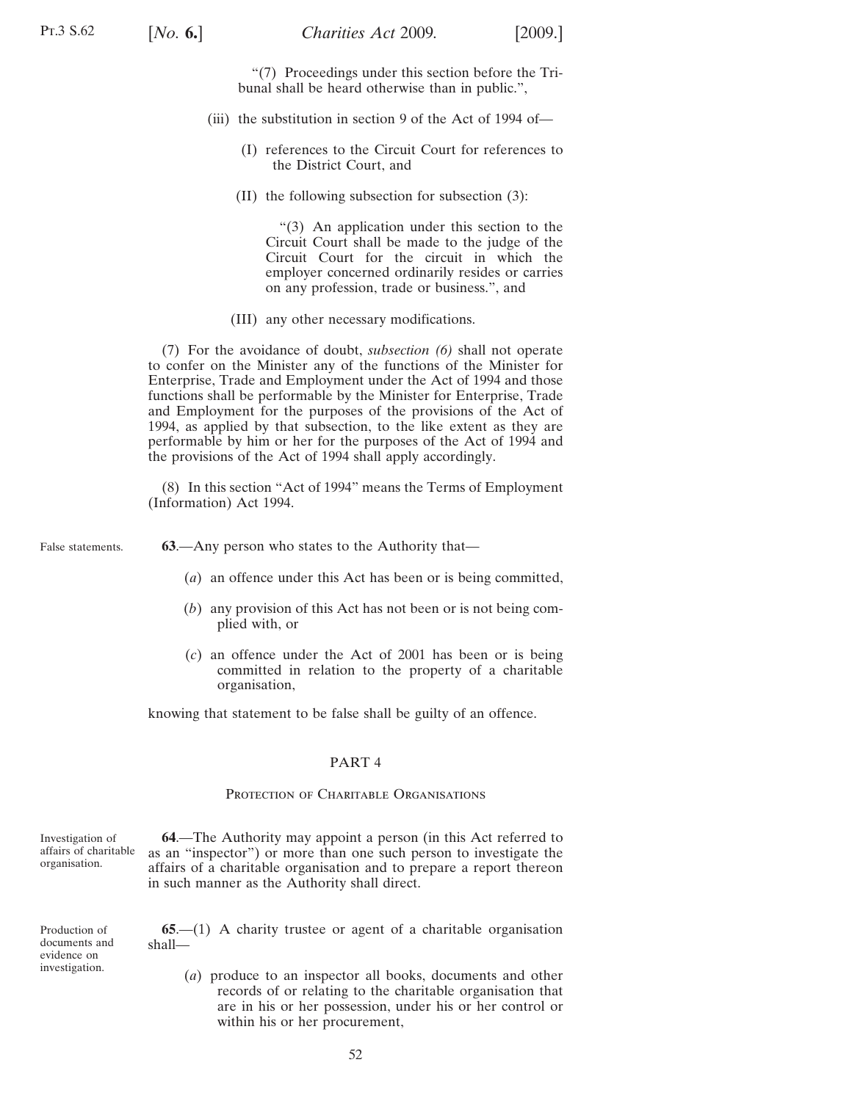"(7) Proceedings under this section before the Tribunal shall be heard otherwise than in public.",

- <span id="page-51-0"></span>(iii) the substitution in section 9 of the Act of 1994 of—
	- (I) references to the Circuit Court for references to the District Court, and
	- (II) the following subsection for subsection (3):

"(3) An application under this section to the Circuit Court shall be made to the judge of the Circuit Court for the circuit in which the employer concerned ordinarily resides or carries on any profession, trade or business.", and

(III) any other necessary modifications.

(7) For the avoidance of doubt, *subsection [\(6\)](#page-50-0)* shall not operate to confer on the Minister any of the functions of the Minister for Enterprise, Trade and Employment under the Act of 1994 and those functions shall be performable by the Minister for Enterprise, Trade and Employment for the purposes of the provisions of the Act of 1994, as applied by that subsection, to the like extent as they are performable by him or her for the purposes of the Act of 1994 and the provisions of the Act of 1994 shall apply accordingly.

(8) In this section "Act of 1994" means the Terms of Employment (Information) Act 1994.

False statements.

**63**.—Any person who states to the Authority that—

- (*a*) an offence under this Act has been or is being committed,
- (*b*) any provision of this Act has not been or is not being complied with, or
- (*c*) an offence under the Act of 2001 has been or is being committed in relation to the property of a charitable organisation,

knowing that statement to be false shall be guilty of an offence.

### PART 4

# PROTECTION OF CHARITABLE ORGANISATIONS

Investigation of affairs of charitable organisation.

**64**.—The Authority may appoint a person (in this Act referred to as an "inspector") or more than one such person to investigate the affairs of a charitable organisation and to prepare a report thereon in such manner as the Authority shall direct.

Production of documents and evidence on investigation.

**65**.—(1) A charity trustee or agent of a charitable organisation shall—

(*a*) produce to an inspector all books, documents and other records of or relating to the charitable organisation that are in his or her possession, under his or her control or within his or her procurement,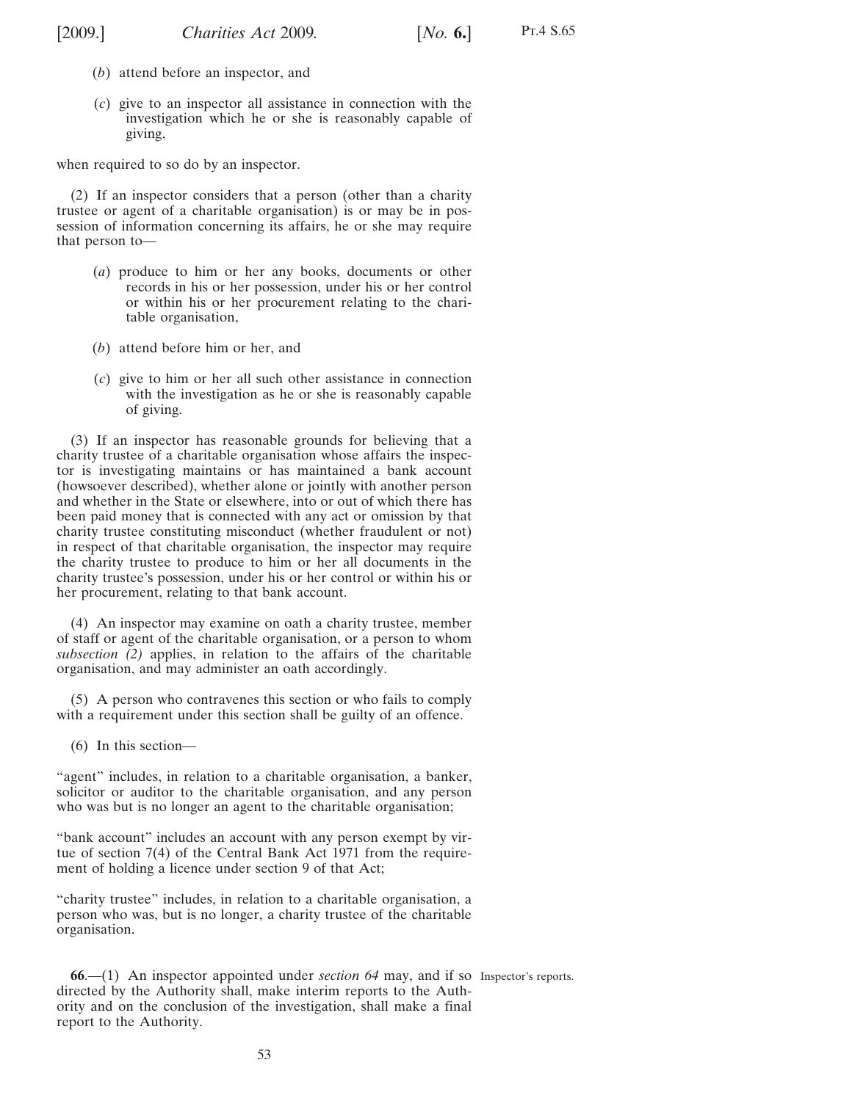<span id="page-52-0"></span>

Pt.4 S.65

- (*b*) attend before an inspector, and
- (*c*) give to an inspector all assistance in connection with the investigation which he or she is reasonably capable of giving,

when required to so do by an inspector.

(2) If an inspector considers that a person (other than a charity trustee or agent of a charitable organisation) is or may be in possession of information concerning its affairs, he or she may require that person to—

- (*a*) produce to him or her any books, documents or other records in his or her possession, under his or her control or within his or her procurement relating to the charitable organisation,
- (*b*) attend before him or her, and
- (*c*) give to him or her all such other assistance in connection with the investigation as he or she is reasonably capable of giving.

(3) If an inspector has reasonable grounds for believing that a charity trustee of a charitable organisation whose affairs the inspector is investigating maintains or has maintained a bank account (howsoever described), whether alone or jointly with another person and whether in the State or elsewhere, into or out of which there has been paid money that is connected with any act or omission by that charity trustee constituting misconduct (whether fraudulent or not) in respect of that charitable organisation, the inspector may require the charity trustee to produce to him or her all documents in the charity trustee's possession, under his or her control or within his or her procurement, relating to that bank account.

(4) An inspector may examine on oath a charity trustee, member of staff or agent of the charitable organisation, or a person to whom *subsection (2)* applies, in relation to the affairs of the charitable organisation, and may administer an oath accordingly.

(5) A person who contravenes this section or who fails to comply with a requirement under this section shall be guilty of an offence.

(6) In this section—

"agent" includes, in relation to a charitable organisation, a banker, solicitor or auditor to the charitable organisation, and any person who was but is no longer an agent to the charitable organisation;

"bank account" includes an account with any person exempt by virtue of section 7(4) of the Central Bank Act 1971 from the requirement of holding a licence under section 9 of that Act;

"charity trustee" includes, in relation to a charitable organisation, a person who was, but is no longer, a charity trustee of the charitable organisation.

**66**.—(1) An inspector appointed under *section [64](#page-51-0)* may, and if so Inspector's reports.directed by the Authority shall, make interim reports to the Authority and on the conclusion of the investigation, shall make a final report to the Authority.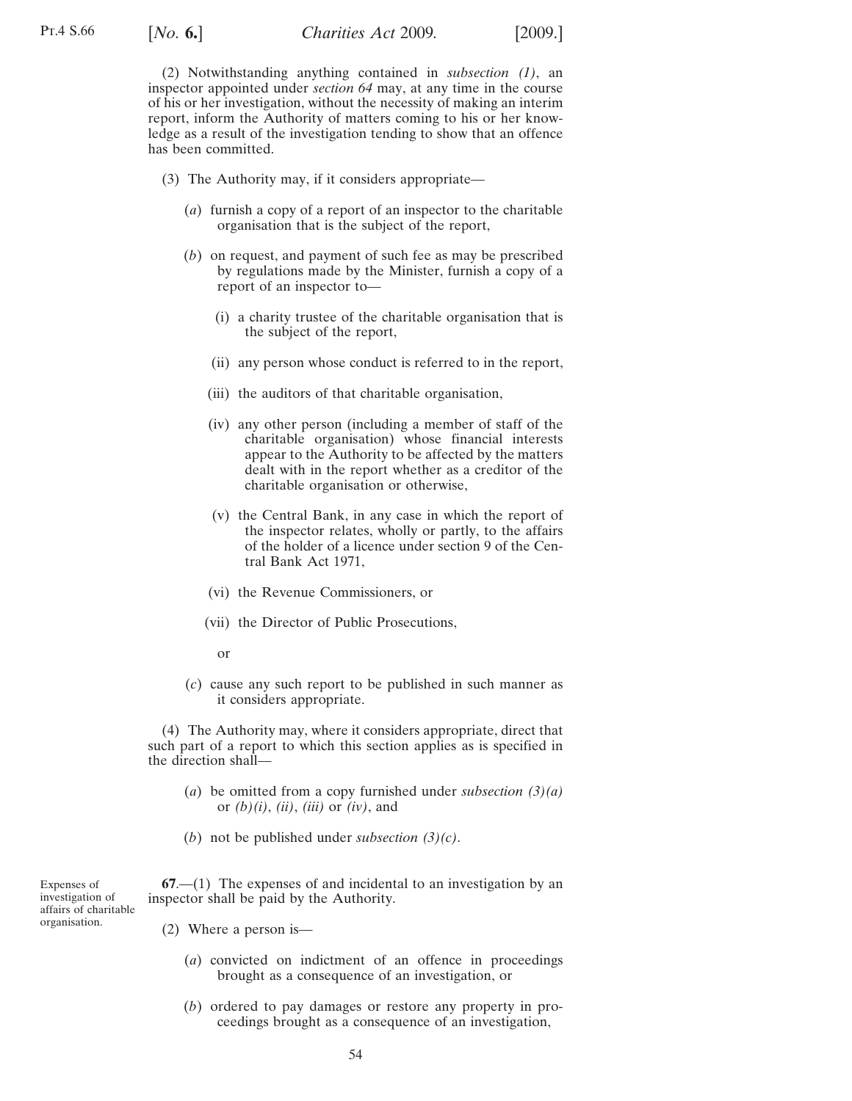<span id="page-53-0"></span>(2) Notwithstanding anything contained in *subsection [\(1\)](#page-52-0)*, an inspector appointed under *section [64](#page-51-0)* may, at any time in the course of his or her investigation, without the necessity of making an interim report, inform the Authority of matters coming to his or her knowledge as a result of the investigation tending to show that an offence has been committed.

- (3) The Authority may, if it considers appropriate—
	- (*a*) furnish a copy of a report of an inspector to the charitable organisation that is the subject of the report,
	- (*b*) on request, and payment of such fee as may be prescribed by regulations made by the Minister, furnish a copy of a report of an inspector to—
		- (i) a charity trustee of the charitable organisation that is the subject of the report,
		- (ii) any person whose conduct is referred to in the report,
		- (iii) the auditors of that charitable organisation,
		- (iv) any other person (including a member of staff of the charitable organisation) whose financial interests appear to the Authority to be affected by the matters dealt with in the report whether as a creditor of the charitable organisation or otherwise,
		- (v) the Central Bank, in any case in which the report of the inspector relates, wholly or partly, to the affairs of the holder of a licence under section 9 of the Central Bank Act 1971,
		- (vi) the Revenue Commissioners, or
		- (vii) the Director of Public Prosecutions,
			- or
	- (*c*) cause any such report to be published in such manner as it considers appropriate.

(4) The Authority may, where it considers appropriate, direct that such part of a report to which this section applies as is specified in the direction shall—

- (*a*) be omitted from a copy furnished under *subsection (3)(a)* or *(b)(i)*, *(ii)*, *(iii)* or *(iv)*, and
- (*b*) not be published under *subsection (3)(c)*.

Expenses of investigation of affairs of charitable organisation.

**67**.—(1) The expenses of and incidental to an investigation by an inspector shall be paid by the Authority.

- (2) Where a person is—
	- (*a*) convicted on indictment of an offence in proceedings brought as a consequence of an investigation, or
	- (*b*) ordered to pay damages or restore any property in proceedings brought as a consequence of an investigation,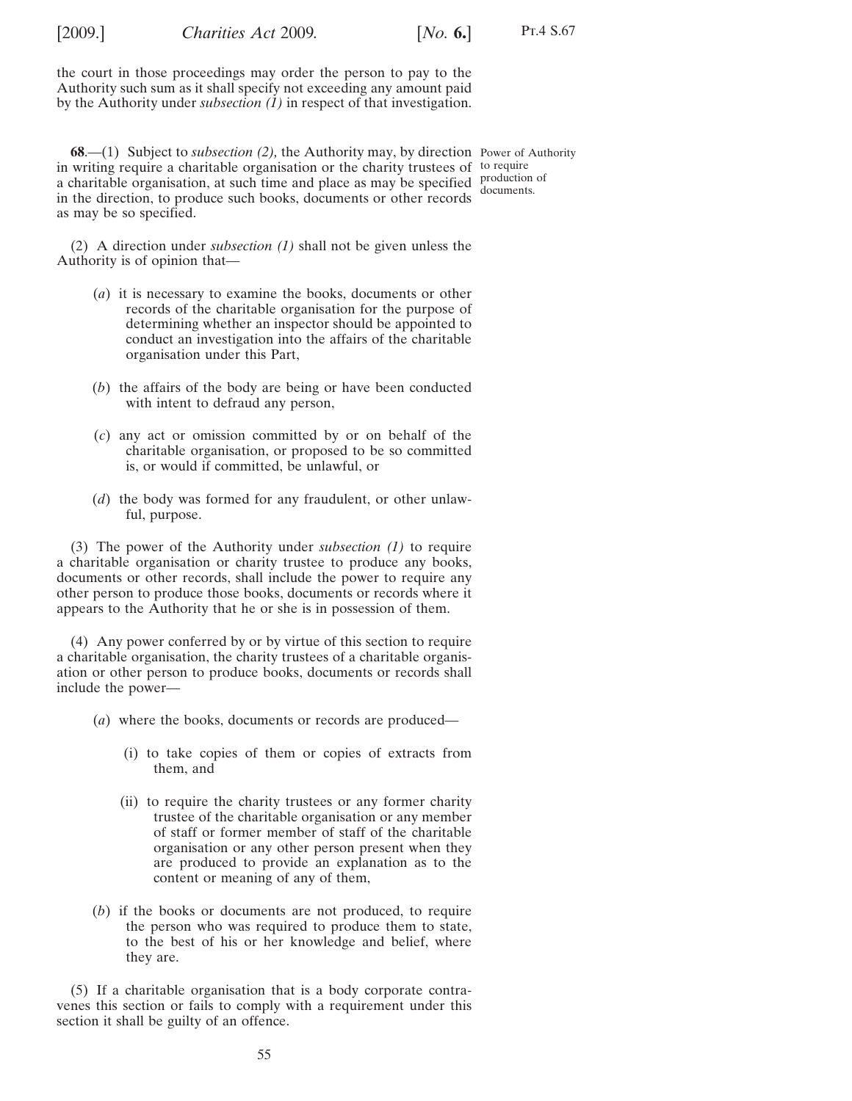<span id="page-54-0"></span>[2009.] [ *Charities Act* 2009*. No.* **6.**]

Pt.4 S.67

the court in those proceedings may order the person to pay to the Authority such sum as it shall specify not exceeding any amount paid by the Authority under *subsectio[n \(1\)](#page-53-0)* in respect of that investigation.

**68**.—(1) Subject to *subsection (2),* the Authority may, by direction Power of Authority in writing require a charitable organisation or the charity trustees of to require a charitable organisation, at such time and place as may be specified production of in the direction, to produce such books, documents or other records as may be so specified. documents.

(2) A direction under *subsection (1)* shall not be given unless the Authority is of opinion that—

- (*a*) it is necessary to examine the books, documents or other records of the charitable organisation for the purpose of determining whether an inspector should be appointed to conduct an investigation into the affairs of the charitable organisation under this Part,
- (*b*) the affairs of the body are being or have been conducted with intent to defraud any person,
- (*c*) any act or omission committed by or on behalf of the charitable organisation, or proposed to be so committed is, or would if committed, be unlawful, or
- (*d*) the body was formed for any fraudulent, or other unlawful, purpose.

(3) The power of the Authority under *subsection (1)* to require a charitable organisation or charity trustee to produce any books, documents or other records, shall include the power to require any other person to produce those books, documents or records where it appears to the Authority that he or she is in possession of them.

(4) Any power conferred by or by virtue of this section to require a charitable organisation, the charity trustees of a charitable organisation or other person to produce books, documents or records shall include the power—

- (*a*) where the books, documents or records are produced—
	- (i) to take copies of them or copies of extracts from them, and
	- (ii) to require the charity trustees or any former charity trustee of the charitable organisation or any member of staff or former member of staff of the charitable organisation or any other person present when they are produced to provide an explanation as to the content or meaning of any of them,
- (*b*) if the books or documents are not produced, to require the person who was required to produce them to state, to the best of his or her knowledge and belief, where they are.

(5) If a charitable organisation that is a body corporate contravenes this section or fails to comply with a requirement under this section it shall be guilty of an offence.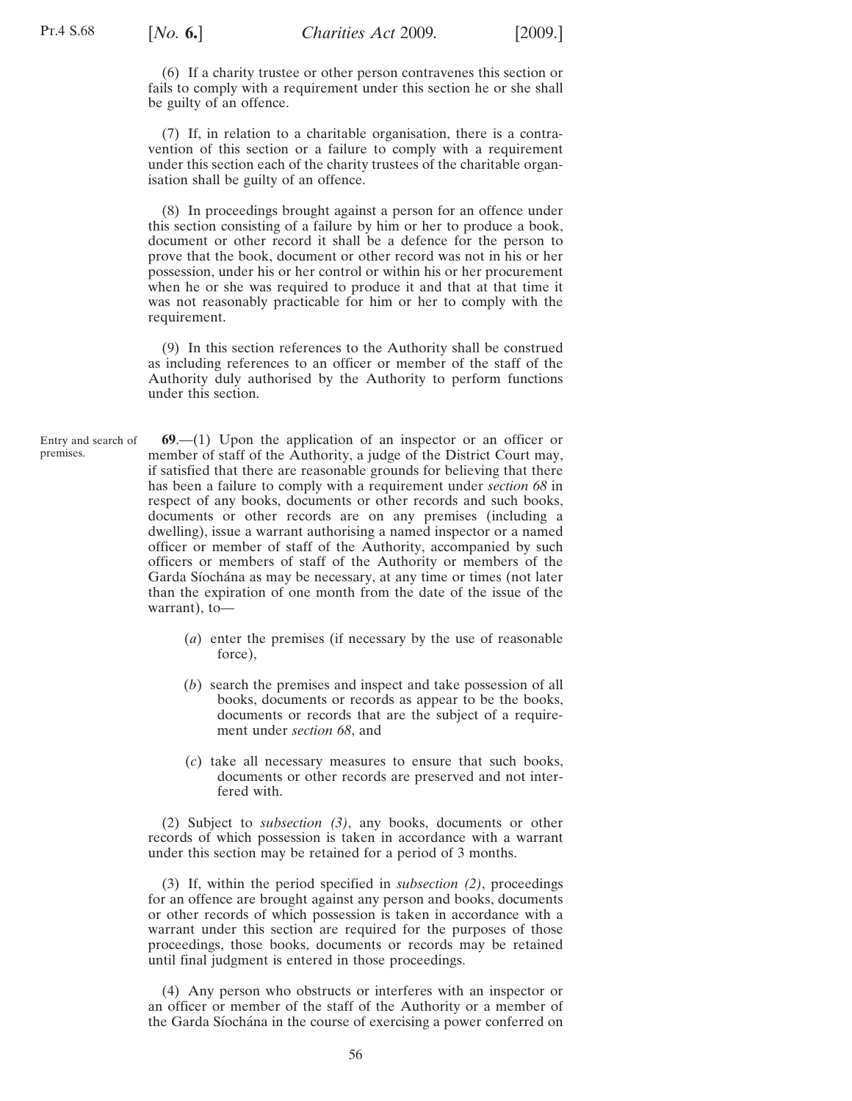<span id="page-55-0"></span>(6) If a charity trustee or other person contravenes this section or fails to comply with a requirement under this section he or she shall be guilty of an offence.

(7) If, in relation to a charitable organisation, there is a contravention of this section or a failure to comply with a requirement under this section each of the charity trustees of the charitable organisation shall be guilty of an offence.

(8) In proceedings brought against a person for an offence under this section consisting of a failure by him or her to produce a book, document or other record it shall be a defence for the person to prove that the book, document or other record was not in his or her possession, under his or her control or within his or her procurement when he or she was required to produce it and that at that time it was not reasonably practicable for him or her to comply with the requirement.

(9) In this section references to the Authority shall be construed as including references to an officer or member of the staff of the Authority duly authorised by the Authority to perform functions under this section.

Entry and search of premises. **69**.—(1) Upon the application of an inspector or an officer or member of staff of the Authority, a judge of the District Court may, if satisfied that there are reasonable grounds for believing that there has been a failure to comply with a requirement under *section [68](#page-54-0)* in respect of any books, documents or other records and such books, documents or other records are on any premises (including a dwelling), issue a warrant authorising a named inspector or a named officer or member of staff of the Authority, accompanied by such officers or members of staff of the Authority or members of the Garda Síochána as may be necessary, at any time or times (not later than the expiration of one month from the date of the issue of the warrant), to—

- (*a*) enter the premises (if necessary by the use of reasonable force),
- (*b*) search the premises and inspect and take possession of all books, documents or records as appear to be the books, documents or records that are the subject of a requirement under *section [68](#page-54-0)*, and
- (*c*) take all necessary measures to ensure that such books, documents or other records are preserved and not interfered with.

(2) Subject to *subsection (3)*, any books, documents or other records of which possession is taken in accordance with a warrant under this section may be retained for a period of 3 months.

(3) If, within the period specified in *subsection (2)*, proceedings for an offence are brought against any person and books, documents or other records of which possession is taken in accordance with a warrant under this section are required for the purposes of those proceedings, those books, documents or records may be retained until final judgment is entered in those proceedings.

(4) Any person who obstructs or interferes with an inspector or an officer or member of the staff of the Authority or a member of the Garda Síochána in the course of exercising a power conferred on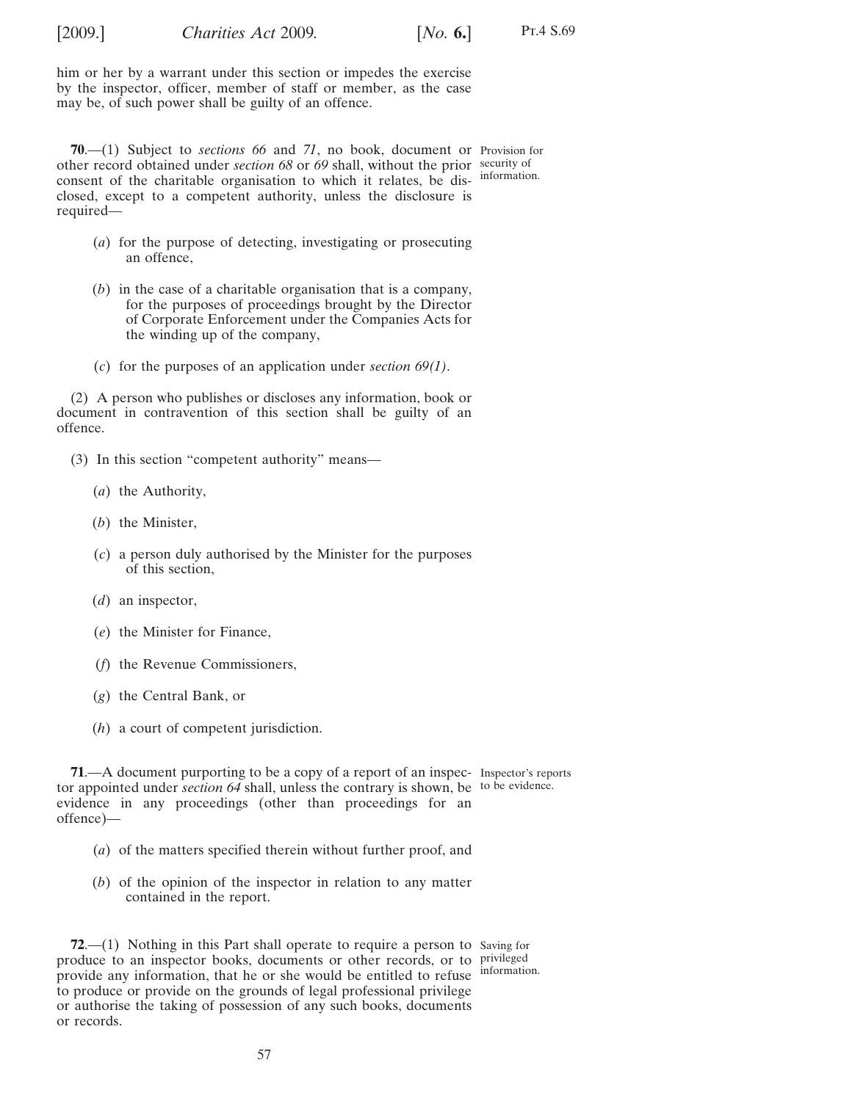[2009.] [ *Charities Act* 2009*. No.* **6.**]

Pt.4 S.69

**70**.—(1) Subject to *sections [66](#page-52-0)* and *71*, no book, document or Provision for other record obtained under *section [68](#page-54-0)* or *[69](#page-55-0)* shall, without the prior security of consent of the charitable organisation to which it relates, be dis-information. closed, except to a competent authority, unless the disclosure is required—

- (*a*) for the purpose of detecting, investigating or prosecuting an offence,
- (*b*) in the case of a charitable organisation that is a company, for the purposes of proceedings brought by the Director of Corporate Enforcement under the Companies Acts for the winding up of the company,
- (*c*) for the purposes of an application under *section [69\(1\)](#page-55-0)*.

(2) A person who publishes or discloses any information, book or document in contravention of this section shall be guilty of an offence.

- (3) In this section "competent authority" means—
	- (*a*) the Authority,
	- (*b*) the Minister,
	- (*c*) a person duly authorised by the Minister for the purposes of this section,
	- (*d*) an inspector,
	- (*e*) the Minister for Finance,
	- (*f*) the Revenue Commissioners,
	- (*g*) the Central Bank, or
	- (*h*) a court of competent jurisdiction.

**71.**—A document purporting to be a copy of a report of an inspec- Inspector's reports tor appointed under *section [64](#page-51-0)* shall, unless the contrary is shown, be to be evidence. evidence in any proceedings (other than proceedings for an offence)—

- (*a*) of the matters specified therein without further proof, and
- (*b*) of the opinion of the inspector in relation to any matter contained in the report.

**72.**—(1) Nothing in this Part shall operate to require a person to Saving for produce to an inspector books, documents or other records, or to privileged provide any information, that he or she would be entitled to refuse information. to produce or provide on the grounds of legal professional privilege or authorise the taking of possession of any such books, documents or records.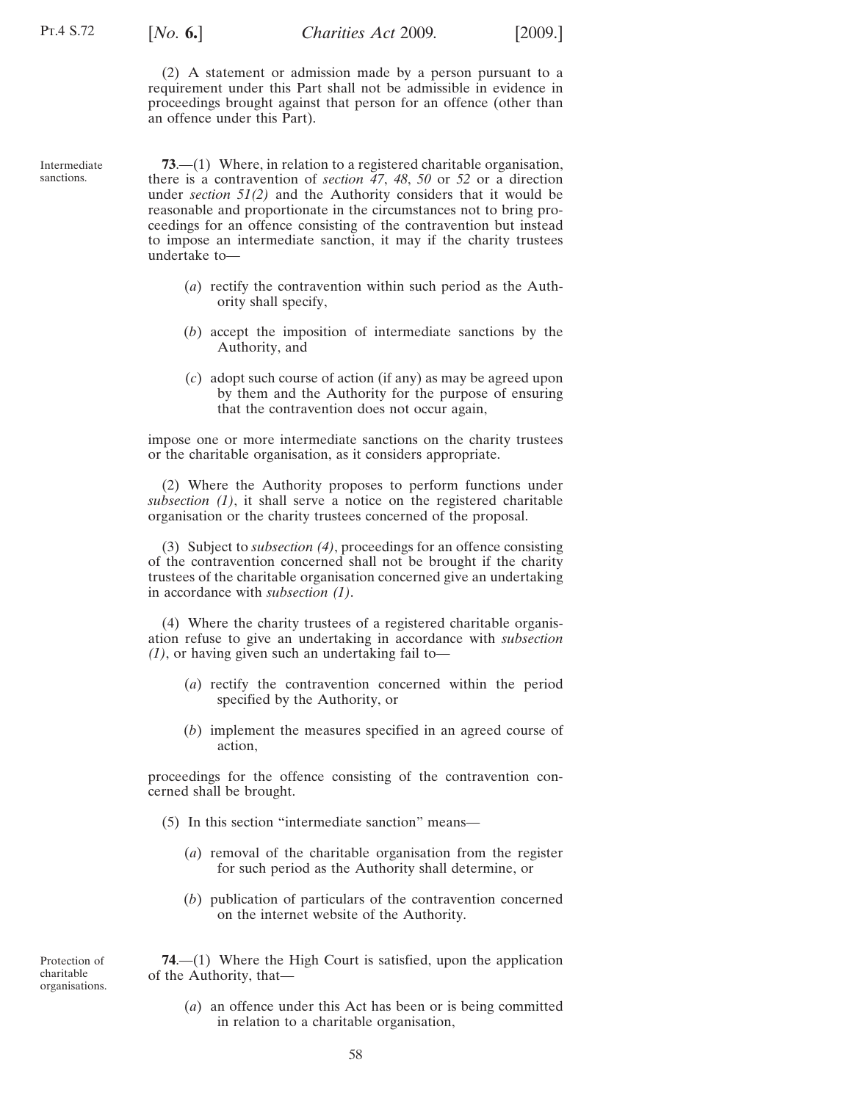<span id="page-57-0"></span>

(2) A statement or admission made by a person pursuant to a requirement under this Part shall not be admissible in evidence in proceedings brought against that person for an offence (other than an offence under this Part).

Intermediate sanctions.

**73**.—(1) Where, in relation to a registered charitable organisation, there is a contravention of *section [47](#page-39-0)*, *[48](#page-41-0)*, *[50](#page-42-0)* or *[52](#page-45-0)* or a direction under *section [51\(2\)](#page-44-0)* and the Authority considers that it would be reasonable and proportionate in the circumstances not to bring proceedings for an offence consisting of the contravention but instead to impose an intermediate sanction, it may if the charity trustees undertake to—

- (*a*) rectify the contravention within such period as the Authority shall specify,
- (*b*) accept the imposition of intermediate sanctions by the Authority, and
- (*c*) adopt such course of action (if any) as may be agreed upon by them and the Authority for the purpose of ensuring that the contravention does not occur again,

impose one or more intermediate sanctions on the charity trustees or the charitable organisation, as it considers appropriate.

(2) Where the Authority proposes to perform functions under *subsection (1)*, it shall serve a notice on the registered charitable organisation or the charity trustees concerned of the proposal.

(3) Subject to *subsection (4)*, proceedings for an offence consisting of the contravention concerned shall not be brought if the charity trustees of the charitable organisation concerned give an undertaking in accordance with *subsection (1)*.

(4) Where the charity trustees of a registered charitable organisation refuse to give an undertaking in accordance with *subsection (1)*, or having given such an undertaking fail to—

- (*a*) rectify the contravention concerned within the period specified by the Authority, or
- (*b*) implement the measures specified in an agreed course of action,

proceedings for the offence consisting of the contravention concerned shall be brought.

- (5) In this section "intermediate sanction" means—
	- (*a*) removal of the charitable organisation from the register for such period as the Authority shall determine, or
	- (*b*) publication of particulars of the contravention concerned on the internet website of the Authority.

Protection of charitable organisations.

**74**.—(1) Where the High Court is satisfied, upon the application of the Authority, that—

(*a*) an offence under this Act has been or is being committed in relation to a charitable organisation,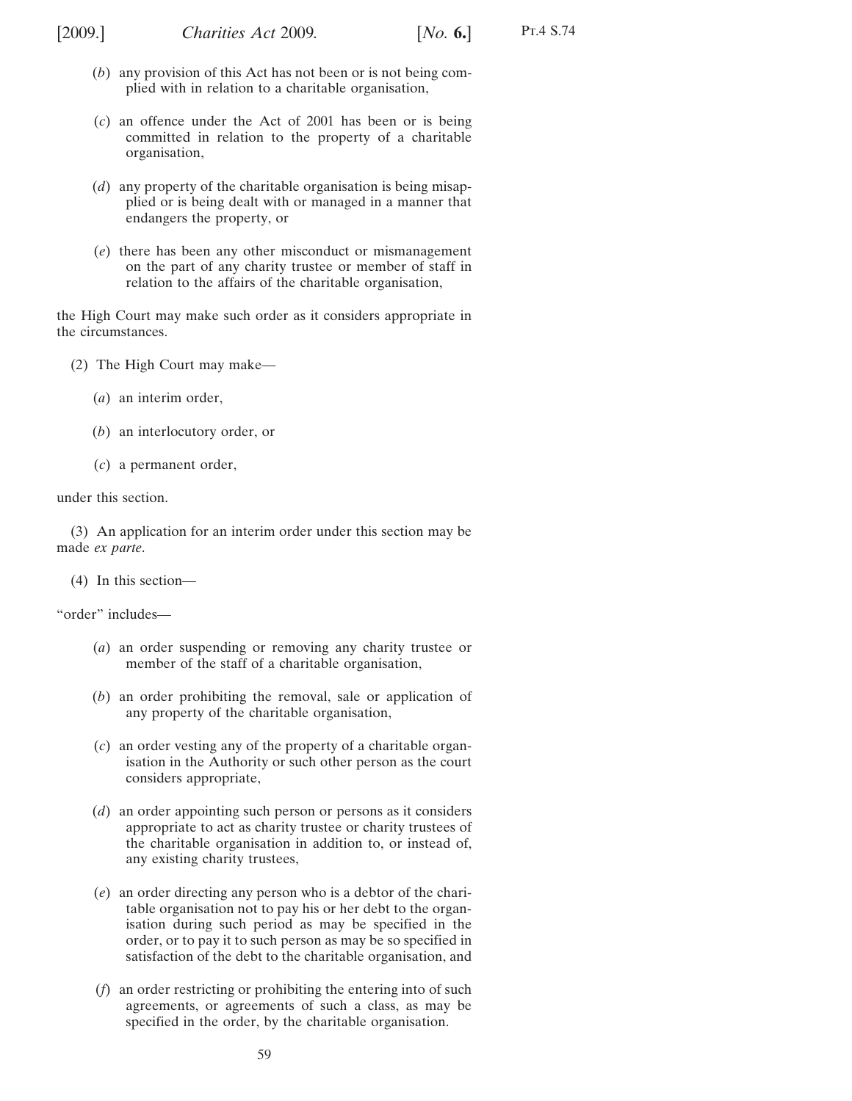- (*b*) any provision of this Act has not been or is not being complied with in relation to a charitable organisation,
- (*c*) an offence under the Act of 2001 has been or is being committed in relation to the property of a charitable organisation,
- (*d*) any property of the charitable organisation is being misapplied or is being dealt with or managed in a manner that endangers the property, or
- (*e*) there has been any other misconduct or mismanagement on the part of any charity trustee or member of staff in relation to the affairs of the charitable organisation,

the High Court may make such order as it considers appropriate in the circumstances.

- (2) The High Court may make—
	- (*a*) an interim order,
	- (*b*) an interlocutory order, or
	- (*c*) a permanent order,

under this section.

(3) An application for an interim order under this section may be made *ex parte*.

(4) In this section—

"order" includes—

- (*a*) an order suspending or removing any charity trustee or member of the staff of a charitable organisation,
- (*b*) an order prohibiting the removal, sale or application of any property of the charitable organisation,
- (*c*) an order vesting any of the property of a charitable organisation in the Authority or such other person as the court considers appropriate,
- (*d*) an order appointing such person or persons as it considers appropriate to act as charity trustee or charity trustees of the charitable organisation in addition to, or instead of, any existing charity trustees,
- (*e*) an order directing any person who is a debtor of the charitable organisation not to pay his or her debt to the organisation during such period as may be specified in the order, or to pay it to such person as may be so specified in satisfaction of the debt to the charitable organisation, and
- (*f*) an order restricting or prohibiting the entering into of such agreements, or agreements of such a class, as may be specified in the order, by the charitable organisation.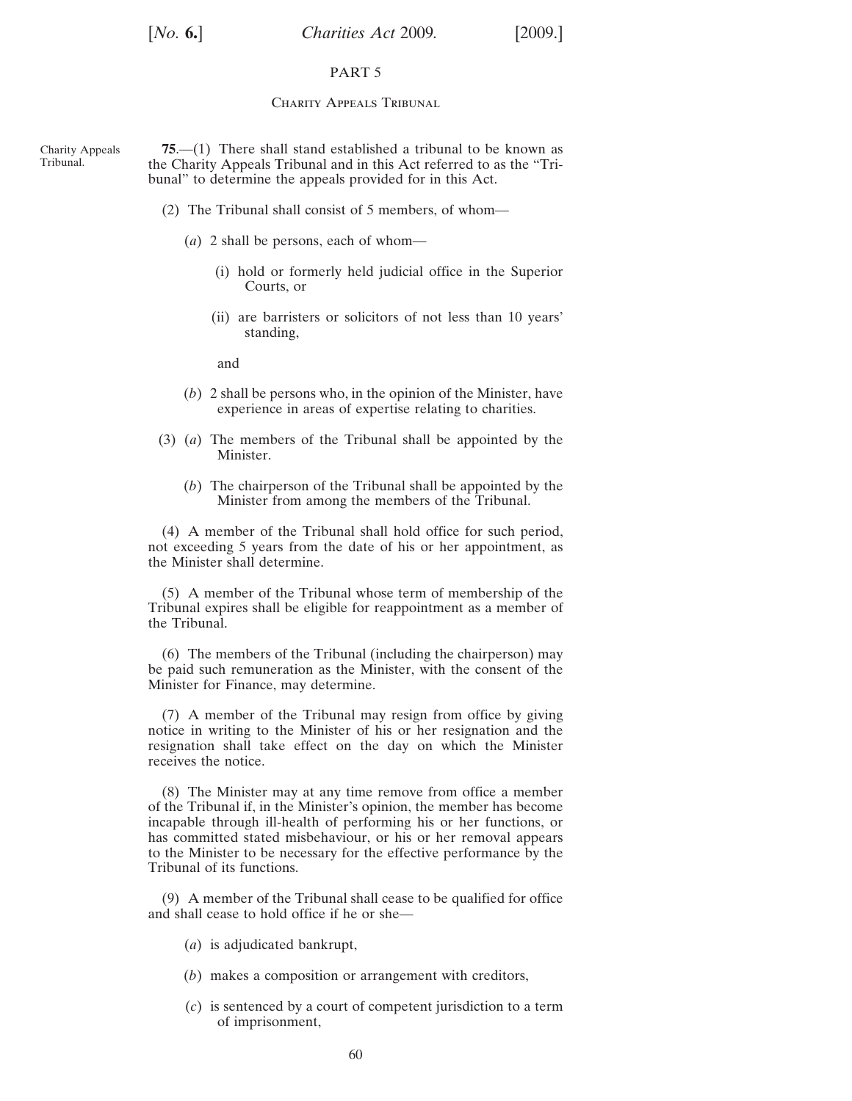## PART 5

### CHARITY APPEALS TRIBUNAL

Charity Appeals Tribunal. **75**.—(1) There shall stand established a tribunal to be known as the Charity Appeals Tribunal and in this Act referred to as the "Tribunal" to determine the appeals provided for in this Act.

- (2) The Tribunal shall consist of 5 members, of whom—
	- (*a*) 2 shall be persons, each of whom—
		- (i) hold or formerly held judicial office in the Superior Courts, or
		- (ii) are barristers or solicitors of not less than 10 years' standing,

and

- (*b*) 2 shall be persons who, in the opinion of the Minister, have experience in areas of expertise relating to charities.
- (3) (*a*) The members of the Tribunal shall be appointed by the Minister.
	- (*b*) The chairperson of the Tribunal shall be appointed by the Minister from among the members of the Tribunal.

(4) A member of the Tribunal shall hold office for such period, not exceeding 5 years from the date of his or her appointment, as the Minister shall determine.

(5) A member of the Tribunal whose term of membership of the Tribunal expires shall be eligible for reappointment as a member of the Tribunal.

(6) The members of the Tribunal (including the chairperson) may be paid such remuneration as the Minister, with the consent of the Minister for Finance, may determine.

(7) A member of the Tribunal may resign from office by giving notice in writing to the Minister of his or her resignation and the resignation shall take effect on the day on which the Minister receives the notice.

(8) The Minister may at any time remove from office a member of the Tribunal if, in the Minister's opinion, the member has become incapable through ill-health of performing his or her functions, or has committed stated misbehaviour, or his or her removal appears to the Minister to be necessary for the effective performance by the Tribunal of its functions.

(9) A member of the Tribunal shall cease to be qualified for office and shall cease to hold office if he or she—

- (*a*) is adjudicated bankrupt,
- (*b*) makes a composition or arrangement with creditors,
- (*c*) is sentenced by a court of competent jurisdiction to a term of imprisonment,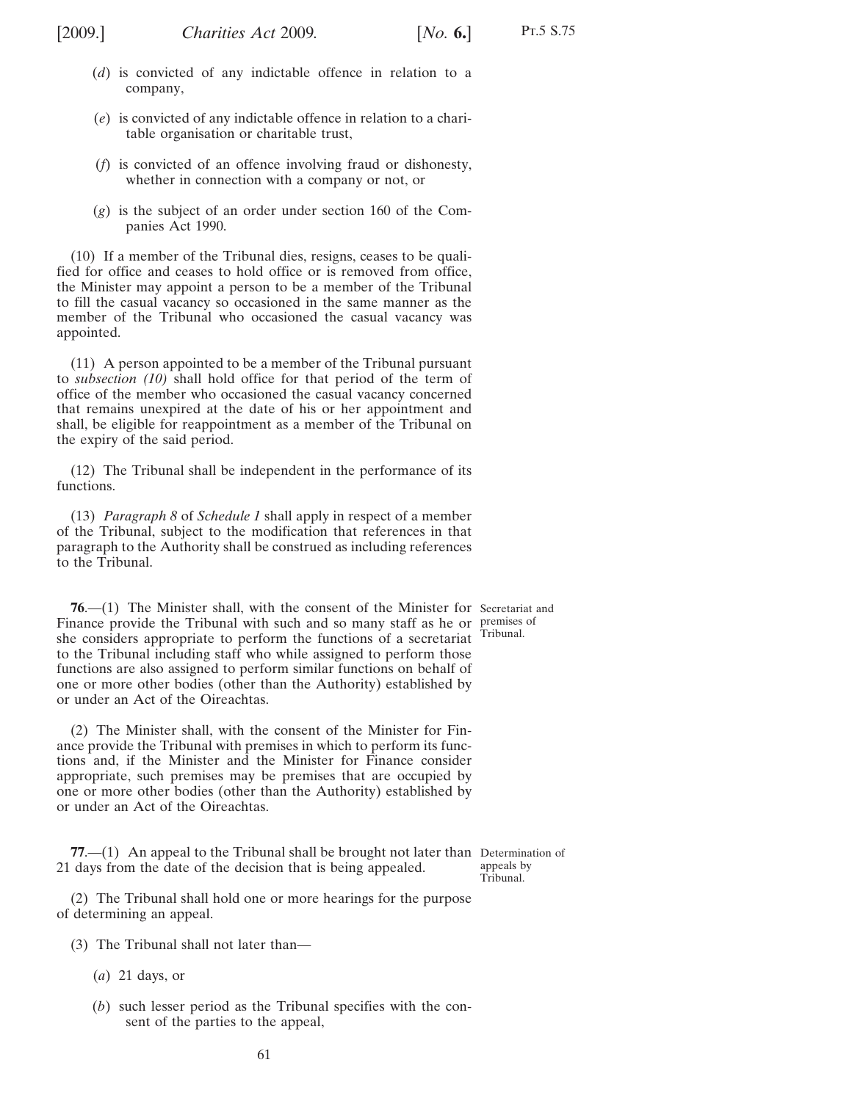<span id="page-60-0"></span>

- (*d*) is convicted of any indictable offence in relation to a company,
- (*e*) is convicted of any indictable offence in relation to a charitable organisation or charitable trust,
- (*f*) is convicted of an offence involving fraud or dishonesty, whether in connection with a company or not, or
- (*g*) is the subject of an order under section 160 of the Companies Act 1990.

(10) If a member of the Tribunal dies, resigns, ceases to be qualified for office and ceases to hold office or is removed from office, the Minister may appoint a person to be a member of the Tribunal to fill the casual vacancy so occasioned in the same manner as the member of the Tribunal who occasioned the casual vacancy was appointed.

(11) A person appointed to be a member of the Tribunal pursuant to *subsection (10)* shall hold office for that period of the term of office of the member who occasioned the casual vacancy concerned that remains unexpired at the date of his or her appointment and shall, be eligible for reappointment as a member of the Tribunal on the expiry of the said period.

(12) The Tribunal shall be independent in the performance of its functions.

(13) *Paragraph [8](#page-78-0)* of *[Schedule 1](#page-75-0)* shall apply in respect of a member of the Tribunal, subject to the modification that references in that paragraph to the Authority shall be construed as including references to the Tribunal.

**76**.—(1) The Minister shall, with the consent of the Minister for Secretariat and Finance provide the Tribunal with such and so many staff as he or premises of she considers appropriate to perform the functions of a secretariat Tribunal. to the Tribunal including staff who while assigned to perform those functions are also assigned to perform similar functions on behalf of one or more other bodies (other than the Authority) established by or under an Act of the Oireachtas.

(2) The Minister shall, with the consent of the Minister for Finance provide the Tribunal with premises in which to perform its functions and, if the Minister and the Minister for Finance consider appropriate, such premises may be premises that are occupied by one or more other bodies (other than the Authority) established by or under an Act of the Oireachtas.

**77.**—(1) An appeal to the Tribunal shall be brought not later than Determination of 21 days from the date of the decision that is being appealed.

(2) The Tribunal shall hold one or more hearings for the purpose of determining an appeal.

- (3) The Tribunal shall not later than—
	- (*a*) 21 days, or
	- (*b*) such lesser period as the Tribunal specifies with the consent of the parties to the appeal,

appeals by Tribunal.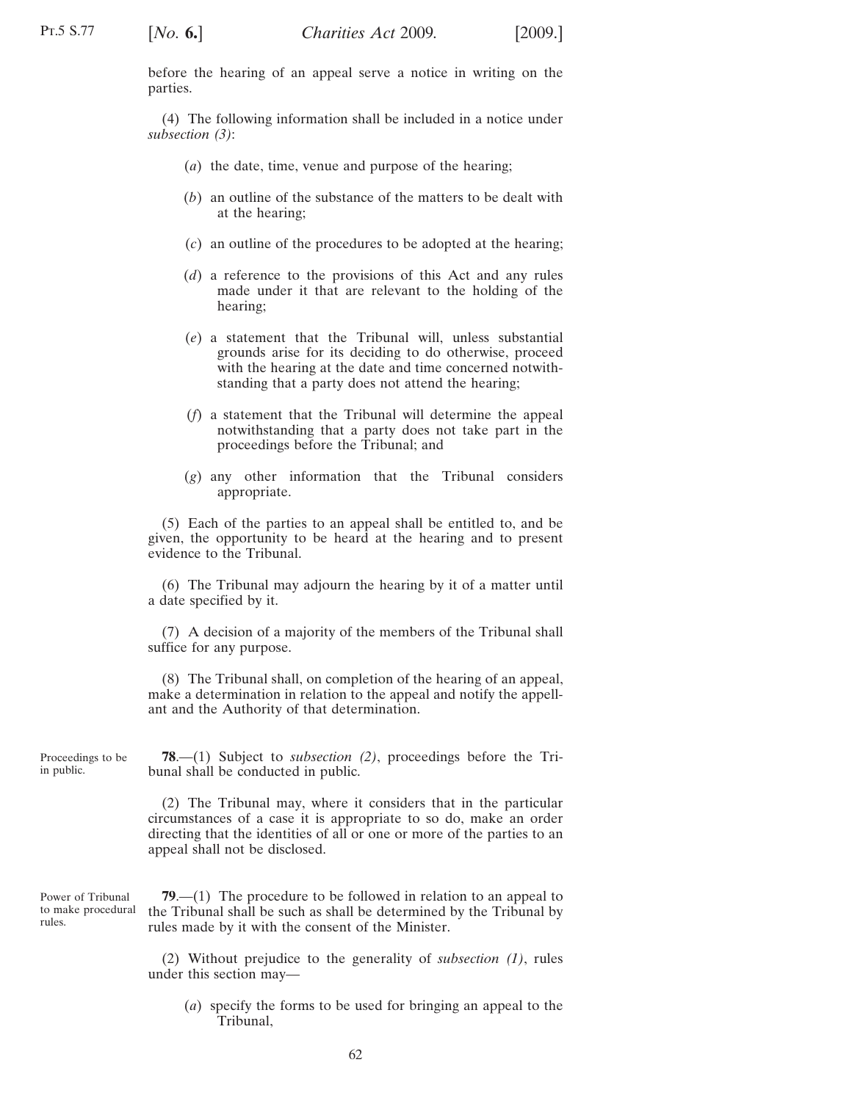<span id="page-61-0"></span>before the hearing of an appeal serve a notice in writing on the parties.

(4) The following information shall be included in a notice under *subsection [\(3\)](#page-60-0)*:

- (*a*) the date, time, venue and purpose of the hearing;
- (*b*) an outline of the substance of the matters to be dealt with at the hearing;
- (*c*) an outline of the procedures to be adopted at the hearing;
- (*d*) a reference to the provisions of this Act and any rules made under it that are relevant to the holding of the hearing;
- (*e*) a statement that the Tribunal will, unless substantial grounds arise for its deciding to do otherwise, proceed with the hearing at the date and time concerned notwithstanding that a party does not attend the hearing;
- (*f*) a statement that the Tribunal will determine the appeal notwithstanding that a party does not take part in the proceedings before the Tribunal; and
- (*g*) any other information that the Tribunal considers appropriate.

(5) Each of the parties to an appeal shall be entitled to, and be given, the opportunity to be heard at the hearing and to present evidence to the Tribunal.

(6) The Tribunal may adjourn the hearing by it of a matter until a date specified by it.

(7) A decision of a majority of the members of the Tribunal shall suffice for any purpose.

(8) The Tribunal shall, on completion of the hearing of an appeal, make a determination in relation to the appeal and notify the appellant and the Authority of that determination.

Proceedings to be in public.

**78**.—(1) Subject to *subsection (2)*, proceedings before the Tribunal shall be conducted in public.

(2) The Tribunal may, where it considers that in the particular circumstances of a case it is appropriate to so do, make an order directing that the identities of all or one or more of the parties to an appeal shall not be disclosed.

Power of Tribunal to make procedural rules.

**79**.—(1) The procedure to be followed in relation to an appeal to the Tribunal shall be such as shall be determined by the Tribunal by rules made by it with the consent of the Minister.

(2) Without prejudice to the generality of *subsection (1)*, rules under this section may—

(*a*) specify the forms to be used for bringing an appeal to the Tribunal,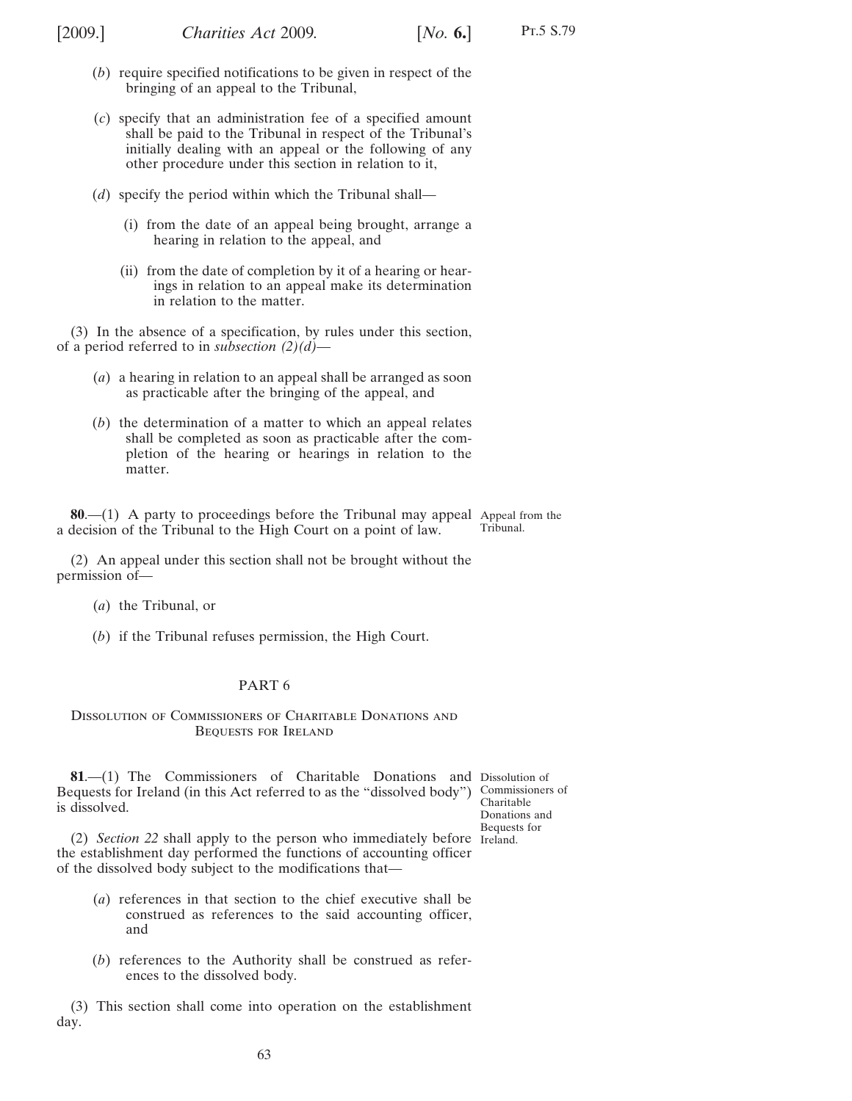- (*b*) require specified notifications to be given in respect of the bringing of an appeal to the Tribunal,
- (*c*) specify that an administration fee of a specified amount shall be paid to the Tribunal in respect of the Tribunal's initially dealing with an appeal or the following of any other procedure under this section in relation to it,
- (*d*) specify the period within which the Tribunal shall—
	- (i) from the date of an appeal being brought, arrange a hearing in relation to the appeal, and
	- (ii) from the date of completion by it of a hearing or hearings in relation to an appeal make its determination in relation to the matter.

(3) In the absence of a specification, by rules under this section, of a period referred to in *subsection [\(2\)\(](#page-61-0)d)*—

- (*a*) a hearing in relation to an appeal shall be arranged as soon as practicable after the bringing of the appeal, and
- (*b*) the determination of a matter to which an appeal relates shall be completed as soon as practicable after the completion of the hearing or hearings in relation to the matter.

**80.—(1)** A party to proceedings before the Tribunal may appeal Appeal from the a decision of the Tribunal to the High Court on a point of law. Tribunal.

(2) An appeal under this section shall not be brought without the permission of—

- (*a*) the Tribunal, or
- (*b*) if the Tribunal refuses permission, the High Court.

### PART 6

### Dissolution of Commissioners of Charitable Donations and Bequests for Ireland

**81**.—(1) The Commissioners of Charitable Donations and Dissolution of Bequests for Ireland (in this Act referred to as the "dissolved body") Commissioners of is dissolved.

Charitable Donations and Bequests for

(2) *Section [22](#page-17-0)* shall apply to the person who immediately before Ireland.the establishment day performed the functions of accounting officer of the dissolved body subject to the modifications that—

- (*a*) references in that section to the chief executive shall be construed as references to the said accounting officer, and
- (*b*) references to the Authority shall be construed as references to the dissolved body.

(3) This section shall come into operation on the establishment day.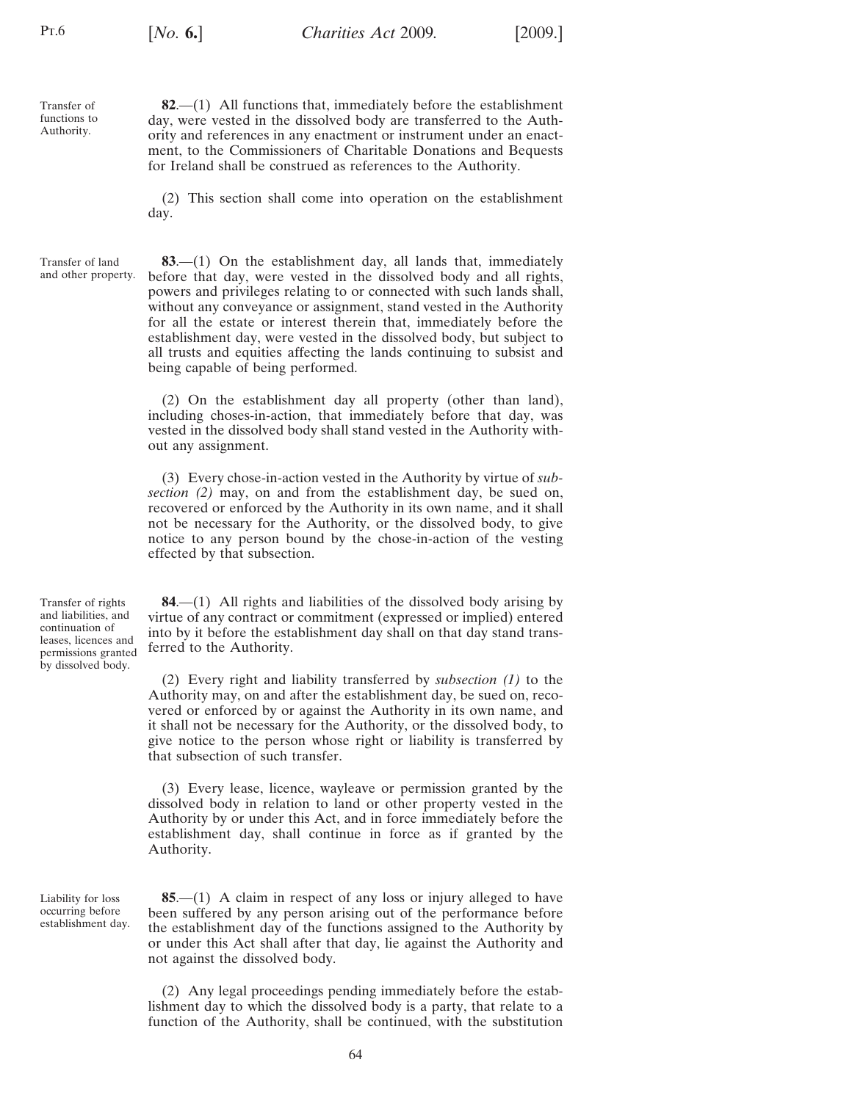<span id="page-63-0"></span>Transfer of functions to Authority.

**82**.—(1) All functions that, immediately before the establishment day, were vested in the dissolved body are transferred to the Authority and references in any enactment or instrument under an enactment, to the Commissioners of Charitable Donations and Bequests for Ireland shall be construed as references to the Authority.

(2) This section shall come into operation on the establishment day.

Transfer of land and other property.

**83**.—(1) On the establishment day, all lands that, immediately before that day, were vested in the dissolved body and all rights, powers and privileges relating to or connected with such lands shall, without any conveyance or assignment, stand vested in the Authority for all the estate or interest therein that, immediately before the establishment day, were vested in the dissolved body, but subject to all trusts and equities affecting the lands continuing to subsist and being capable of being performed.

(2) On the establishment day all property (other than land), including choses-in-action, that immediately before that day, was vested in the dissolved body shall stand vested in the Authority without any assignment.

(3) Every chose-in-action vested in the Authority by virtue of *subsection (2)* may, on and from the establishment day, be sued on, recovered or enforced by the Authority in its own name, and it shall not be necessary for the Authority, or the dissolved body, to give notice to any person bound by the chose-in-action of the vesting effected by that subsection.

Transfer of rights and liabilities, and continuation of leases, licences and permissions granted by dissolved body.

**84**.—(1) All rights and liabilities of the dissolved body arising by virtue of any contract or commitment (expressed or implied) entered into by it before the establishment day shall on that day stand transferred to the Authority.

(2) Every right and liability transferred by *subsection (1)* to the Authority may, on and after the establishment day, be sued on, recovered or enforced by or against the Authority in its own name, and it shall not be necessary for the Authority, or the dissolved body, to give notice to the person whose right or liability is transferred by that subsection of such transfer.

(3) Every lease, licence, wayleave or permission granted by the dissolved body in relation to land or other property vested in the Authority by or under this Act, and in force immediately before the establishment day, shall continue in force as if granted by the Authority.

Liability for loss occurring before establishment day.

**85**.—(1) A claim in respect of any loss or injury alleged to have been suffered by any person arising out of the performance before the establishment day of the functions assigned to the Authority by or under this Act shall after that day, lie against the Authority and not against the dissolved body.

(2) Any legal proceedings pending immediately before the establishment day to which the dissolved body is a party, that relate to a function of the Authority, shall be continued, with the substitution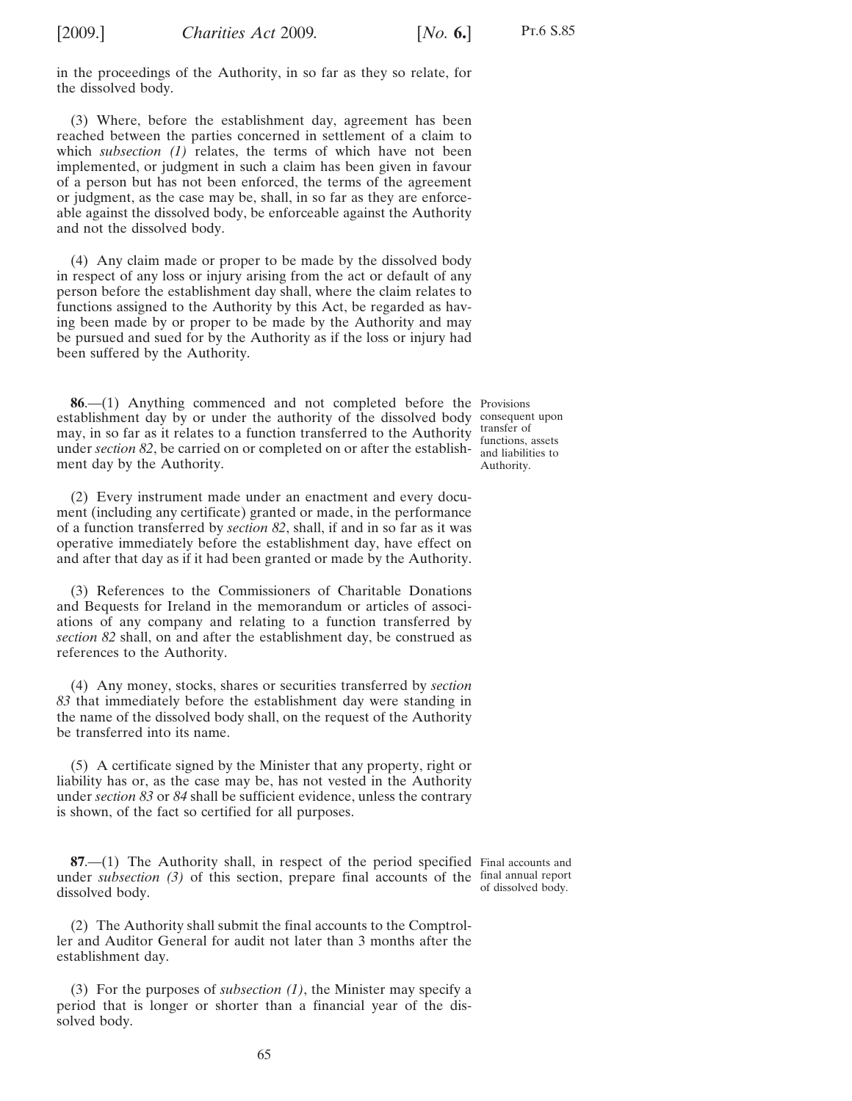in the proceedings of the Authority, in so far as they so relate, for the dissolved body.

(3) Where, before the establishment day, agreement has been reached between the parties concerned in settlement of a claim to which *subsection [\(1\)](#page-63-0)* relates, the terms of which have not been implemented, or judgment in such a claim has been given in favour of a person but has not been enforced, the terms of the agreement or judgment, as the case may be, shall, in so far as they are enforceable against the dissolved body, be enforceable against the Authority and not the dissolved body.

(4) Any claim made or proper to be made by the dissolved body in respect of any loss or injury arising from the act or default of any person before the establishment day shall, where the claim relates to functions assigned to the Authority by this Act, be regarded as having been made by or proper to be made by the Authority and may be pursued and sued for by the Authority as if the loss or injury had been suffered by the Authority.

**86**.—(1) Anything commenced and not completed before the Provisions establishment day by or under the authority of the dissolved body consequent upon may, in so far as it relates to a function transferred to the Authority transfer of under *sectio[n 82](#page-63-0)*, be carried on or completed on or after the establish-<br>and liabilities to ment day by the Authority.

functions, assets Authority.

(2) Every instrument made under an enactment and every document (including any certificate) granted or made, in the performance of a function transferred by *section [82](#page-63-0)*, shall, if and in so far as it was operative immediately before the establishment day, have effect on and after that day as if it had been granted or made by the Authority.

(3) References to the Commissioners of Charitable Donations and Bequests for Ireland in the memorandum or articles of associations of any company and relating to a function transferred by *section [82](#page-63-0)* shall, on and after the establishment day, be construed as references to the Authority.

(4) Any money, stocks, shares or securities transferred by *section [83](#page-63-0)* that immediately before the establishment day were standing in the name of the dissolved body shall, on the request of the Authority be transferred into its name.

(5) A certificate signed by the Minister that any property, right or liability has or, as the case may be, has not vested in the Authority under *sectio[n 83](#page-63-0)* or *[84](#page-63-0)* shall be sufficient evidence, unless the contrary is shown, of the fact so certified for all purposes.

**87.**—(1) The Authority shall, in respect of the period specified Final accounts and under *subsection* (3) of this section, prepare final accounts of the final annual report dissolved body. of dissolved body.

(2) The Authority shall submit the final accounts to the Comptroller and Auditor General for audit not later than 3 months after the establishment day.

(3) For the purposes of *subsection (1)*, the Minister may specify a period that is longer or shorter than a financial year of the dissolved body.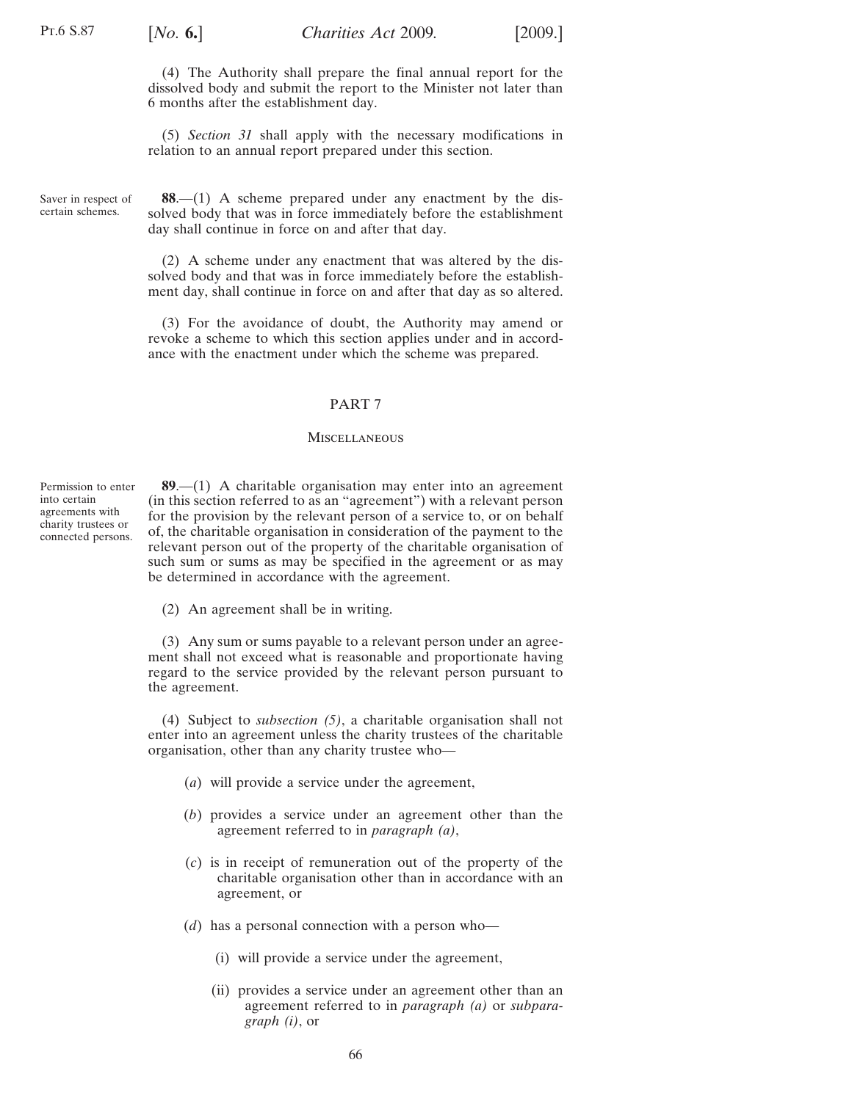(4) The Authority shall prepare the final annual report for the dissolved body and submit the report to the Minister not later than 6 months after the establishment day.

(5) *Section [31](#page-22-0)* shall apply with the necessary modifications in relation to an annual report prepared under this section.

Saver in respect of certain schemes.

**88**.—(1) A scheme prepared under any enactment by the dissolved body that was in force immediately before the establishment day shall continue in force on and after that day.

(2) A scheme under any enactment that was altered by the dissolved body and that was in force immediately before the establishment day, shall continue in force on and after that day as so altered.

(3) For the avoidance of doubt, the Authority may amend or revoke a scheme to which this section applies under and in accordance with the enactment under which the scheme was prepared.

# PART 7

### **MISCELLANEOUS**

Permission to enter into certain agreements with charity trustees or connected persons.

**89**.—(1) A charitable organisation may enter into an agreement (in this section referred to as an "agreement") with a relevant person for the provision by the relevant person of a service to, or on behalf of, the charitable organisation in consideration of the payment to the relevant person out of the property of the charitable organisation of such sum or sums as may be specified in the agreement or as may be determined in accordance with the agreement.

(2) An agreement shall be in writing.

(3) Any sum or sums payable to a relevant person under an agreement shall not exceed what is reasonable and proportionate having regard to the service provided by the relevant person pursuant to the agreement.

(4) Subject to *subsection [\(5\)](#page-66-0)*, a charitable organisation shall not enter into an agreement unless the charity trustees of the charitable organisation, other than any charity trustee who—

- (*a*) will provide a service under the agreement,
- (*b*) provides a service under an agreement other than the agreement referred to in *paragraph (a)*,
- (*c*) is in receipt of remuneration out of the property of the charitable organisation other than in accordance with an agreement, or
- (*d*) has a personal connection with a person who—
	- (i) will provide a service under the agreement,
	- (ii) provides a service under an agreement other than an agreement referred to in *paragraph (a)* or *subparagraph (i)*, or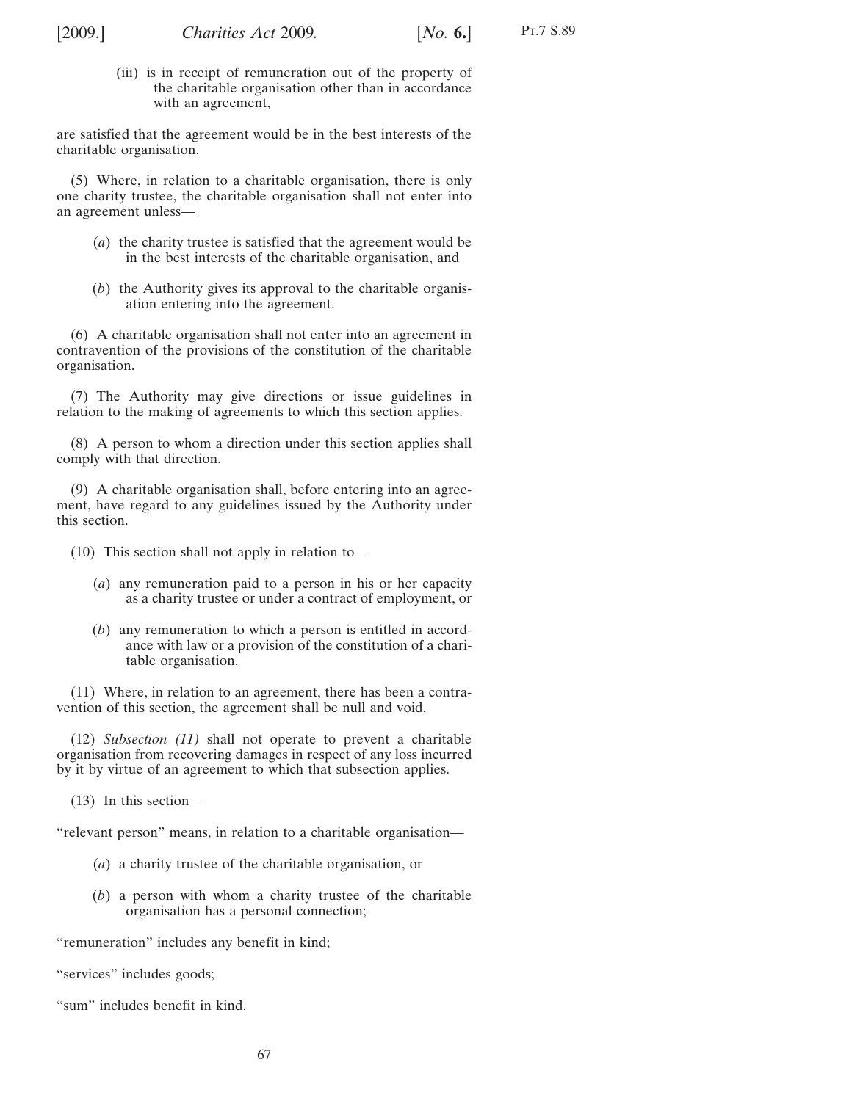<span id="page-66-0"></span>

(iii) is in receipt of remuneration out of the property of the charitable organisation other than in accordance with an agreement,

are satisfied that the agreement would be in the best interests of the charitable organisation.

(5) Where, in relation to a charitable organisation, there is only one charity trustee, the charitable organisation shall not enter into an agreement unless—

- (*a*) the charity trustee is satisfied that the agreement would be in the best interests of the charitable organisation, and
- (*b*) the Authority gives its approval to the charitable organisation entering into the agreement.

(6) A charitable organisation shall not enter into an agreement in contravention of the provisions of the constitution of the charitable organisation.

(7) The Authority may give directions or issue guidelines in relation to the making of agreements to which this section applies.

(8) A person to whom a direction under this section applies shall comply with that direction.

(9) A charitable organisation shall, before entering into an agreement, have regard to any guidelines issued by the Authority under this section.

(10) This section shall not apply in relation to—

- (*a*) any remuneration paid to a person in his or her capacity as a charity trustee or under a contract of employment, or
- (*b*) any remuneration to which a person is entitled in accordance with law or a provision of the constitution of a charitable organisation.

(11) Where, in relation to an agreement, there has been a contravention of this section, the agreement shall be null and void.

(12) *Subsection (11)* shall not operate to prevent a charitable organisation from recovering damages in respect of any loss incurred by it by virtue of an agreement to which that subsection applies.

(13) In this section—

"relevant person" means, in relation to a charitable organisation—

- (*a*) a charity trustee of the charitable organisation, or
- (*b*) a person with whom a charity trustee of the charitable organisation has a personal connection;

"remuneration" includes any benefit in kind;

"services" includes goods;

"sum" includes benefit in kind.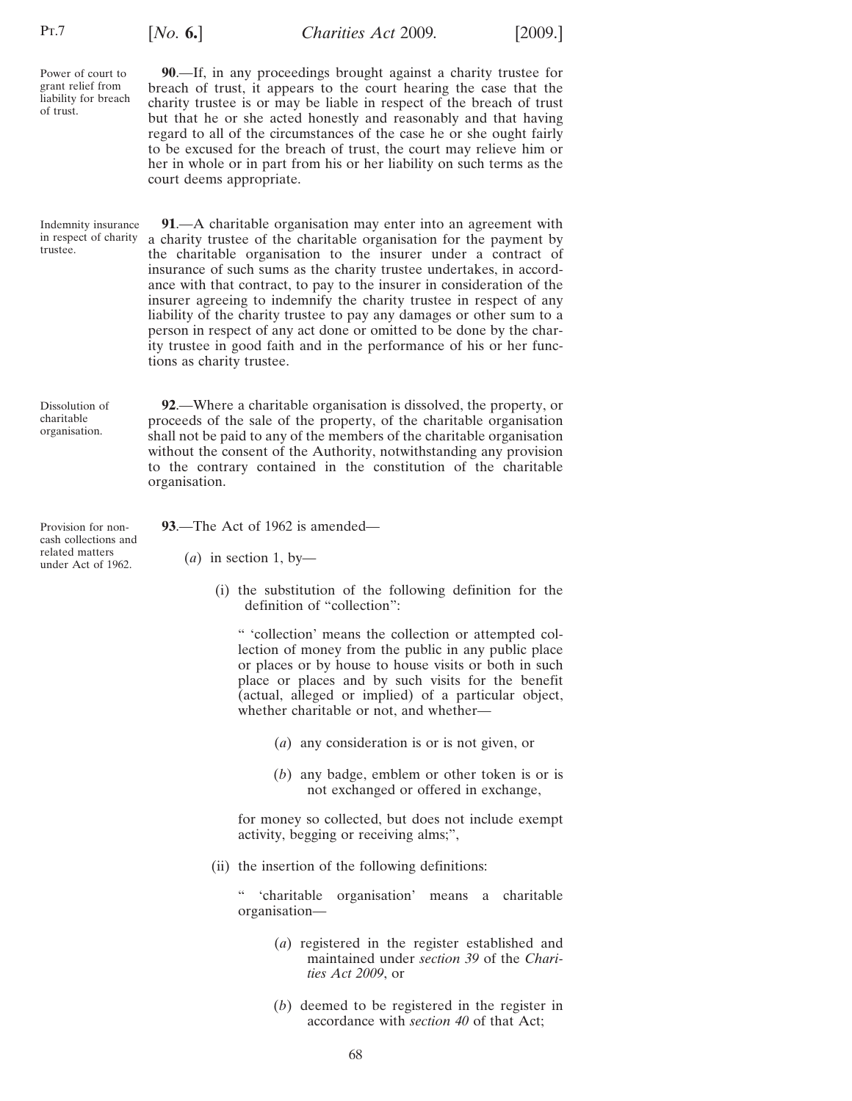<span id="page-67-0"></span>Pt.7

of trust.

Power of court to grant relief from liability for breach

**90**.—If, in any proceedings brought against a charity trustee for breach of trust, it appears to the court hearing the case that the charity trustee is or may be liable in respect of the breach of trust but that he or she acted honestly and reasonably and that having regard to all of the circumstances of the case he or she ought fairly to be excused for the breach of trust, the court may relieve him or her in whole or in part from his or her liability on such terms as the court deems appropriate.

Indemnity insurance in respect of charity trustee. **91**.—A charitable organisation may enter into an agreement with a charity trustee of the charitable organisation for the payment by the charitable organisation to the insurer under a contract of insurance of such sums as the charity trustee undertakes, in accordance with that contract, to pay to the insurer in consideration of the insurer agreeing to indemnify the charity trustee in respect of any liability of the charity trustee to pay any damages or other sum to a person in respect of any act done or omitted to be done by the charity trustee in good faith and in the performance of his or her functions as charity trustee.

Dissolution of charitable organisation.

**92**.—Where a charitable organisation is dissolved, the property, or proceeds of the sale of the property, of the charitable organisation shall not be paid to any of the members of the charitable organisation without the consent of the Authority, notwithstanding any provision to the contrary contained in the constitution of the charitable organisation.

Provision for noncash collections and related matters under Act of 1962.

**93**.—The Act of 1962 is amended—

 $(a)$  in section 1, by-

(i) the substitution of the following definition for the definition of "collection":

" 'collection' means the collection or attempted collection of money from the public in any public place or places or by house to house visits or both in such place or places and by such visits for the benefit (actual, alleged or implied) of a particular object, whether charitable or not, and whether—

- (*a*) any consideration is or is not given, or
- (*b*) any badge, emblem or other token is or is not exchanged or offered in exchange,

for money so collected, but does not include exempt activity, begging or receiving alms;",

(ii) the insertion of the following definitions:

" 'charitable organisation' means a charitable organisation—

- (*a*) registered in the register established and maintained under *section [39](#page-27-0)* of the *Charities Act 2009*, or
- (*b*) deemed to be registered in the register in accordance with *section [40](#page-31-0)* of that Act;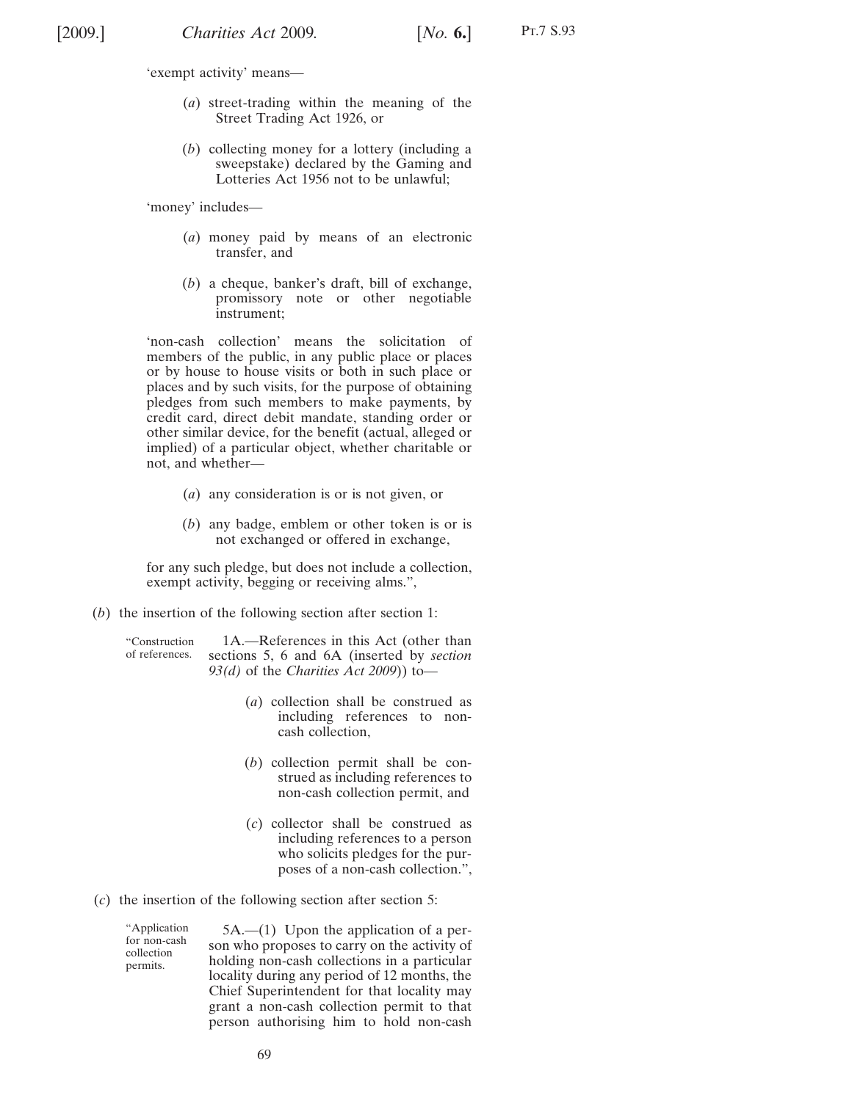- (*a*) street-trading within the meaning of the Street Trading Act 1926, or
- (*b*) collecting money for a lottery (including a sweepstake) declared by the Gaming and Lotteries Act 1956 not to be unlawful;

'money' includes—

- (*a*) money paid by means of an electronic transfer, and
- (*b*) a cheque, banker's draft, bill of exchange, promissory note or other negotiable instrument;

'non-cash collection' means the solicitation of members of the public, in any public place or places or by house to house visits or both in such place or places and by such visits, for the purpose of obtaining pledges from such members to make payments, by credit card, direct debit mandate, standing order or other similar device, for the benefit (actual, alleged or implied) of a particular object, whether charitable or not, and whether—

- (*a*) any consideration is or is not given, or
- (*b*) any badge, emblem or other token is or is not exchanged or offered in exchange,

for any such pledge, but does not include a collection, exempt activity, begging or receiving alms.",

(*b*) the insertion of the following section after section 1:

"Construction of references.

- 1A.—References in this Act (other than sections 5, 6 and 6A (inserted by *section 93(d)* of the *Charities Act 2009*)) to—
	- (*a*) collection shall be construed as including references to noncash collection,
	- (*b*) collection permit shall be construed as including references to non-cash collection permit, and
	- (*c*) collector shall be construed as including references to a person who solicits pledges for the purposes of a non-cash collection.",
- (*c*) the insertion of the following section after section 5:

"Application for non-cash collection permits.

5A.—(1) Upon the application of a person who proposes to carry on the activity of holding non-cash collections in a particular locality during any period of 12 months, the Chief Superintendent for that locality may grant a non-cash collection permit to that person authorising him to hold non-cash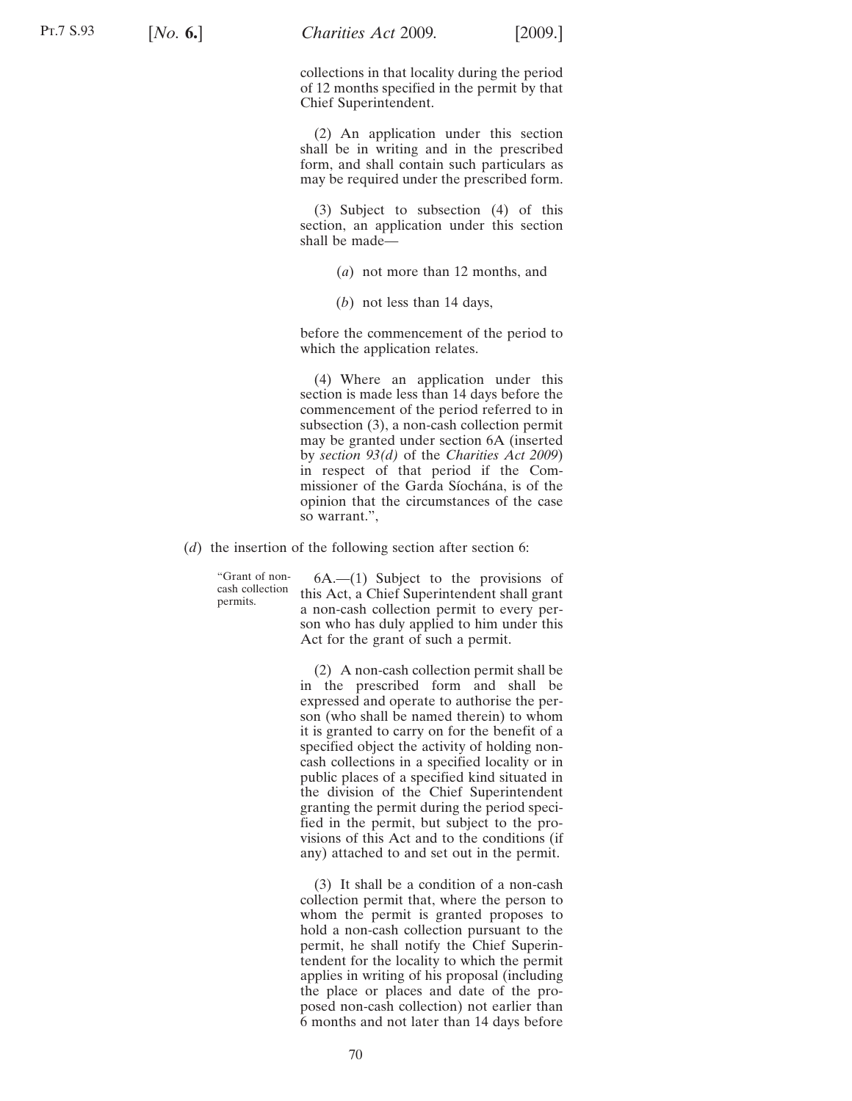collections in that locality during the period of 12 months specified in the permit by that Chief Superintendent.

(2) An application under this section shall be in writing and in the prescribed form, and shall contain such particulars as may be required under the prescribed form.

(3) Subject to subsection (4) of this section, an application under this section shall be made—

- (*a*) not more than 12 months, and
- (*b*) not less than 14 days,

before the commencement of the period to which the application relates.

(4) Where an application under this section is made less than 14 days before the commencement of the period referred to in subsection (3), a non-cash collection permit may be granted under section 6A (inserted by *section [93\(](#page-67-0)d)* of the *Charities Act 2009*) in respect of that period if the Commissioner of the Garda Síochána, is of the opinion that the circumstances of the case so warrant.",

(*d*) the insertion of the following section after section 6:

"Grant of noncash collection permits.

6A.—(1) Subject to the provisions of this Act, a Chief Superintendent shall grant a non-cash collection permit to every person who has duly applied to him under this Act for the grant of such a permit.

(2) A non-cash collection permit shall be in the prescribed form and shall be expressed and operate to authorise the person (who shall be named therein) to whom it is granted to carry on for the benefit of a specified object the activity of holding noncash collections in a specified locality or in public places of a specified kind situated in the division of the Chief Superintendent granting the permit during the period specified in the permit, but subject to the provisions of this Act and to the conditions (if any) attached to and set out in the permit.

(3) It shall be a condition of a non-cash collection permit that, where the person to whom the permit is granted proposes to hold a non-cash collection pursuant to the permit, he shall notify the Chief Superintendent for the locality to which the permit applies in writing of his proposal (including the place or places and date of the proposed non-cash collection) not earlier than 6 months and not later than 14 days before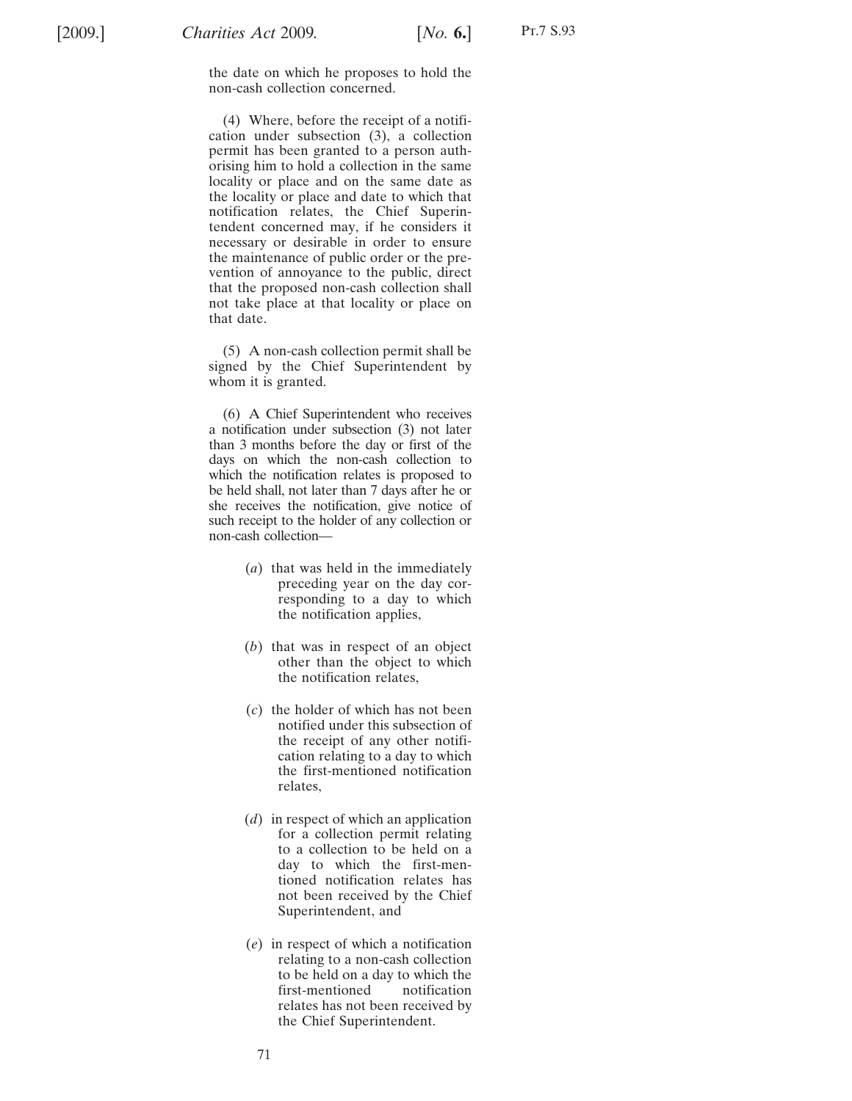the date on which he proposes to hold the non-cash collection concerned.

(4) Where, before the receipt of a notification under subsection (3), a collection permit has been granted to a person authorising him to hold a collection in the same locality or place and on the same date as the locality or place and date to which that notification relates, the Chief Superintendent concerned may, if he considers it necessary or desirable in order to ensure the maintenance of public order or the prevention of annoyance to the public, direct that the proposed non-cash collection shall not take place at that locality or place on that date.

(5) A non-cash collection permit shall be signed by the Chief Superintendent by whom it is granted.

(6) A Chief Superintendent who receives a notification under subsection (3) not later than 3 months before the day or first of the days on which the non-cash collection to which the notification relates is proposed to be held shall, not later than 7 days after he or she receives the notification, give notice of such receipt to the holder of any collection or non-cash collection—

- (*a*) that was held in the immediately preceding year on the day corresponding to a day to which the notification applies,
- (*b*) that was in respect of an object other than the object to which the notification relates,
- (*c*) the holder of which has not been notified under this subsection of the receipt of any other notification relating to a day to which the first-mentioned notification relates,
- (*d*) in respect of which an application for a collection permit relating to a collection to be held on a day to which the first-mentioned notification relates has not been received by the Chief Superintendent, and
- (*e*) in respect of which a notification relating to a non-cash collection to be held on a day to which the first-mentioned notification relates has not been received by the Chief Superintendent.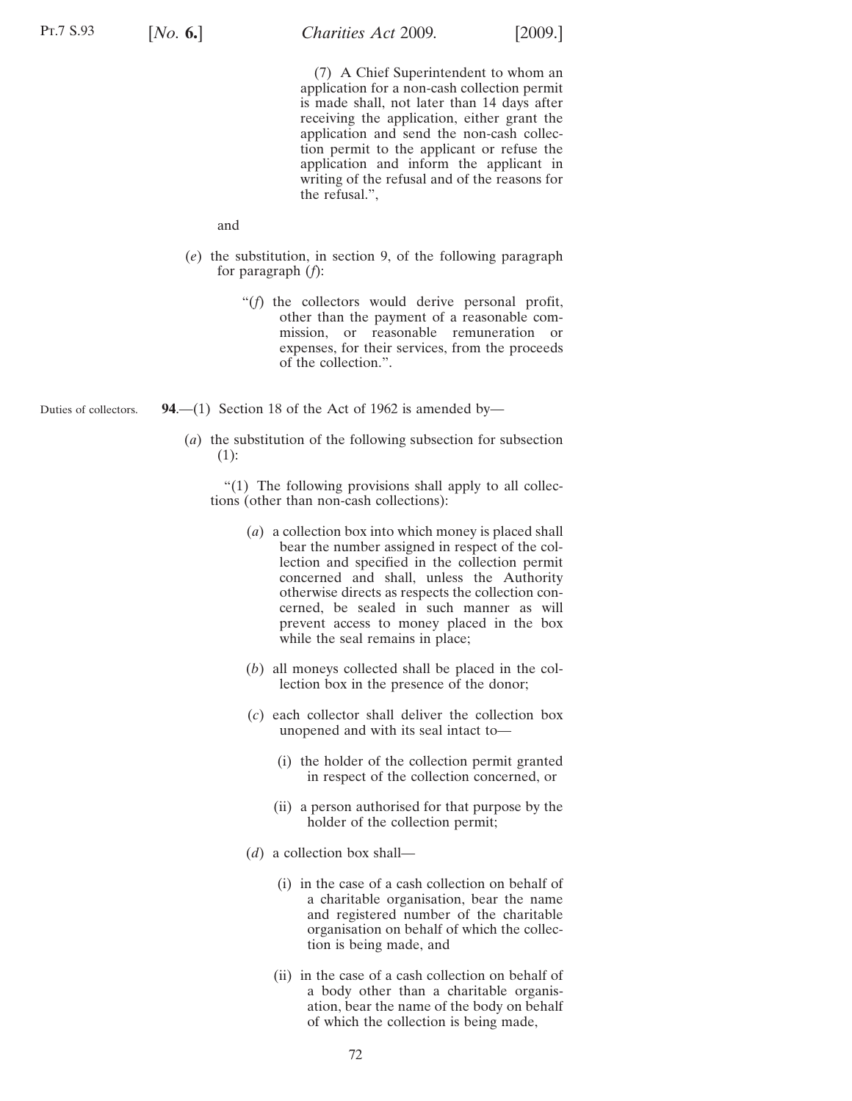(7) A Chief Superintendent to whom an application for a non-cash collection permit is made shall, not later than 14 days after receiving the application, either grant the application and send the non-cash collection permit to the applicant or refuse the application and inform the applicant in writing of the refusal and of the reasons for the refusal.",

and

- (*e*) the substitution, in section 9, of the following paragraph for paragraph (*f*):
	- "(*f*) the collectors would derive personal profit, other than the payment of a reasonable commission, or reasonable remuneration or expenses, for their services, from the proceeds of the collection.".
- Duties of collectors. **94.—(1)** Section 18 of the Act of 1962 is amended by—
	- (*a*) the substitution of the following subsection for subsection (1):

"(1) The following provisions shall apply to all collections (other than non-cash collections):

- (*a*) a collection box into which money is placed shall bear the number assigned in respect of the collection and specified in the collection permit concerned and shall, unless the Authority otherwise directs as respects the collection concerned, be sealed in such manner as will prevent access to money placed in the box while the seal remains in place;
- (*b*) all moneys collected shall be placed in the collection box in the presence of the donor;
- (*c*) each collector shall deliver the collection box unopened and with its seal intact to—
	- (i) the holder of the collection permit granted in respect of the collection concerned, or
	- (ii) a person authorised for that purpose by the holder of the collection permit;
- (*d*) a collection box shall—
	- (i) in the case of a cash collection on behalf of a charitable organisation, bear the name and registered number of the charitable organisation on behalf of which the collection is being made, and
	- (ii) in the case of a cash collection on behalf of a body other than a charitable organisation, bear the name of the body on behalf of which the collection is being made,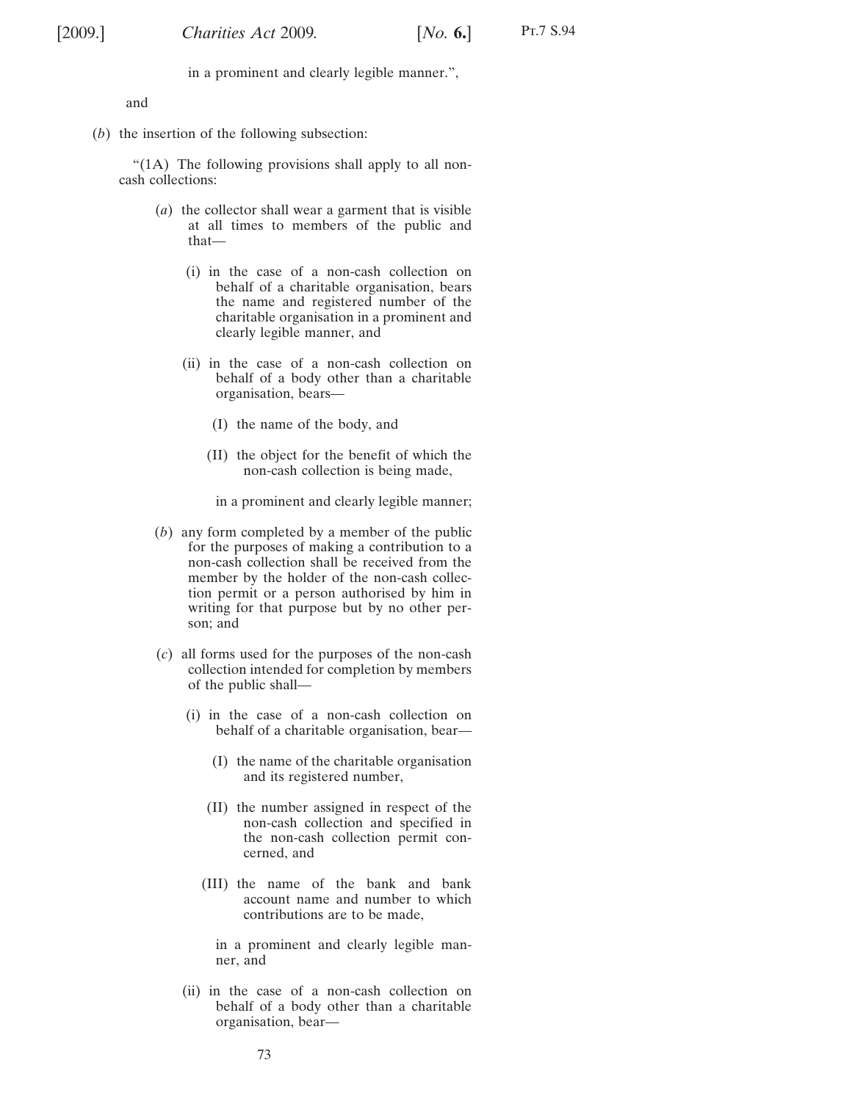in a prominent and clearly legible manner.",

and

(*b*) the insertion of the following subsection:

"(1A) The following provisions shall apply to all noncash collections:

- (*a*) the collector shall wear a garment that is visible at all times to members of the public and that—
	- (i) in the case of a non-cash collection on behalf of a charitable organisation, bears the name and registered number of the charitable organisation in a prominent and clearly legible manner, and
	- (ii) in the case of a non-cash collection on behalf of a body other than a charitable organisation, bears—
		- (I) the name of the body, and
		- (II) the object for the benefit of which the non-cash collection is being made,
		- in a prominent and clearly legible manner;
- (*b*) any form completed by a member of the public for the purposes of making a contribution to a non-cash collection shall be received from the member by the holder of the non-cash collection permit or a person authorised by him in writing for that purpose but by no other person; and
- (*c*) all forms used for the purposes of the non-cash collection intended for completion by members of the public shall—
	- (i) in the case of a non-cash collection on behalf of a charitable organisation, bear—
		- (I) the name of the charitable organisation and its registered number,
		- (II) the number assigned in respect of the non-cash collection and specified in the non-cash collection permit concerned, and
		- (III) the name of the bank and bank account name and number to which contributions are to be made,

in a prominent and clearly legible manner, and

(ii) in the case of a non-cash collection on behalf of a body other than a charitable organisation, bear—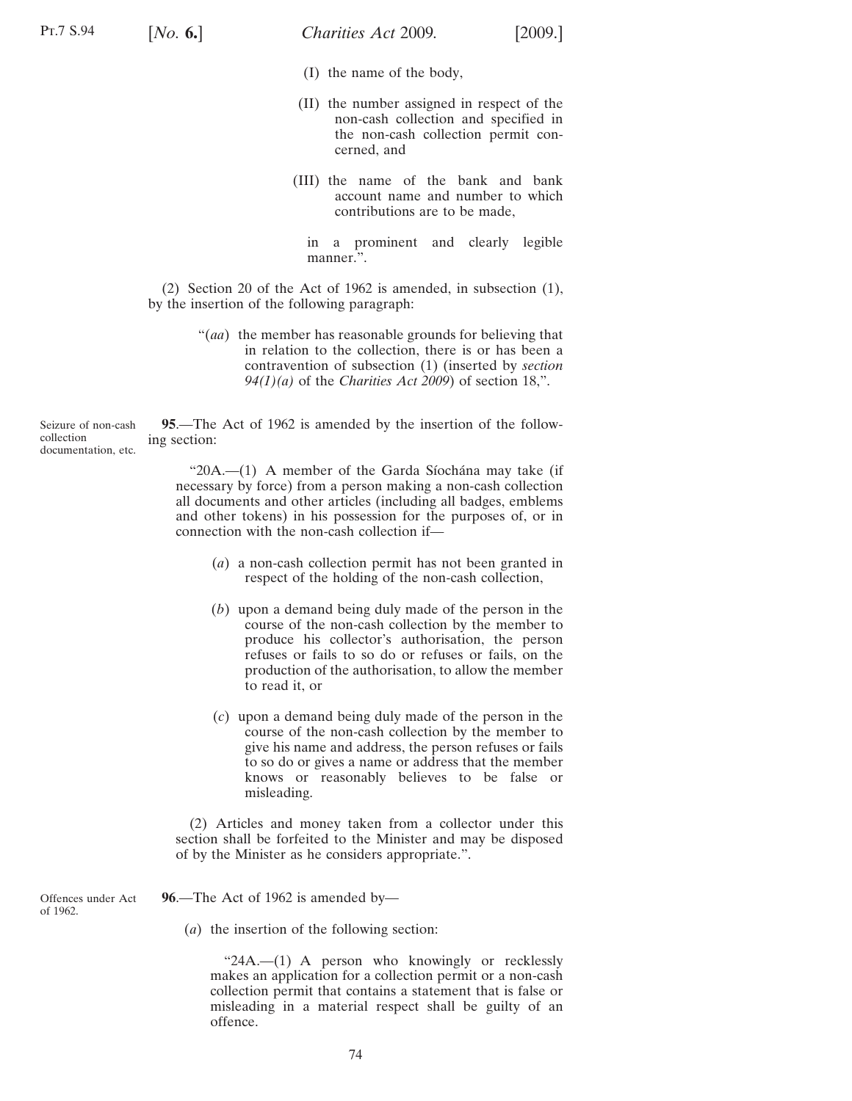- (I) the name of the body,
- (II) the number assigned in respect of the non-cash collection and specified in the non-cash collection permit concerned, and
- (III) the name of the bank and bank account name and number to which contributions are to be made,

in a prominent and clearly legible manner.".

(2) Section 20 of the Act of 1962 is amended, in subsection (1), by the insertion of the following paragraph:

> "(*aa*) the member has reasonable grounds for believing that in relation to the collection, there is or has been a contravention of subsection (1) (inserted by *section [94\(1\)\(a\)](#page-71-0)* of the *Charities Act 2009*) of section 18,".

Seizure of non-cash collection documentation, etc. **95**.—The Act of 1962 is amended by the insertion of the following section:

> " $20A$ .— $(1)$  A member of the Garda Síochána may take (if necessary by force) from a person making a non-cash collection all documents and other articles (including all badges, emblems and other tokens) in his possession for the purposes of, or in connection with the non-cash collection if—

- (*a*) a non-cash collection permit has not been granted in respect of the holding of the non-cash collection,
- (*b*) upon a demand being duly made of the person in the course of the non-cash collection by the member to produce his collector's authorisation, the person refuses or fails to so do or refuses or fails, on the production of the authorisation, to allow the member to read it, or
- (*c*) upon a demand being duly made of the person in the course of the non-cash collection by the member to give his name and address, the person refuses or fails to so do or gives a name or address that the member knows or reasonably believes to be false or misleading.

(2) Articles and money taken from a collector under this section shall be forfeited to the Minister and may be disposed of by the Minister as he considers appropriate.".

Offences under Act of 1962.

**96**.—The Act of 1962 is amended by—

(*a*) the insertion of the following section:

"24A.—(1) A person who knowingly or recklessly makes an application for a collection permit or a non-cash collection permit that contains a statement that is false or misleading in a material respect shall be guilty of an offence.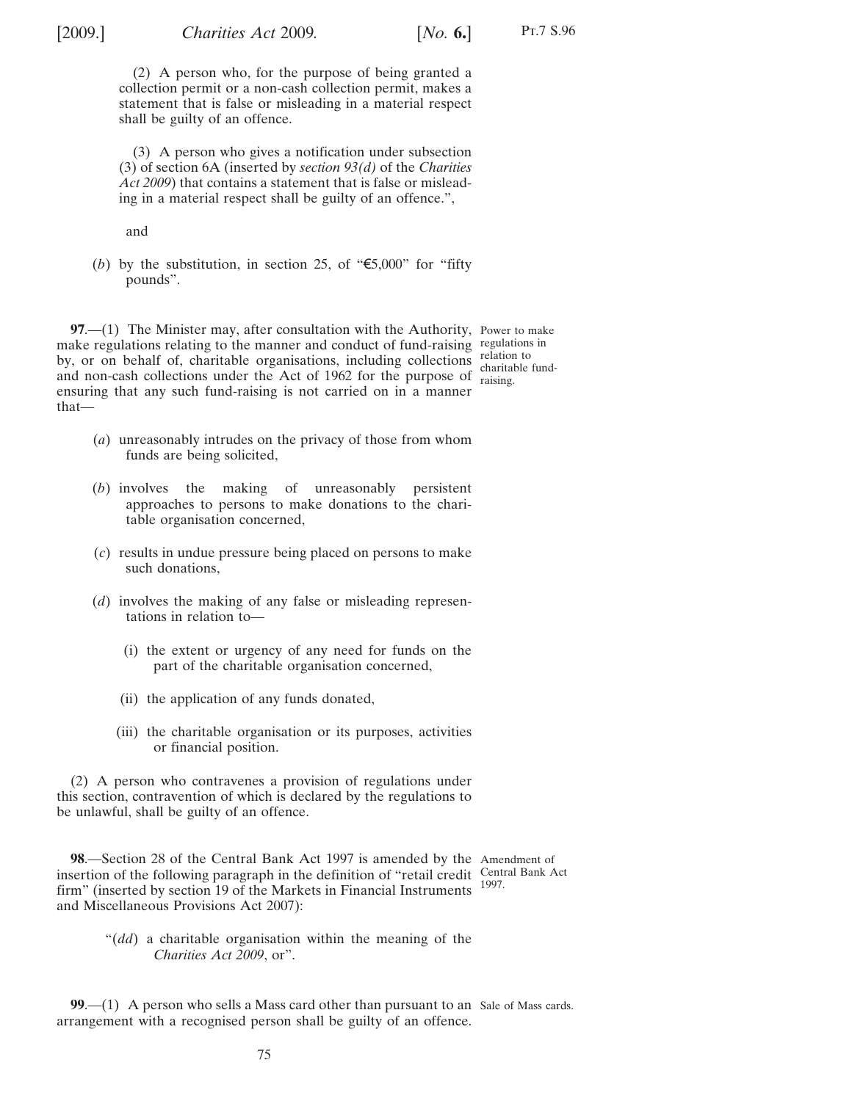Pt.7 S.96

(2) A person who, for the purpose of being granted a collection permit or a non-cash collection permit, makes a statement that is false or misleading in a material respect shall be guilty of an offence.

(3) A person who gives a notification under subsection (3) of section 6A (inserted by *section [93](#page-67-0)[\(d\)](#page-69-0)* of the *Charities Act 2009*) that contains a statement that is false or misleading in a material respect shall be guilty of an offence.",

and

(*b*) by the substitution, in section 25, of " $\epsilon$ 5,000" for "fifty pounds".

**97.**—(1) The Minister may, after consultation with the Authority, Power to make make regulations relating to the manner and conduct of fund-raising regulations in by, or on behalf of, charitable organisations, including collections relation to and non-cash collections under the Act of 1962 for the purpose of  $\frac{\text{gamma}}{\text{raising}}$ . ensuring that any such fund-raising is not carried on in a manner that charitable fund-

- (*a*) unreasonably intrudes on the privacy of those from whom funds are being solicited,
- (*b*) involves the making of unreasonably persistent approaches to persons to make donations to the charitable organisation concerned,
- (*c*) results in undue pressure being placed on persons to make such donations,
- (*d*) involves the making of any false or misleading representations in relation to—
	- (i) the extent or urgency of any need for funds on the part of the charitable organisation concerned,
	- (ii) the application of any funds donated,
	- (iii) the charitable organisation or its purposes, activities or financial position.

(2) A person who contravenes a provision of regulations under this section, contravention of which is declared by the regulations to be unlawful, shall be guilty of an offence.

**98**.—Section 28 of the Central Bank Act 1997 is amended by the Amendment of insertion of the following paragraph in the definition of "retail credit Central Bank Act firm" (inserted by section 19 of the Markets in Financial Instruments and Miscellaneous Provisions Act 2007): 1997.

"(*dd*) a charitable organisation within the meaning of the *Charities Act 2009*, or".

**99.**—(1) A person who sells a Mass card other than pursuant to an Sale of Mass cards. arrangement with a recognised person shall be guilty of an offence.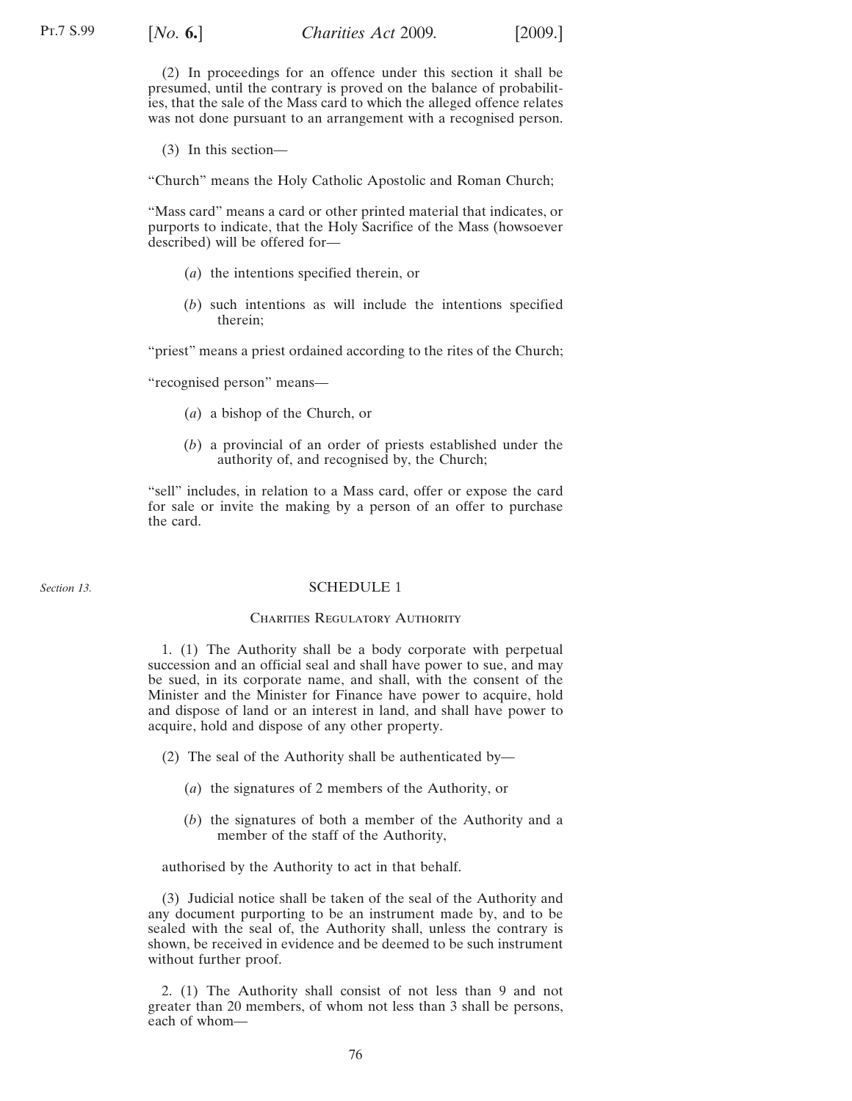(2) In proceedings for an offence under this section it shall be presumed, until the contrary is proved on the balance of probabilities, that the sale of the Mass card to which the alleged offence relates was not done pursuant to an arrangement with a recognised person.

(3) In this section—

"Church" means the Holy Catholic Apostolic and Roman Church;

"Mass card" means a card or other printed material that indicates, or purports to indicate, that the Holy Sacrifice of the Mass (howsoever described) will be offered for—

- (*a*) the intentions specified therein, or
- (*b*) such intentions as will include the intentions specified therein;

"priest" means a priest ordained according to the rites of the Church;

"recognised person" means—

- (*a*) a bishop of the Church, or
- (*b*) a provincial of an order of priests established under the authority of, and recognised by, the Church;

"sell" includes, in relation to a Mass card, offer or expose the card for sale or invite the making by a person of an offer to purchase the card.

### *Section [13.](#page-15-0)*

### SCHEDULE 1

# CHARITIES REGULATORY AUTHORITY

1. (1) The Authority shall be a body corporate with perpetual succession and an official seal and shall have power to sue, and may be sued, in its corporate name, and shall, with the consent of the Minister and the Minister for Finance have power to acquire, hold and dispose of land or an interest in land, and shall have power to acquire, hold and dispose of any other property.

- (2) The seal of the Authority shall be authenticated by—
	- (*a*) the signatures of 2 members of the Authority, or
	- (*b*) the signatures of both a member of the Authority and a member of the staff of the Authority,

authorised by the Authority to act in that behalf.

(3) Judicial notice shall be taken of the seal of the Authority and any document purporting to be an instrument made by, and to be sealed with the seal of, the Authority shall, unless the contrary is shown, be received in evidence and be deemed to be such instrument without further proof.

2. (1) The Authority shall consist of not less than 9 and not greater than 20 members, of whom not less than 3 shall be persons, each of whom—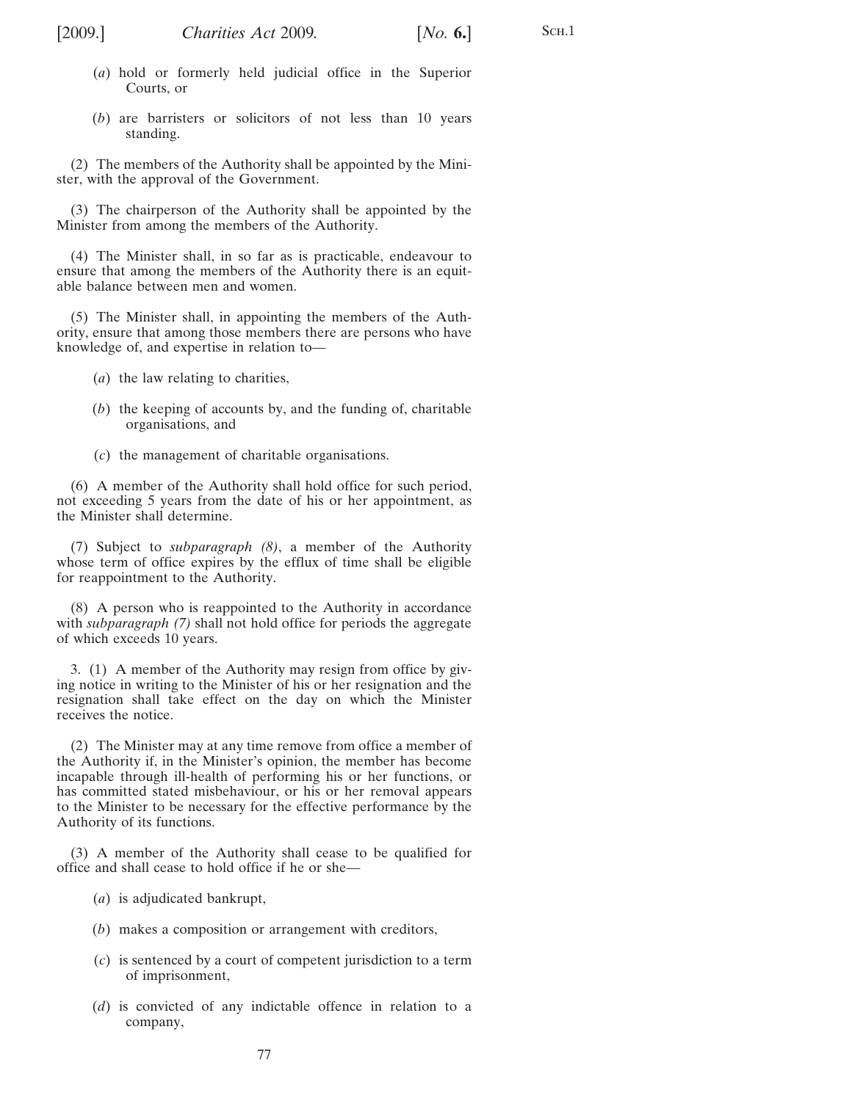SCH.1

- (*a*) hold or formerly held judicial office in the Superior Courts, or
- (*b*) are barristers or solicitors of not less than 10 years standing.

(2) The members of the Authority shall be appointed by the Minister, with the approval of the Government.

(3) The chairperson of the Authority shall be appointed by the Minister from among the members of the Authority.

(4) The Minister shall, in so far as is practicable, endeavour to ensure that among the members of the Authority there is an equitable balance between men and women.

(5) The Minister shall, in appointing the members of the Authority, ensure that among those members there are persons who have knowledge of, and expertise in relation to—

- (*a*) the law relating to charities,
- (*b*) the keeping of accounts by, and the funding of, charitable organisations, and
- (*c*) the management of charitable organisations.

(6) A member of the Authority shall hold office for such period, not exceeding 5 years from the date of his or her appointment, as the Minister shall determine.

(7) Subject to *subparagraph (8)*, a member of the Authority whose term of office expires by the efflux of time shall be eligible for reappointment to the Authority.

(8) A person who is reappointed to the Authority in accordance with *subparagraph (7)* shall not hold office for periods the aggregate of which exceeds 10 years.

3. (1) A member of the Authority may resign from office by giving notice in writing to the Minister of his or her resignation and the resignation shall take effect on the day on which the Minister receives the notice.

(2) The Minister may at any time remove from office a member of the Authority if, in the Minister's opinion, the member has become incapable through ill-health of performing his or her functions, or has committed stated misbehaviour, or his or her removal appears to the Minister to be necessary for the effective performance by the Authority of its functions.

(3) A member of the Authority shall cease to be qualified for office and shall cease to hold office if he or she—

- (*a*) is adjudicated bankrupt,
- (*b*) makes a composition or arrangement with creditors,
- (*c*) is sentenced by a court of competent jurisdiction to a term of imprisonment,
- (*d*) is convicted of any indictable offence in relation to a company,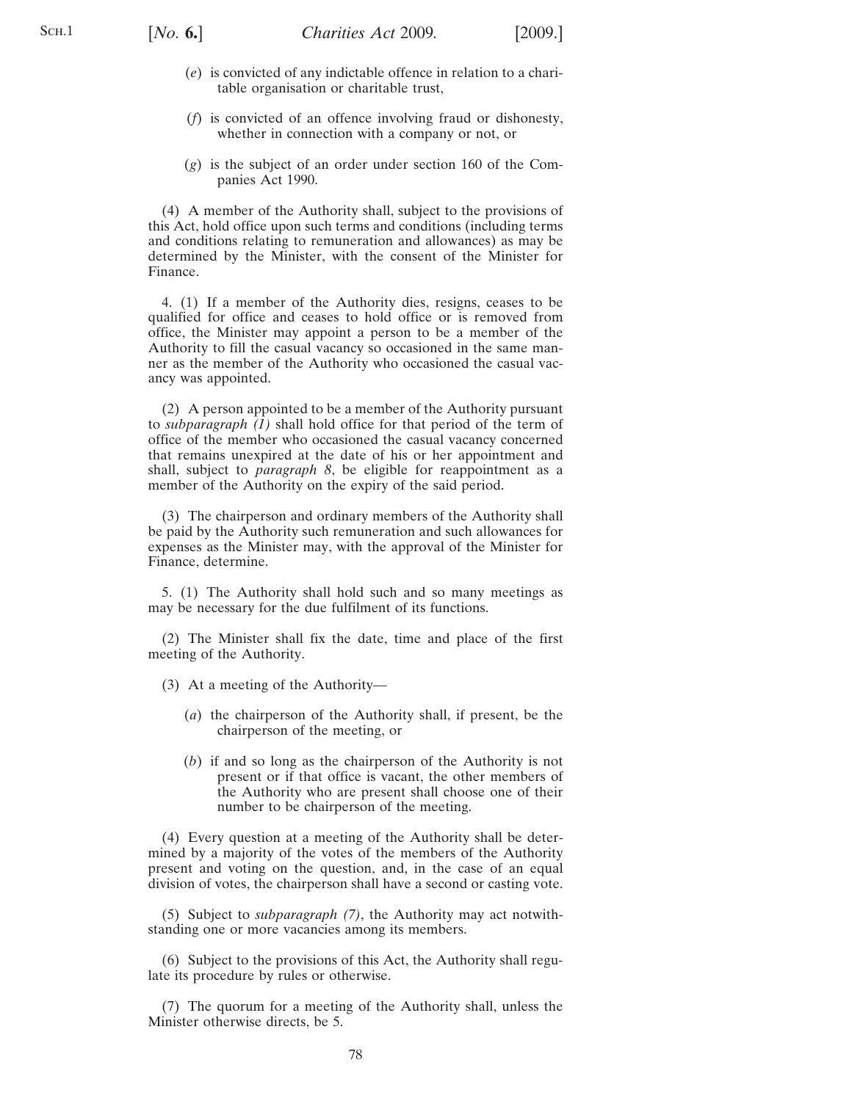- (*e*) is convicted of any indictable offence in relation to a charitable organisation or charitable trust,
- (*f*) is convicted of an offence involving fraud or dishonesty, whether in connection with a company or not, or
- (*g*) is the subject of an order under section 160 of the Companies Act 1990.

(4) A member of the Authority shall, subject to the provisions of this Act, hold office upon such terms and conditions (including terms and conditions relating to remuneration and allowances) as may be determined by the Minister, with the consent of the Minister for Finance.

4. (1) If a member of the Authority dies, resigns, ceases to be qualified for office and ceases to hold office or is removed from office, the Minister may appoint a person to be a member of the Authority to fill the casual vacancy so occasioned in the same manner as the member of the Authority who occasioned the casual vacancy was appointed.

(2) A person appointed to be a member of the Authority pursuant to *subparagraph (1)* shall hold office for that period of the term of office of the member who occasioned the casual vacancy concerned that remains unexpired at the date of his or her appointment and shall, subject to *paragraph [8](#page-78-0)*, be eligible for reappointment as a member of the Authority on the expiry of the said period.

(3) The chairperson and ordinary members of the Authority shall be paid by the Authority such remuneration and such allowances for expenses as the Minister may, with the approval of the Minister for Finance, determine.

5. (1) The Authority shall hold such and so many meetings as may be necessary for the due fulfilment of its functions.

(2) The Minister shall fix the date, time and place of the first meeting of the Authority.

- (3) At a meeting of the Authority—
	- (*a*) the chairperson of the Authority shall, if present, be the chairperson of the meeting, or
	- (*b*) if and so long as the chairperson of the Authority is not present or if that office is vacant, the other members of the Authority who are present shall choose one of their number to be chairperson of the meeting.

(4) Every question at a meeting of the Authority shall be determined by a majority of the votes of the members of the Authority present and voting on the question, and, in the case of an equal division of votes, the chairperson shall have a second or casting vote.

(5) Subject to *subparagraph (7)*, the Authority may act notwithstanding one or more vacancies among its members.

(6) Subject to the provisions of this Act, the Authority shall regulate its procedure by rules or otherwise.

(7) The quorum for a meeting of the Authority shall, unless the Minister otherwise directs, be 5.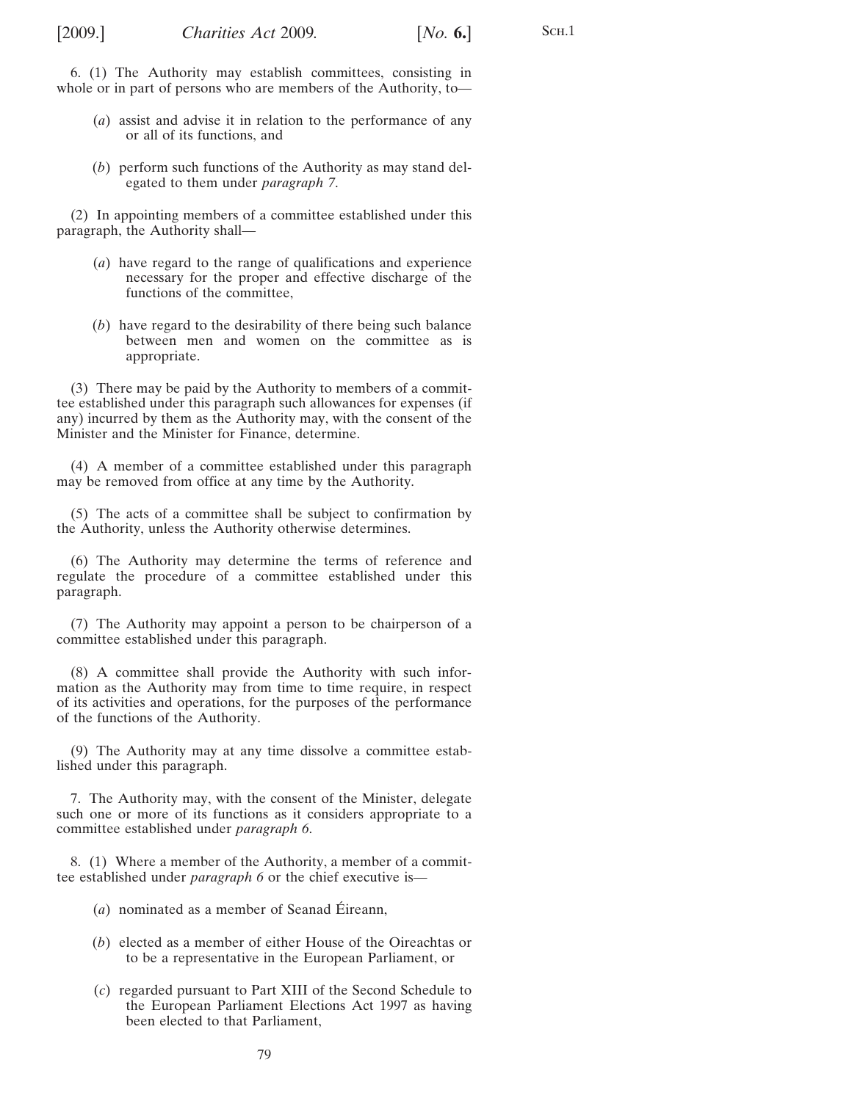S<sub>CH.1</sub>

- <span id="page-78-0"></span>(*a*) assist and advise it in relation to the performance of any or all of its functions, and
- (*b*) perform such functions of the Authority as may stand delegated to them under *paragraph 7*.

(2) In appointing members of a committee established under this paragraph, the Authority shall—

- (*a*) have regard to the range of qualifications and experience necessary for the proper and effective discharge of the functions of the committee,
- (*b*) have regard to the desirability of there being such balance between men and women on the committee as is appropriate.

(3) There may be paid by the Authority to members of a committee established under this paragraph such allowances for expenses (if any) incurred by them as the Authority may, with the consent of the Minister and the Minister for Finance, determine.

(4) A member of a committee established under this paragraph may be removed from office at any time by the Authority.

(5) The acts of a committee shall be subject to confirmation by the Authority, unless the Authority otherwise determines.

(6) The Authority may determine the terms of reference and regulate the procedure of a committee established under this paragraph.

(7) The Authority may appoint a person to be chairperson of a committee established under this paragraph.

(8) A committee shall provide the Authority with such information as the Authority may from time to time require, in respect of its activities and operations, for the purposes of the performance of the functions of the Authority.

(9) The Authority may at any time dissolve a committee established under this paragraph.

7. The Authority may, with the consent of the Minister, delegate such one or more of its functions as it considers appropriate to a committee established under *paragraph 6*.

8. (1) Where a member of the Authority, a member of a committee established under *paragraph 6* or the chief executive is—

- $(a)$  nominated as a member of Seanad Éireann,
- (*b*) elected as a member of either House of the Oireachtas or to be a representative in the European Parliament, or
- (*c*) regarded pursuant to Part XIII of the Second Schedule to the European Parliament Elections Act 1997 as having been elected to that Parliament,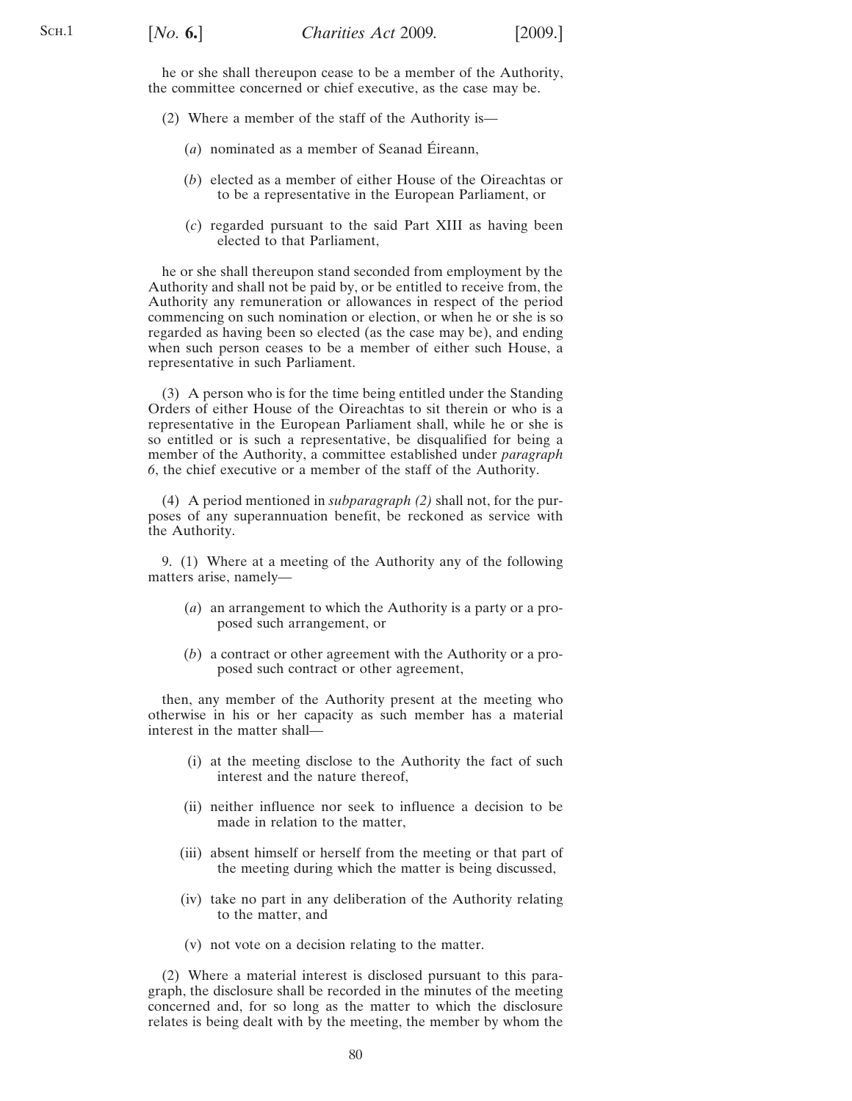<span id="page-79-0"></span>he or she shall thereupon cease to be a member of the Authority, the committee concerned or chief executive, as the case may be.

- (2) Where a member of the staff of the Authority is—
	- $(a)$  nominated as a member of Seanad Eireann,
	- (*b*) elected as a member of either House of the Oireachtas or to be a representative in the European Parliament, or
	- (*c*) regarded pursuant to the said Part XIII as having been elected to that Parliament,

he or she shall thereupon stand seconded from employment by the Authority and shall not be paid by, or be entitled to receive from, the Authority any remuneration or allowances in respect of the period commencing on such nomination or election, or when he or she is so regarded as having been so elected (as the case may be), and ending when such person ceases to be a member of either such House, a representative in such Parliament.

(3) A person who is for the time being entitled under the Standing Orders of either House of the Oireachtas to sit therein or who is a representative in the European Parliament shall, while he or she is so entitled or is such a representative, be disqualified for being a member of the Authority, a committee established under *paragraph [6](#page-78-0)*, the chief executive or a member of the staff of the Authority.

(4) A period mentioned in *subparagraph (2)* shall not, for the purposes of any superannuation benefit, be reckoned as service with the Authority.

9. (1) Where at a meeting of the Authority any of the following matters arise, namely—

- (*a*) an arrangement to which the Authority is a party or a proposed such arrangement, or
- (*b*) a contract or other agreement with the Authority or a proposed such contract or other agreement,

then, any member of the Authority present at the meeting who otherwise in his or her capacity as such member has a material interest in the matter shall—

- (i) at the meeting disclose to the Authority the fact of such interest and the nature thereof,
- (ii) neither influence nor seek to influence a decision to be made in relation to the matter,
- (iii) absent himself or herself from the meeting or that part of the meeting during which the matter is being discussed,
- (iv) take no part in any deliberation of the Authority relating to the matter, and
- (v) not vote on a decision relating to the matter.

(2) Where a material interest is disclosed pursuant to this paragraph, the disclosure shall be recorded in the minutes of the meeting concerned and, for so long as the matter to which the disclosure relates is being dealt with by the meeting, the member by whom the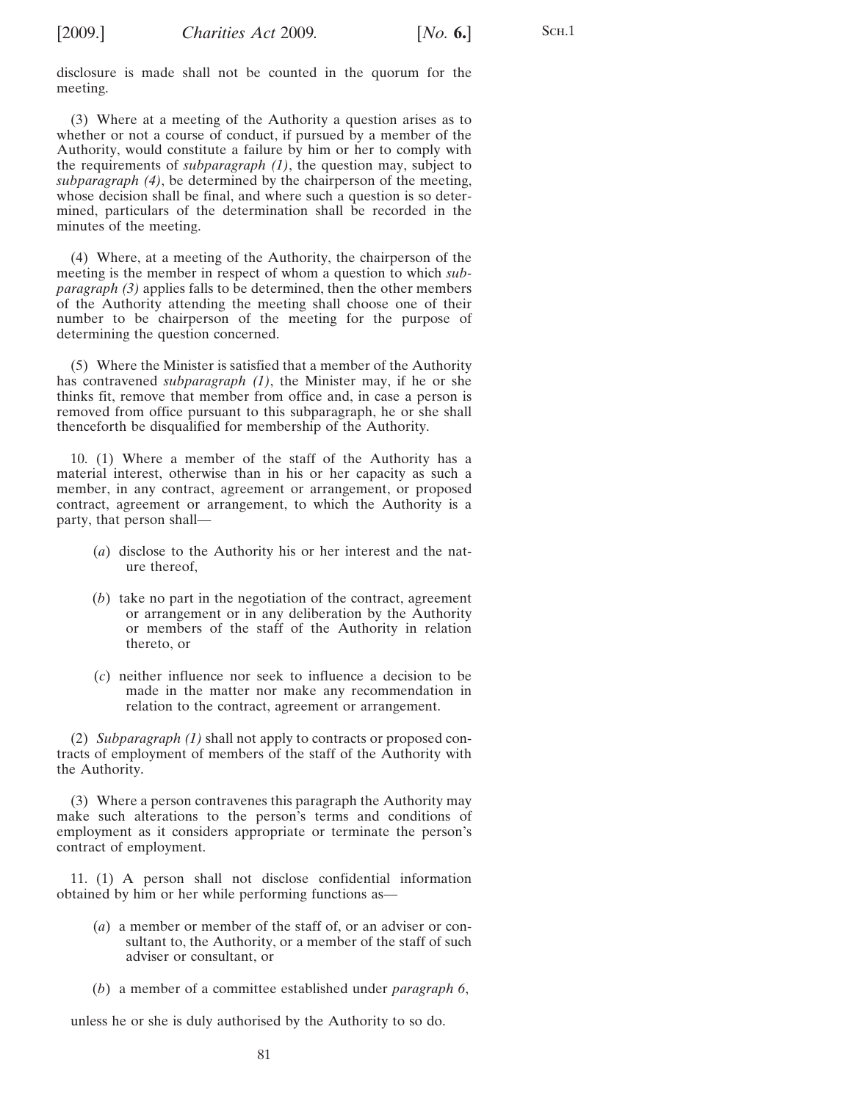<span id="page-80-0"></span>

disclosure is made shall not be counted in the quorum for the meeting.

(3) Where at a meeting of the Authority a question arises as to whether or not a course of conduct, if pursued by a member of the Authority, would constitute a failure by him or her to comply with the requirements of *subparagraph [\(1\)](#page-79-0)*, the question may, subject to *subparagraph (4)*, be determined by the chairperson of the meeting, whose decision shall be final, and where such a question is so determined, particulars of the determination shall be recorded in the minutes of the meeting.

(4) Where, at a meeting of the Authority, the chairperson of the meeting is the member in respect of whom a question to which *subparagraph (3)* applies falls to be determined, then the other members of the Authority attending the meeting shall choose one of their number to be chairperson of the meeting for the purpose of determining the question concerned.

(5) Where the Minister is satisfied that a member of the Authority has contravened *subparagraph [\(1\)](#page-79-0)*, the Minister may, if he or she thinks fit, remove that member from office and, in case a person is removed from office pursuant to this subparagraph, he or she shall thenceforth be disqualified for membership of the Authority.

10. (1) Where a member of the staff of the Authority has a material interest, otherwise than in his or her capacity as such a member, in any contract, agreement or arrangement, or proposed contract, agreement or arrangement, to which the Authority is a party, that person shall—

- (*a*) disclose to the Authority his or her interest and the nature thereof,
- (*b*) take no part in the negotiation of the contract, agreement or arrangement or in any deliberation by the Authority or members of the staff of the Authority in relation thereto, or
- (*c*) neither influence nor seek to influence a decision to be made in the matter nor make any recommendation in relation to the contract, agreement or arrangement.

(2) *Subparagraph (1)* shall not apply to contracts or proposed contracts of employment of members of the staff of the Authority with the Authority.

(3) Where a person contravenes this paragraph the Authority may make such alterations to the person's terms and conditions of employment as it considers appropriate or terminate the person's contract of employment.

11. (1) A person shall not disclose confidential information obtained by him or her while performing functions as—

- (*a*) a member or member of the staff of, or an adviser or consultant to, the Authority, or a member of the staff of such adviser or consultant, or
- (*b*) a member of a committee established under *paragraph [6](#page-78-0)*,

unless he or she is duly authorised by the Authority to so do.